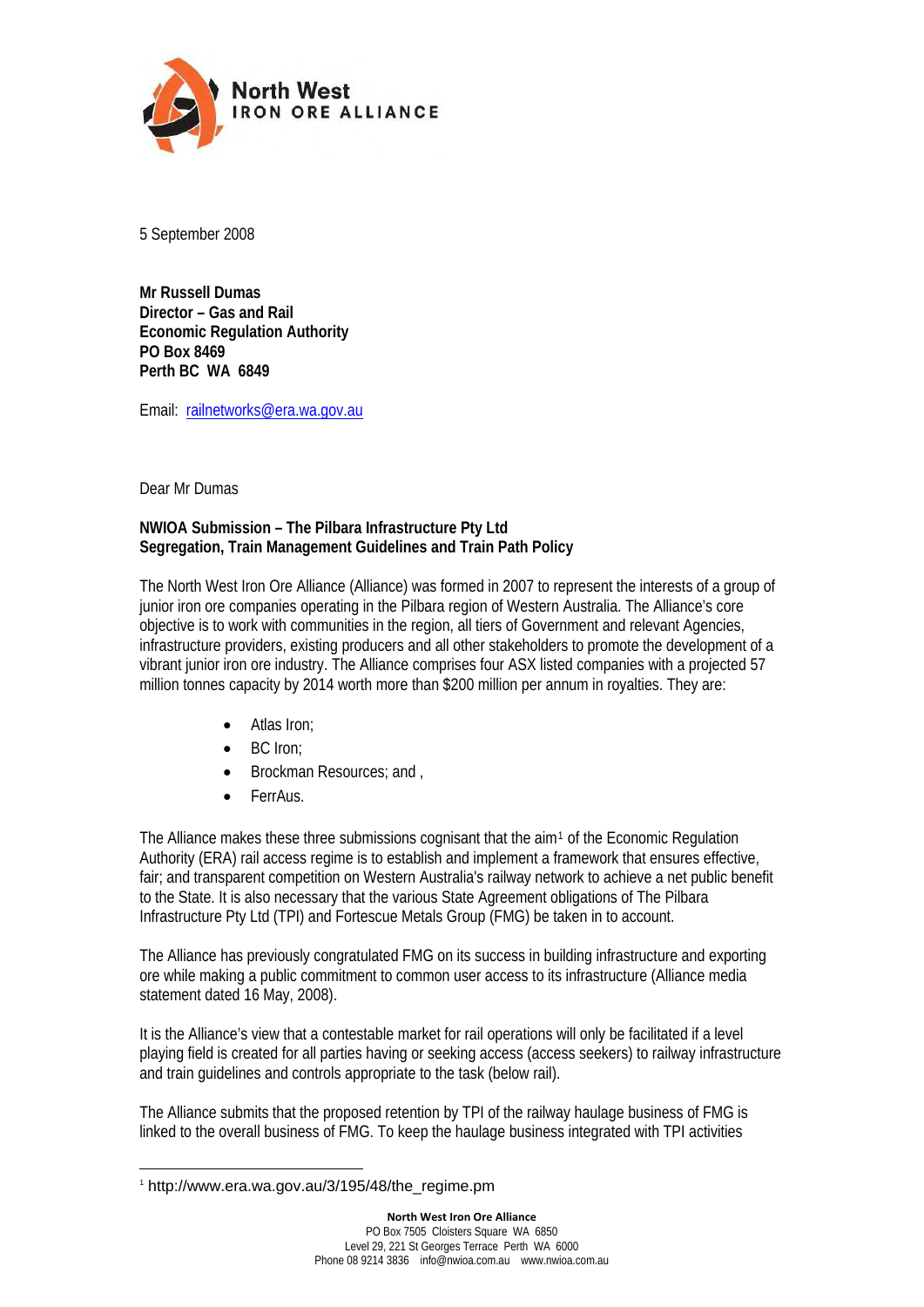

5 September 2008

**Mr Russell Dumas Director – Gas and Rail Economic Regulation Authority PO Box 8469 Perth BC WA 6849** 

Email: [railnetworks@era.wa.gov.au](mailto:railnetworks@era.wa.gov.au)

Dear Mr Dumas

#### **NWIOA Submission – The Pilbara Infrastructure Pty Ltd Segregation, Train Management Guidelines and Train Path Policy**

The North West Iron Ore Alliance (Alliance) was formed in 2007 to represent the interests of a group of junior iron ore companies operating in the Pilbara region of Western Australia. The Alliance's core objective is to work with communities in the region, all tiers of Government and relevant Agencies, infrastructure providers, existing producers and all other stakeholders to promote the development of a vibrant junior iron ore industry. The Alliance comprises four ASX listed companies with a projected 57 million tonnes capacity by 2014 worth more than \$200 million per annum in royalties. They are:

- Atlas Iron;
- BC Iron:
- Brockman Resources; and ,
- FerrAus.

The Alliance makes these three submissions cognisant that the aim<sup>[1](#page-0-0)</sup> of the Economic Regulation Authority (ERA) rail access regime is to establish and implement a framework that ensures effective, fair; and transparent competition on Western Australia's railway network to achieve a net public benefit to the State. It is also necessary that the various State Agreement obligations of The Pilbara Infrastructure Pty Ltd (TPI) and Fortescue Metals Group (FMG) be taken in to account.

The Alliance has previously congratulated FMG on its success in building infrastructure and exporting ore while making a public commitment to common user access to its infrastructure (Alliance media statement dated 16 May, 2008).

It is the Alliance's view that a contestable market for rail operations will only be facilitated if a level playing field is created for all parties having or seeking access (access seekers) to railway infrastructure and train guidelines and controls appropriate to the task (below rail).

The Alliance submits that the proposed retention by TPI of the railway haulage business of FMG is linked to the overall business of FMG. To keep the haulage business integrated with TPI activities

1

<span id="page-0-0"></span><sup>1</sup> http://www.era.wa.gov.au/3/195/48/the\_regime.pm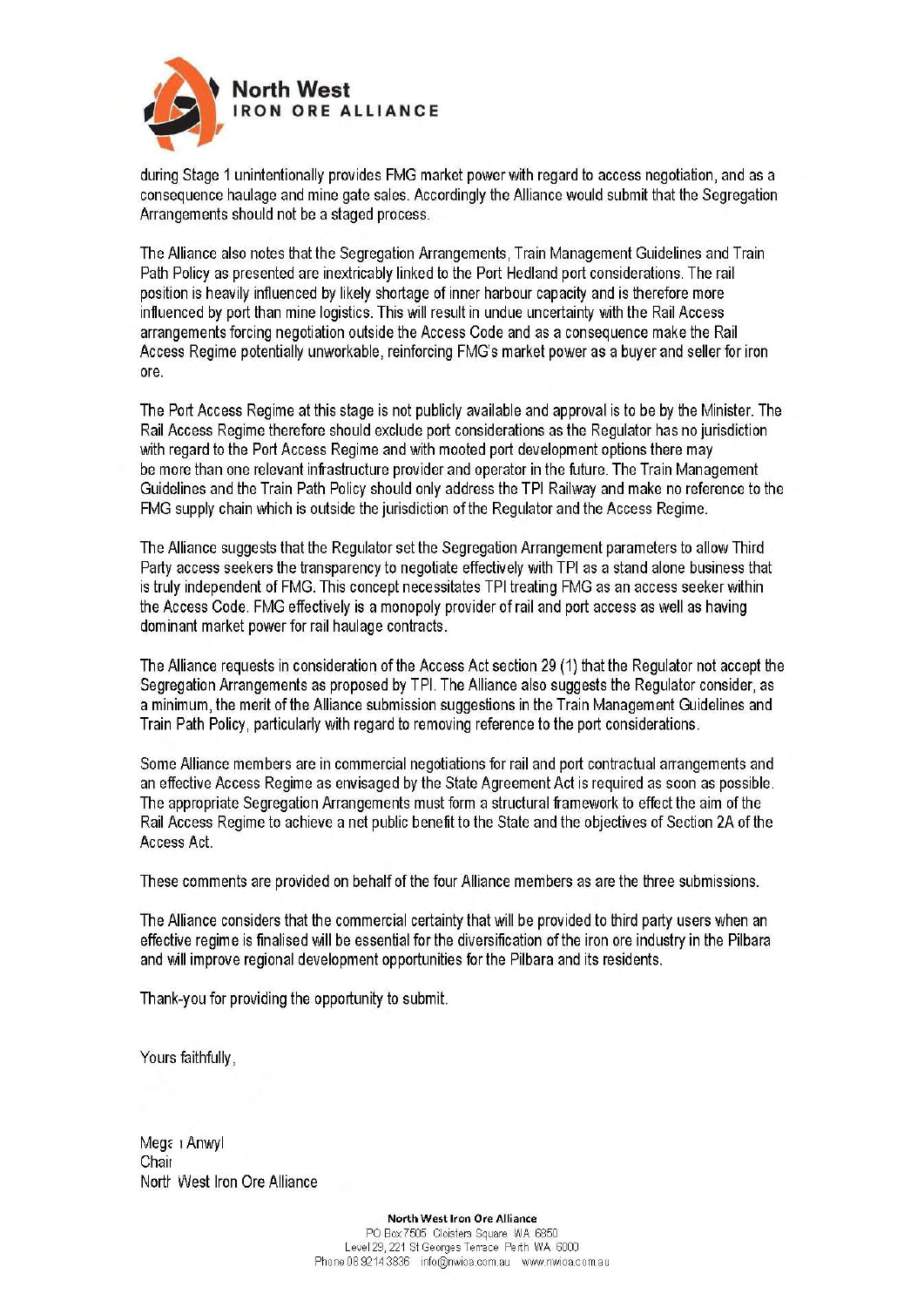

during Stage 1 unintentionally provides FMG market power with regard to access negotiation, and as a consequence haulage and mine gate sales. Accordingly the Alliance would submit that the Segregation Arrangements should not be a staged process.

The Alliance also notes that the Segregation Arrangements, Train Management Guidelines and Train Path Policy as presented are inextricably linked to the Port Hedland port considerations. The rail position is heavily influenced by likely shortage of inner harbour capacity and is therefore more influenced by port than mine logistics. This will result in undue uncertainty with the Rail Access arrangements forcing negotiation outside the Access Code and as a consequence make the Rail Access Regime potentially unworkable, reinforcing FMG's market power as a buyer and seller for iron ore.

The Port Access Regime at this stage is not publicly available and approval is to be by the Minister. The Rail Access Regime therefore should exclude port considerations as the Regulator has no jurisdiction with regard to the Port Access Regime and with mooted port development options there may be more than one relevant infrastructure provider and operator in the future. The Train Management Guidelines and the Train Path Policy should only address the TPI Railway and make no reference to the FMG supply chain which is outside the jurisdiction of the Regulator and the Access Regime.

The Alliance suggests that the Regulator set the Segregation Arrangement parameters to allow Third Party access seekers the transparency to negotiate effectively with TPI as a stand alone business that is truly independent of FMG. This concept necessitates TPI treating FMG as an access seeker within the Access Code. FMG effectively is a monopoly provider of rail and port access as well as having dominant market power for rail haulage contracts.

The Alliance requests in consideration of the Access Act section 29 (1) that the Regulator not accept the Segregation Arrangements as proposed by TPI. The Alliance also suggests the Regulator consider, as a minimum, the merit of the Alliance submission suggestions in the Train Management Guidelines and Train Path Policy, particularly with regard to removing reference to the port considerations.

Some Alliance members are in commercial negotiations for rail and port contractual arrangements and an effective Access Regime as envisaged by the State Agreement Act is required as soon as possible. The appropriate Segregation Arrangements must form a structural framework to effect the aim of the Rail Access Regime to achieve a net public benefit to the State and the objectives of Section 2A of the Access Act.

These comments are provided on behalf of the four Alliance members as are the three submissions.

The Alliance considers that the commercial certainty that will be provided to third party users when an effective regime is finalised will be essential for the diversification of the iron ore industry in the Pilbara and will improve regional development opportunities for the Pilbara and its residents.

Thank-you for providing the opportunity to submit.

Yours faithfully,

Megan Anwyl Chair North West Iron Ore Alliance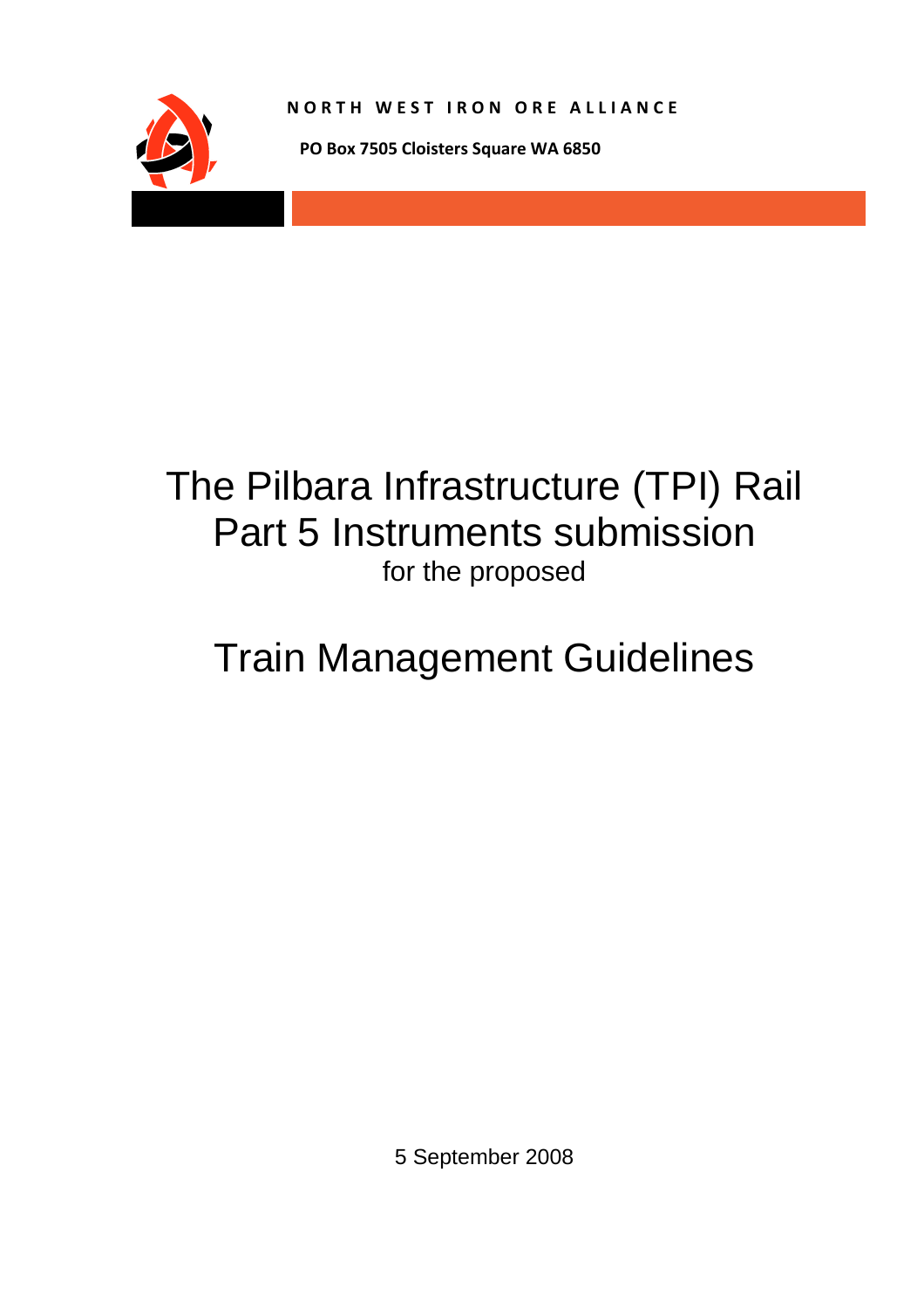

**NORTH WEST IRON ORE ALLIANCE**

 **PO Box 7505 Cloisters Square WA 6850**

# The Pilbara Infrastructure (TPI) Rail Part 5 Instruments submission for the proposed

# Train Management Guidelines

5 September 2008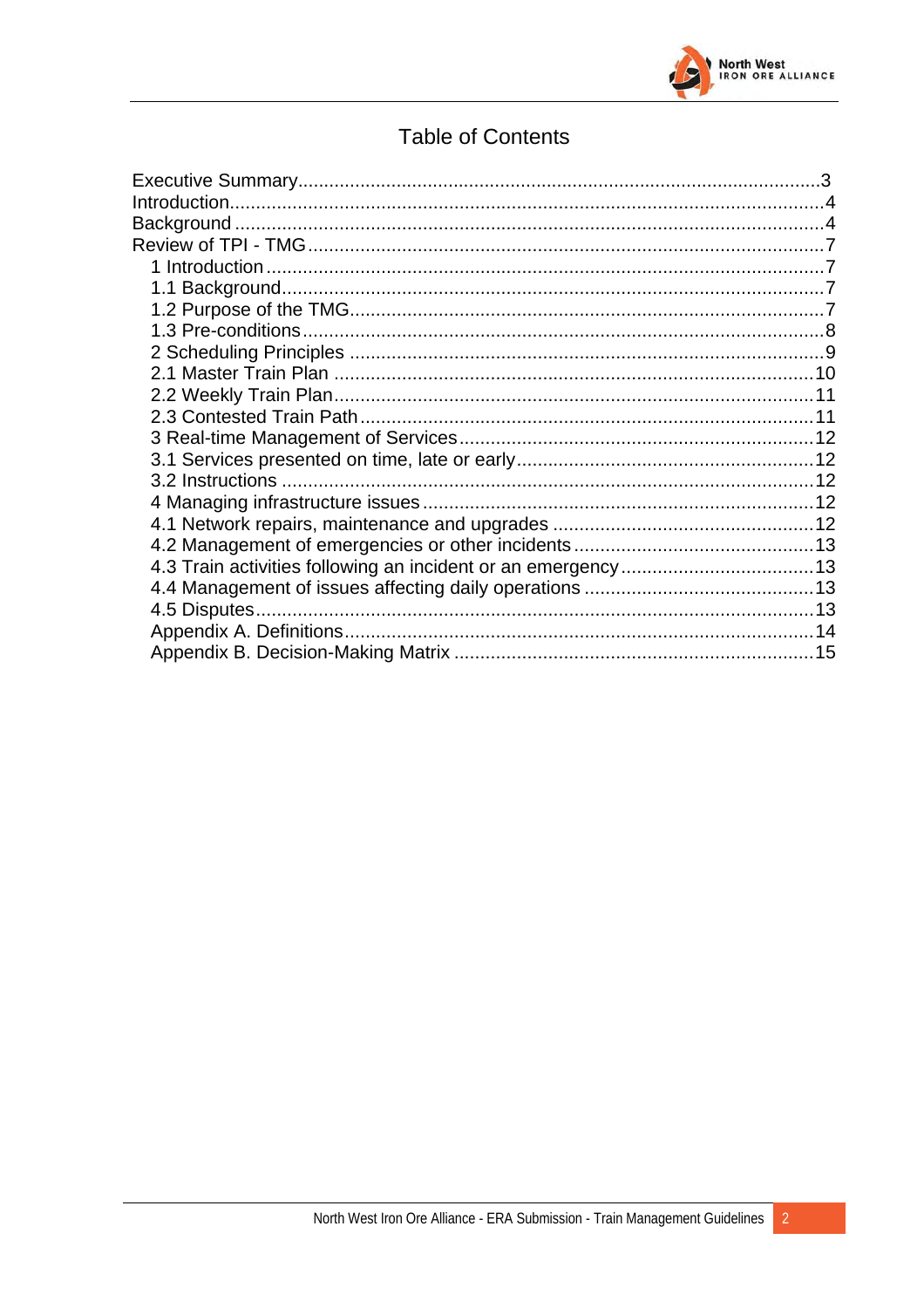

# **Table of Contents**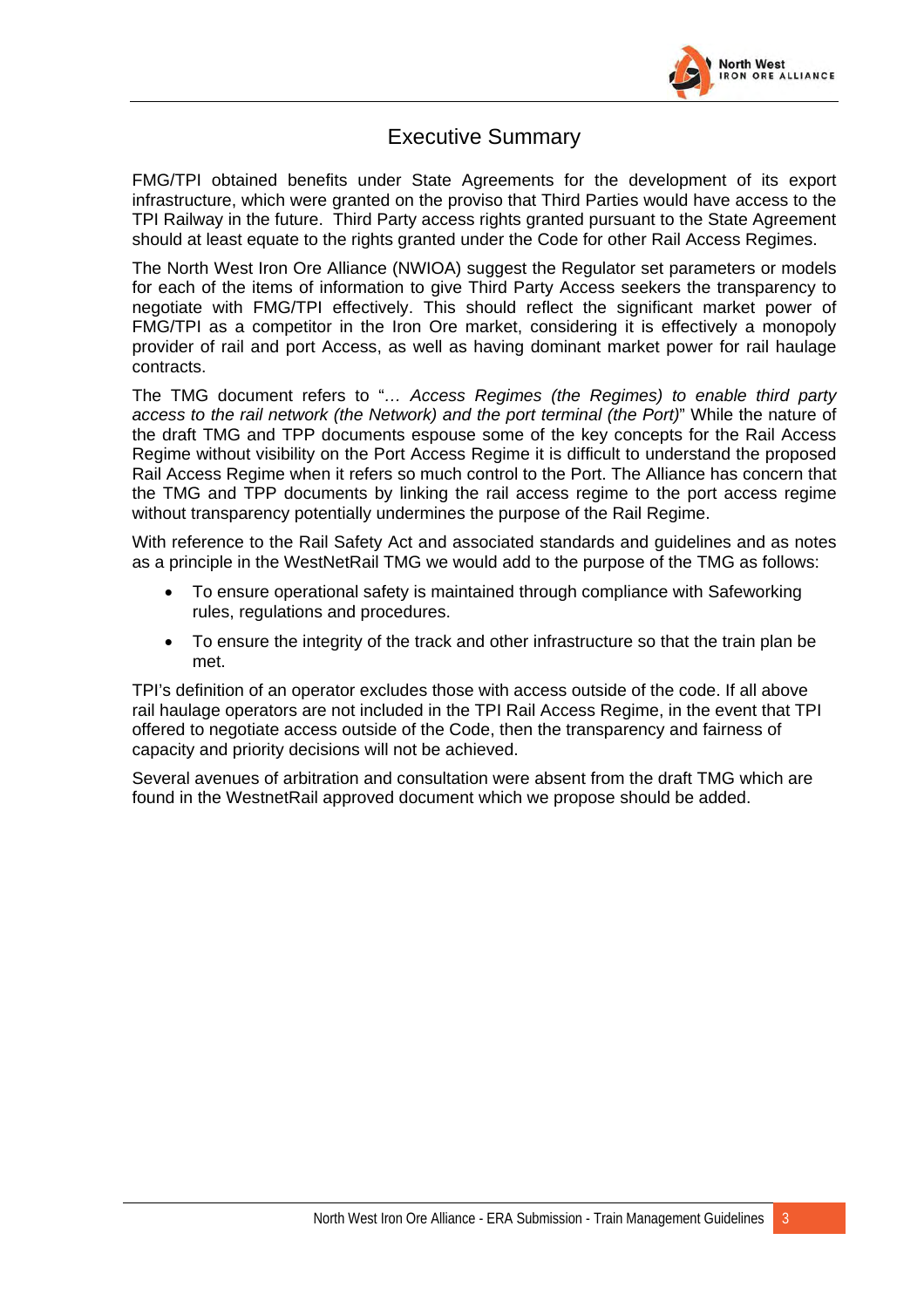

### Executive Summary

FMG/TPI obtained benefits under State Agreements for the development of its export infrastructure, which were granted on the proviso that Third Parties would have access to the TPI Railway in the future. Third Party access rights granted pursuant to the State Agreement should at least equate to the rights granted under the Code for other Rail Access Regimes.

The North West Iron Ore Alliance (NWIOA) suggest the Regulator set parameters or models for each of the items of information to give Third Party Access seekers the transparency to negotiate with FMG/TPI effectively. This should reflect the significant market power of FMG/TPI as a competitor in the Iron Ore market, considering it is effectively a monopoly provider of rail and port Access, as well as having dominant market power for rail haulage contracts.

The TMG document refers to "*… Access Regimes (the Regimes) to enable third party access to the rail network (the Network) and the port terminal (the Port)*" While the nature of the draft TMG and TPP documents espouse some of the key concepts for the Rail Access Regime without visibility on the Port Access Regime it is difficult to understand the proposed Rail Access Regime when it refers so much control to the Port. The Alliance has concern that the TMG and TPP documents by linking the rail access regime to the port access regime without transparency potentially undermines the purpose of the Rail Regime.

With reference to the Rail Safety Act and associated standards and guidelines and as notes as a principle in the WestNetRail TMG we would add to the purpose of the TMG as follows:

- To ensure operational safety is maintained through compliance with Safeworking rules, regulations and procedures.
- To ensure the integrity of the track and other infrastructure so that the train plan be met.

TPI's definition of an operator excludes those with access outside of the code. If all above rail haulage operators are not included in the TPI Rail Access Regime, in the event that TPI offered to negotiate access outside of the Code, then the transparency and fairness of capacity and priority decisions will not be achieved.

Several avenues of arbitration and consultation were absent from the draft TMG which are found in the WestnetRail approved document which we propose should be added.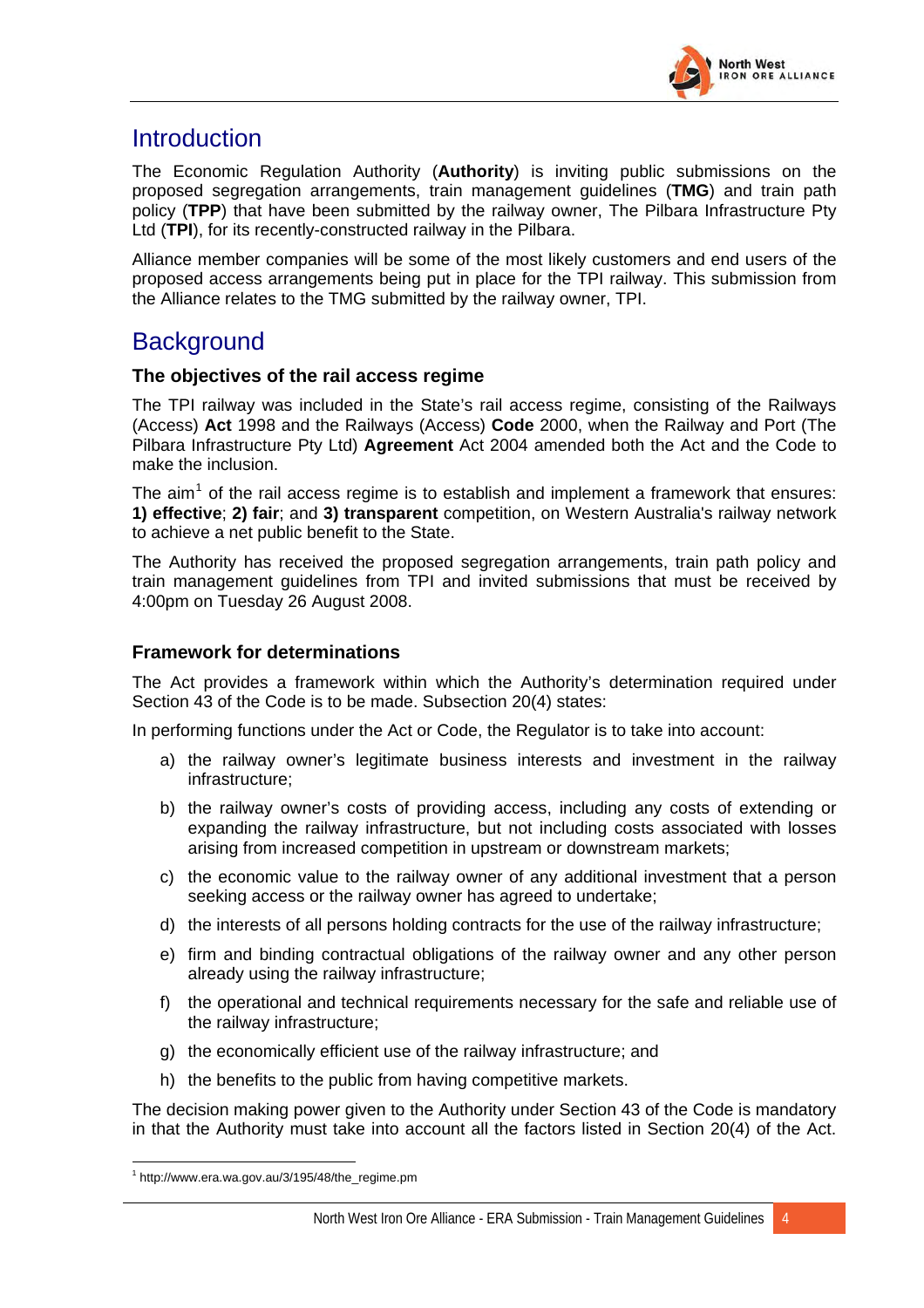

# <span id="page-5-0"></span>Introduction

The Economic Regulation Authority (**Authority**) is inviting public submissions on the proposed segregation arrangements, train management guidelines (**TMG**) and train path policy (**TPP**) that have been submitted by the railway owner, The Pilbara Infrastructure Pty Ltd (**TPI**), for its recently-constructed railway in the Pilbara.

Alliance member companies will be some of the most likely customers and end users of the proposed access arrangements being put in place for the TPI railway. This submission from the Alliance relates to the TMG submitted by the railway owner, TPI.

# **Background**

#### **The objectives of the rail access regime**

The TPI railway was included in the State's rail access regime, consisting of the Railways (Access) **Act** 1998 and the Railways (Access) **Code** 2000, when the Railway and Port (The Pilbara Infrastructure Pty Ltd) **Agreement** Act 2004 amended both the Act and the Code to make the inclusion.

The aim<sup>[1](#page-5-1)</sup> of the rail access regime is to establish and implement a framework that ensures: **1) effective**; **2) fair**; and **3) transparent** competition, on Western Australia's railway network to achieve a net public benefit to the State.

The Authority has received the proposed segregation arrangements, train path policy and train management guidelines from TPI and invited submissions that must be received by 4:00pm on Tuesday 26 August 2008.

#### **Framework for determinations**

The Act provides a framework within which the Authority's determination required under Section 43 of the Code is to be made. Subsection 20(4) states:

In performing functions under the Act or Code, the Regulator is to take into account:

- a) the railway owner's legitimate business interests and investment in the railway infrastructure;
- b) the railway owner's costs of providing access, including any costs of extending or expanding the railway infrastructure, but not including costs associated with losses arising from increased competition in upstream or downstream markets;
- c) the economic value to the railway owner of any additional investment that a person seeking access or the railway owner has agreed to undertake;
- d) the interests of all persons holding contracts for the use of the railway infrastructure;
- e) firm and binding contractual obligations of the railway owner and any other person already using the railway infrastructure;
- f) the operational and technical requirements necessary for the safe and reliable use of the railway infrastructure;
- g) the economically efficient use of the railway infrastructure; and
- h) the benefits to the public from having competitive markets.

The decision making power given to the Authority under Section 43 of the Code is mandatory in that the Authority must take into account all the factors listed in Section 20(4) of the Act.

 $\overline{a}$ 

<span id="page-5-1"></span> $1$  http://www.era.wa.gov.au/3/195/48/the\_regime.pm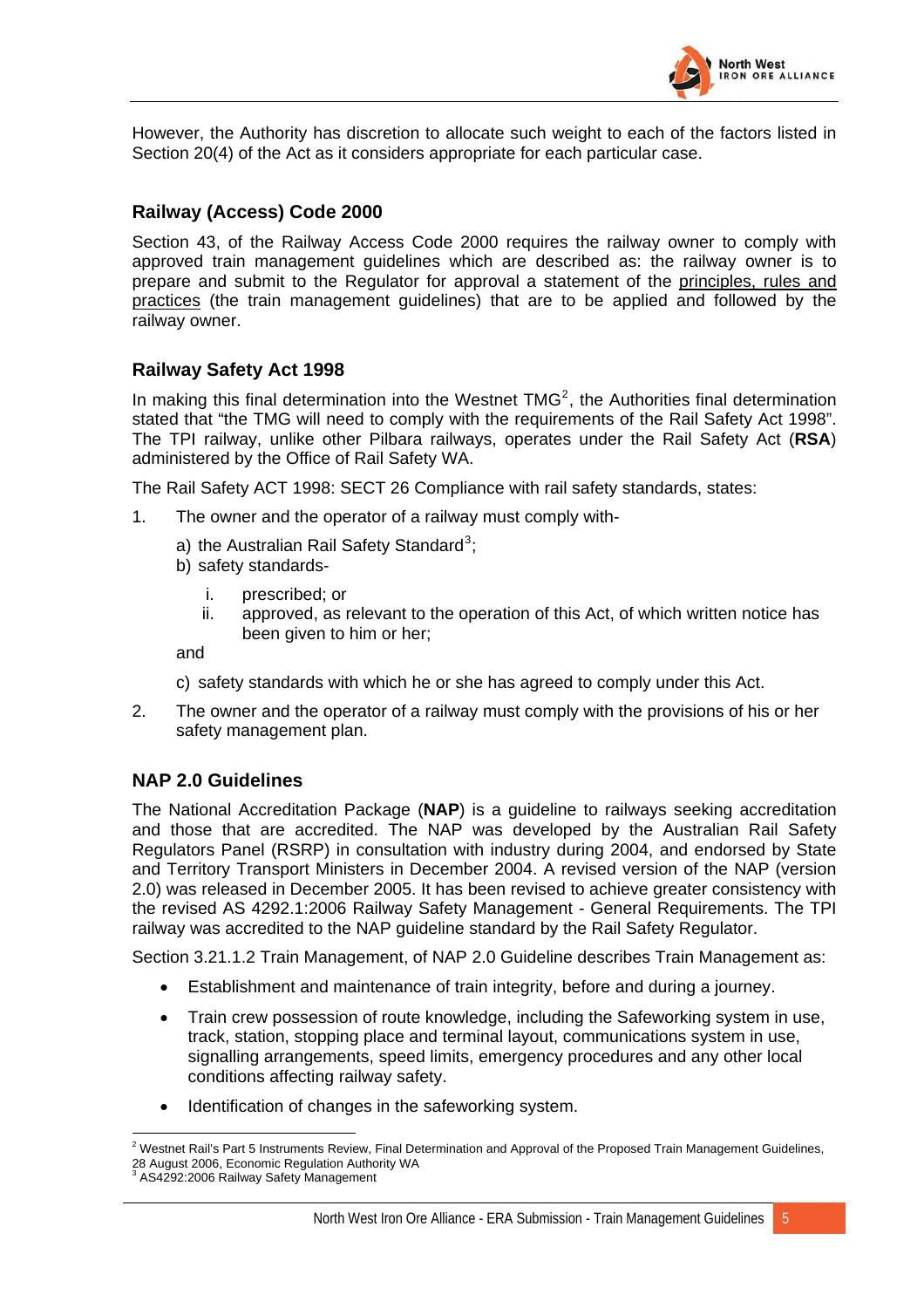

However, the Authority has discretion to allocate such weight to each of the factors listed in Section 20(4) of the Act as it considers appropriate for each particular case.

#### **Railway (Access) Code 2000**

Section 43, of the Railway Access Code 2000 requires the railway owner to comply with approved train management guidelines which are described as: the railway owner is to prepare and submit to the Regulator for approval a statement of the principles, rules and practices (the train management guidelines) that are to be applied and followed by the railway owner.

#### **Railway Safety Act 1998**

In making this final determination into the Westnet  $TMG<sup>2</sup>$  $TMG<sup>2</sup>$  $TMG<sup>2</sup>$ , the Authorities final determination stated that "the TMG will need to comply with the requirements of the Rail Safety Act 1998". The TPI railway, unlike other Pilbara railways, operates under the Rail Safety Act (**RSA**) administered by the Office of Rail Safety WA.

The Rail Safety ACT 1998: SECT 26 Compliance with rail safety standards, states:

- 1. The owner and the operator of a railway must comply with-
	- a) the Australian Rail Safety Standard<sup>[3](#page-6-1)</sup>;
	- b) safety standards
		- i. prescribed; or
		- ii. approved, as relevant to the operation of this Act, of which written notice has been given to him or her;

and

- c) safety standards with which he or she has agreed to comply under this Act.
- 2. The owner and the operator of a railway must comply with the provisions of his or her safety management plan.

#### **NAP 2.0 Guidelines**

The National Accreditation Package (**NAP**) is a guideline to railways seeking accreditation and those that are accredited. The NAP was developed by the Australian Rail Safety Regulators Panel (RSRP) in consultation with industry during 2004, and endorsed by State and Territory Transport Ministers in December 2004. A revised version of the NAP (version 2.0) was released in December 2005. It has been revised to achieve greater consistency with the revised AS 4292.1:2006 Railway Safety Management - General Requirements. The TPI railway was accredited to the NAP guideline standard by the Rail Safety Regulator.

Section 3.21.1.2 Train Management, of NAP 2.0 Guideline describes Train Management as:

- Establishment and maintenance of train integrity, before and during a journey.
- Train crew possession of route knowledge, including the Safeworking system in use, track, station, stopping place and terminal layout, communications system in use, signalling arrangements, speed limits, emergency procedures and any other local conditions affecting railway safety.
- Identification of changes in the safeworking system.

<span id="page-6-0"></span> 2 Westnet Rail's Part 5 Instruments Review, Final Determination and Approval of the Proposed Train Management Guidelines, 28 August 2006, Economic Regulation Authority WA 3 AS4292:2006 Railway Safety Management

<span id="page-6-1"></span>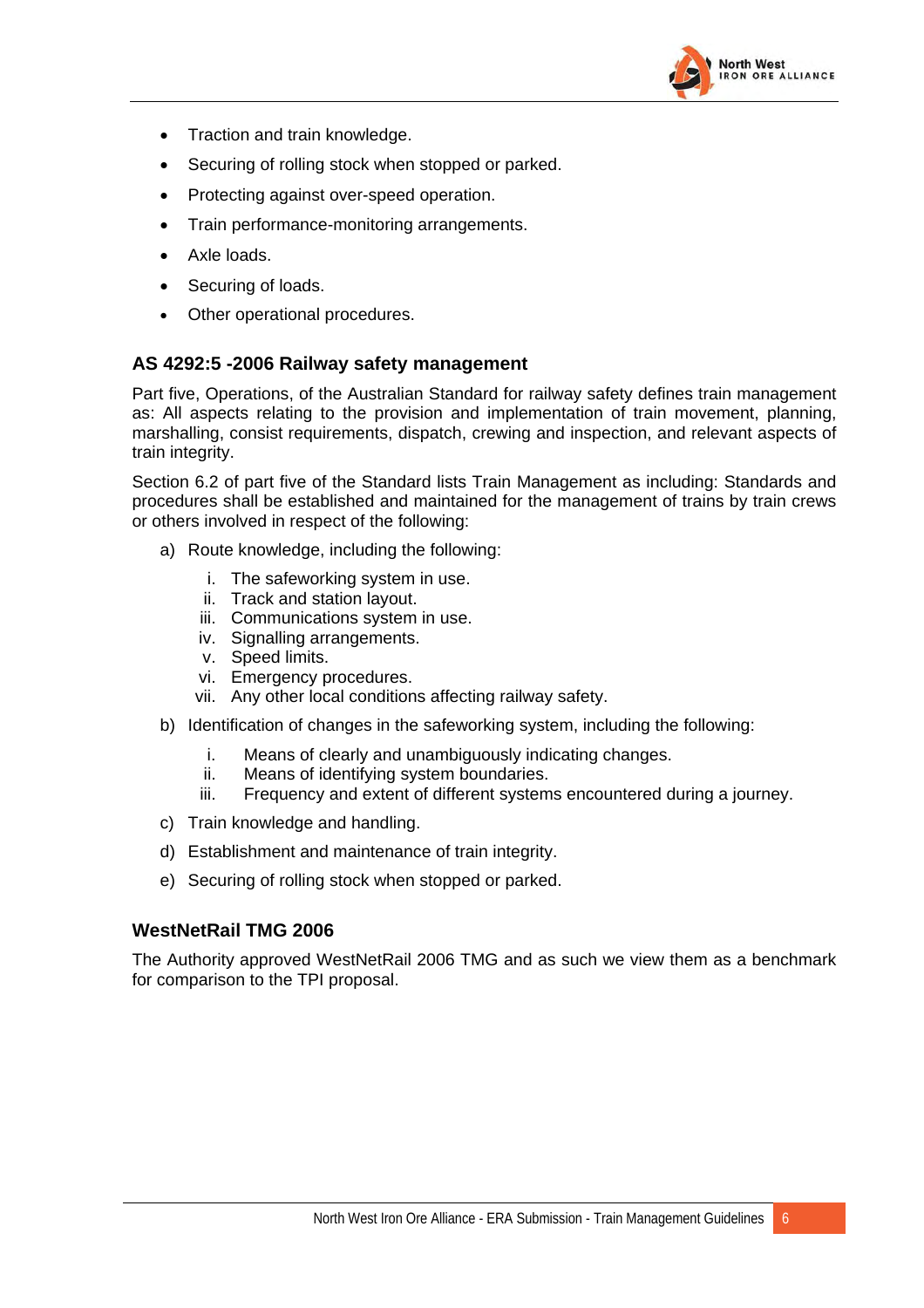

- Traction and train knowledge.
- Securing of rolling stock when stopped or parked.
- Protecting against over-speed operation.
- Train performance-monitoring arrangements.
- Axle loads.
- Securing of loads.
- Other operational procedures.

#### **AS 4292:5 -2006 Railway safety management**

Part five, Operations, of the Australian Standard for railway safety defines train management as: All aspects relating to the provision and implementation of train movement, planning, marshalling, consist requirements, dispatch, crewing and inspection, and relevant aspects of train integrity.

Section 6.2 of part five of the Standard lists Train Management as including: Standards and procedures shall be established and maintained for the management of trains by train crews or others involved in respect of the following:

- a) Route knowledge, including the following:
	- i. The safeworking system in use.
	- ii. Track and station layout.
	- iii. Communications system in use.
	- iv. Signalling arrangements.
	- v. Speed limits.
	- vi. Emergency procedures.
	- vii. Any other local conditions affecting railway safety.
- b) Identification of changes in the safeworking system, including the following:
	- i. Means of clearly and unambiguously indicating changes.
	- ii. Means of identifying system boundaries.
	- iii. Frequency and extent of different systems encountered during a journey.
- c) Train knowledge and handling.
- d) Establishment and maintenance of train integrity.
- e) Securing of rolling stock when stopped or parked.

#### **WestNetRail TMG 2006**

The Authority approved WestNetRail 2006 TMG and as such we view them as a benchmark for comparison to the TPI proposal.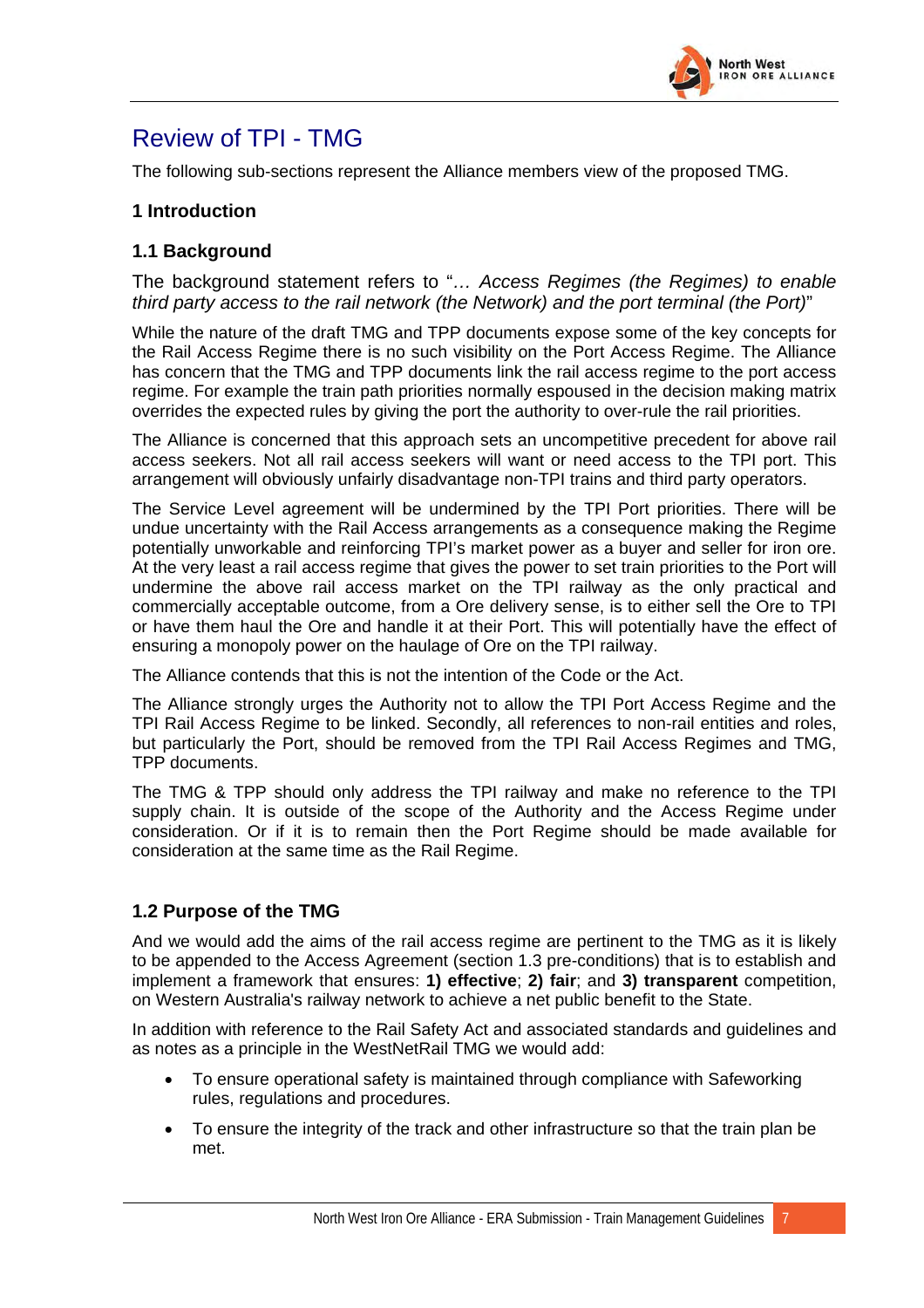

# <span id="page-8-0"></span>Review of TPI - TMG

The following sub-sections represent the Alliance members view of the proposed TMG.

#### **1 Introduction**

#### **1.1 Background**

The background statement refers to "*… Access Regimes (the Regimes) to enable third party access to the rail network (the Network) and the port terminal (the Port)*"

While the nature of the draft TMG and TPP documents expose some of the key concepts for the Rail Access Regime there is no such visibility on the Port Access Regime. The Alliance has concern that the TMG and TPP documents link the rail access regime to the port access regime. For example the train path priorities normally espoused in the decision making matrix overrides the expected rules by giving the port the authority to over-rule the rail priorities.

The Alliance is concerned that this approach sets an uncompetitive precedent for above rail access seekers. Not all rail access seekers will want or need access to the TPI port. This arrangement will obviously unfairly disadvantage non-TPI trains and third party operators.

The Service Level agreement will be undermined by the TPI Port priorities. There will be undue uncertainty with the Rail Access arrangements as a consequence making the Regime potentially unworkable and reinforcing TPI's market power as a buyer and seller for iron ore. At the very least a rail access regime that gives the power to set train priorities to the Port will undermine the above rail access market on the TPI railway as the only practical and commercially acceptable outcome, from a Ore delivery sense, is to either sell the Ore to TPI or have them haul the Ore and handle it at their Port. This will potentially have the effect of ensuring a monopoly power on the haulage of Ore on the TPI railway.

The Alliance contends that this is not the intention of the Code or the Act.

The Alliance strongly urges the Authority not to allow the TPI Port Access Regime and the TPI Rail Access Regime to be linked. Secondly, all references to non-rail entities and roles, but particularly the Port, should be removed from the TPI Rail Access Regimes and TMG, TPP documents.

The TMG & TPP should only address the TPI railway and make no reference to the TPI supply chain. It is outside of the scope of the Authority and the Access Regime under consideration. Or if it is to remain then the Port Regime should be made available for consideration at the same time as the Rail Regime.

#### **1.2 Purpose of the TMG**

And we would add the aims of the rail access regime are pertinent to the TMG as it is likely to be appended to the Access Agreement (section 1.3 pre-conditions) that is to establish and implement a framework that ensures: **1) effective**; **2) fair**; and **3) transparent** competition, on Western Australia's railway network to achieve a net public benefit to the State.

In addition with reference to the Rail Safety Act and associated standards and guidelines and as notes as a principle in the WestNetRail TMG we would add:

- To ensure operational safety is maintained through compliance with Safeworking rules, regulations and procedures.
- To ensure the integrity of the track and other infrastructure so that the train plan be met.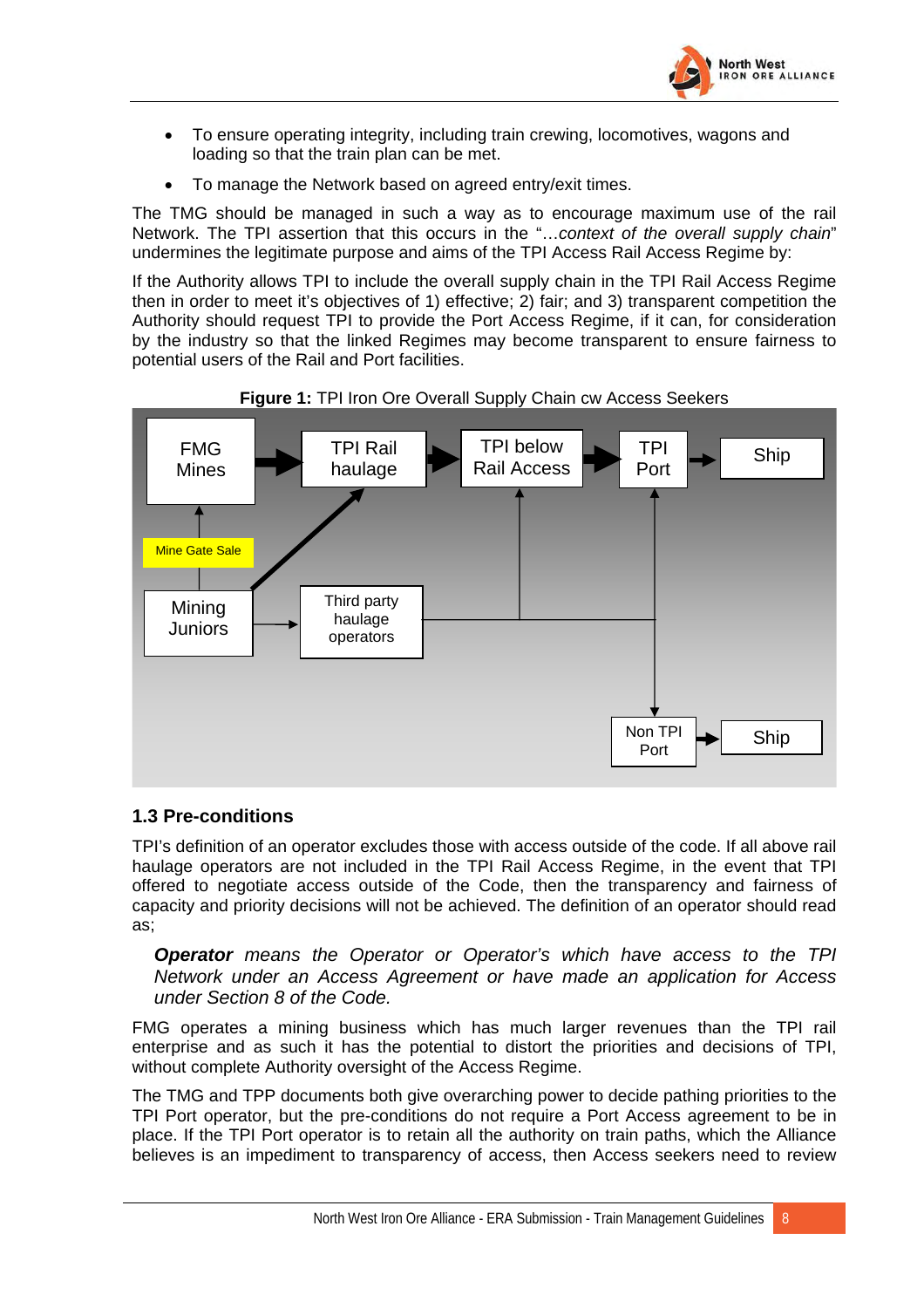

- <span id="page-9-0"></span>• To ensure operating integrity, including train crewing, locomotives, wagons and loading so that the train plan can be met.
- To manage the Network based on agreed entry/exit times.

The TMG should be managed in such a way as to encourage maximum use of the rail Network. The TPI assertion that this occurs in the "…*context of the overall supply chain*" undermines the legitimate purpose and aims of the TPI Access Rail Access Regime by:

If the Authority allows TPI to include the overall supply chain in the TPI Rail Access Regime then in order to meet it's objectives of 1) effective; 2) fair; and 3) transparent competition the Authority should request TPI to provide the Port Access Regime, if it can, for consideration by the industry so that the linked Regimes may become transparent to ensure fairness to potential users of the Rail and Port facilities.





#### **1.3 Pre-conditions**

TPI's definition of an operator excludes those with access outside of the code. If all above rail haulage operators are not included in the TPI Rail Access Regime, in the event that TPI offered to negotiate access outside of the Code, then the transparency and fairness of capacity and priority decisions will not be achieved. The definition of an operator should read as;

*Operator means the Operator or Operator's which have access to the TPI Network under an Access Agreement or have made an application for Access under Section 8 of the Code.*

FMG operates a mining business which has much larger revenues than the TPI rail enterprise and as such it has the potential to distort the priorities and decisions of TPI, without complete Authority oversight of the Access Regime.

The TMG and TPP documents both give overarching power to decide pathing priorities to the TPI Port operator, but the pre-conditions do not require a Port Access agreement to be in place. If the TPI Port operator is to retain all the authority on train paths, which the Alliance believes is an impediment to transparency of access, then Access seekers need to review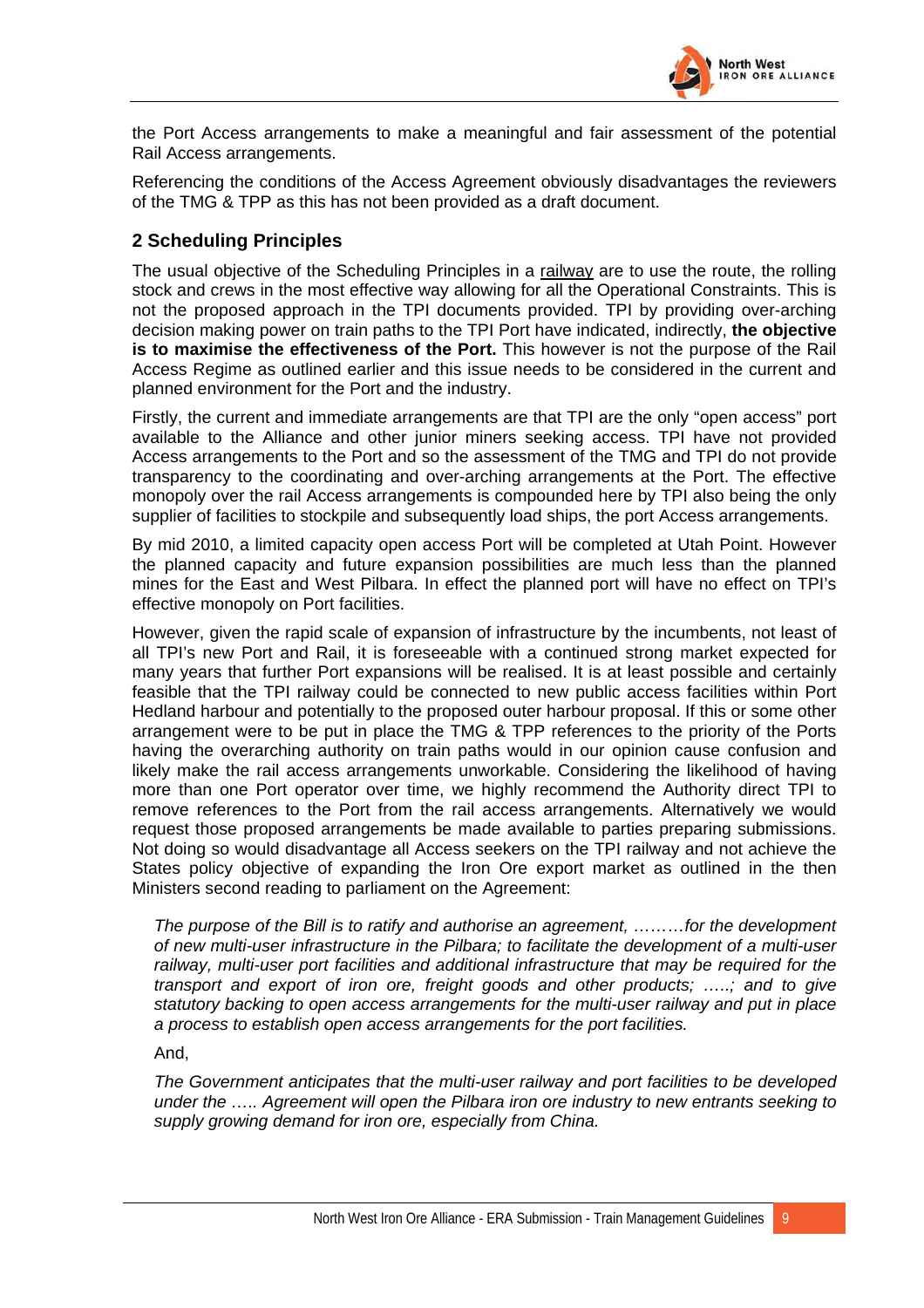

<span id="page-10-0"></span>the Port Access arrangements to make a meaningful and fair assessment of the potential Rail Access arrangements.

Referencing the conditions of the Access Agreement obviously disadvantages the reviewers of the TMG & TPP as this has not been provided as a draft document.

#### **2 Scheduling Principles**

The usual objective of the Scheduling Principles in a railway are to use the route, the rolling stock and crews in the most effective way allowing for all the Operational Constraints. This is not the proposed approach in the TPI documents provided. TPI by providing over-arching decision making power on train paths to the TPI Port have indicated, indirectly, **the objective is to maximise the effectiveness of the Port.** This however is not the purpose of the Rail Access Regime as outlined earlier and this issue needs to be considered in the current and planned environment for the Port and the industry.

Firstly, the current and immediate arrangements are that TPI are the only "open access" port available to the Alliance and other junior miners seeking access. TPI have not provided Access arrangements to the Port and so the assessment of the TMG and TPI do not provide transparency to the coordinating and over-arching arrangements at the Port. The effective monopoly over the rail Access arrangements is compounded here by TPI also being the only supplier of facilities to stockpile and subsequently load ships, the port Access arrangements.

By mid 2010, a limited capacity open access Port will be completed at Utah Point. However the planned capacity and future expansion possibilities are much less than the planned mines for the East and West Pilbara. In effect the planned port will have no effect on TPI's effective monopoly on Port facilities.

However, given the rapid scale of expansion of infrastructure by the incumbents, not least of all TPI's new Port and Rail, it is foreseeable with a continued strong market expected for many years that further Port expansions will be realised. It is at least possible and certainly feasible that the TPI railway could be connected to new public access facilities within Port Hedland harbour and potentially to the proposed outer harbour proposal. If this or some other arrangement were to be put in place the TMG & TPP references to the priority of the Ports having the overarching authority on train paths would in our opinion cause confusion and likely make the rail access arrangements unworkable. Considering the likelihood of having more than one Port operator over time, we highly recommend the Authority direct TPI to remove references to the Port from the rail access arrangements. Alternatively we would request those proposed arrangements be made available to parties preparing submissions. Not doing so would disadvantage all Access seekers on the TPI railway and not achieve the States policy objective of expanding the Iron Ore export market as outlined in the then Ministers second reading to parliament on the Agreement:

*The purpose of the Bill is to ratify and authorise an agreement, ………for the development of new multi-user infrastructure in the Pilbara; to facilitate the development of a multi-user railway, multi-user port facilities and additional infrastructure that may be required for the transport and export of iron ore, freight goods and other products; …..; and to give statutory backing to open access arrangements for the multi-user railway and put in place a process to establish open access arrangements for the port facilities.* 

And,

*The Government anticipates that the multi-user railway and port facilities to be developed under the ….. Agreement will open the Pilbara iron ore industry to new entrants seeking to supply growing demand for iron ore, especially from China.*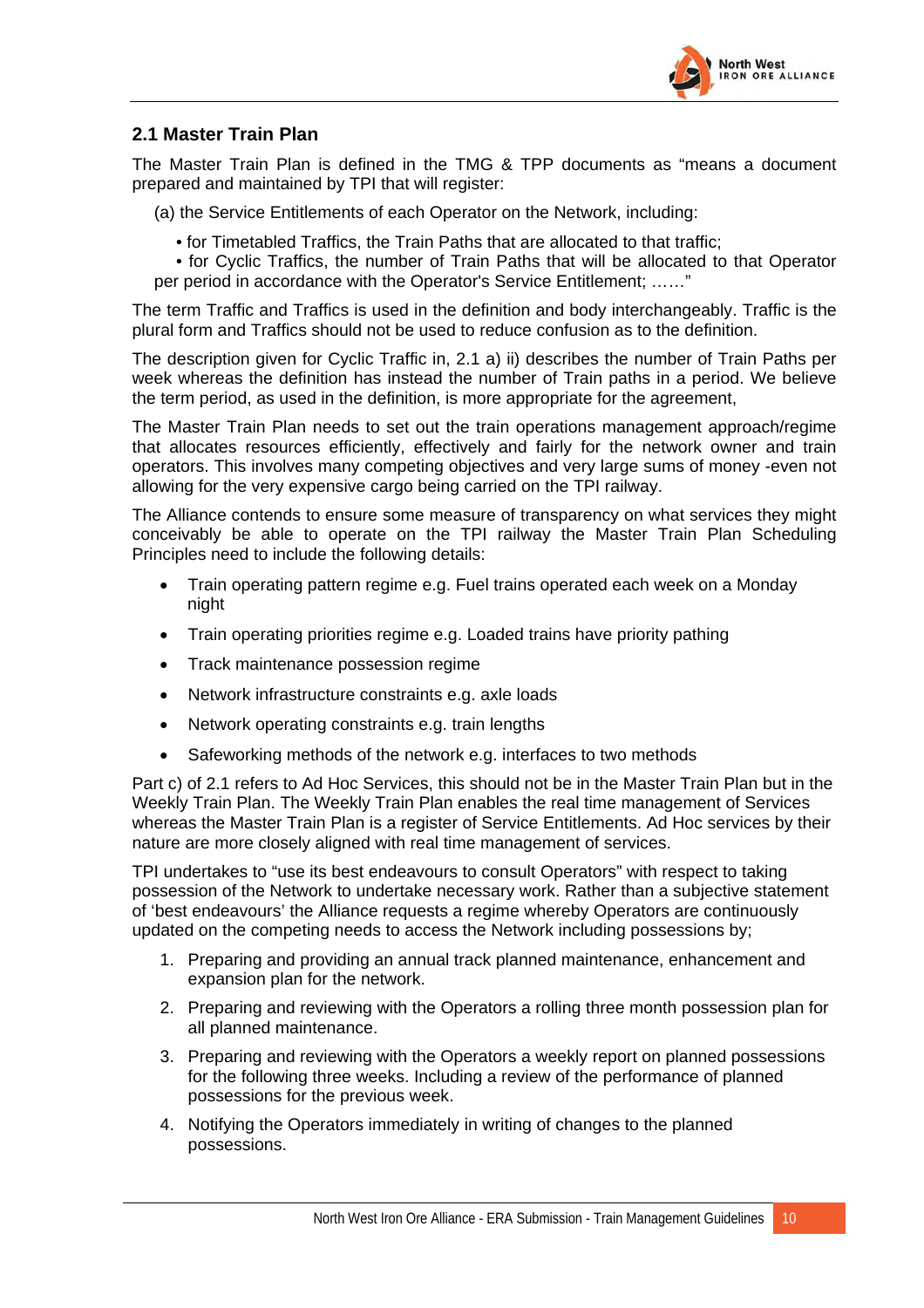

#### <span id="page-11-0"></span>**2.1 Master Train Plan**

The Master Train Plan is defined in the TMG & TPP documents as "means a document prepared and maintained by TPI that will register:

(a) the Service Entitlements of each Operator on the Network, including:

• for Timetabled Traffics, the Train Paths that are allocated to that traffic;

• for Cyclic Traffics, the number of Train Paths that will be allocated to that Operator per period in accordance with the Operator's Service Entitlement; ……"

The term Traffic and Traffics is used in the definition and body interchangeably. Traffic is the plural form and Traffics should not be used to reduce confusion as to the definition.

The description given for Cyclic Traffic in, 2.1 a) ii) describes the number of Train Paths per week whereas the definition has instead the number of Train paths in a period. We believe the term period, as used in the definition, is more appropriate for the agreement,

The Master Train Plan needs to set out the train operations management approach/regime that allocates resources efficiently, effectively and fairly for the network owner and train operators. This involves many competing objectives and very large sums of money -even not allowing for the very expensive cargo being carried on the TPI railway.

The Alliance contends to ensure some measure of transparency on what services they might conceivably be able to operate on the TPI railway the Master Train Plan Scheduling Principles need to include the following details:

- Train operating pattern regime e.g. Fuel trains operated each week on a Monday night
- Train operating priorities regime e.g. Loaded trains have priority pathing
- Track maintenance possession regime
- Network infrastructure constraints e.g. axle loads
- Network operating constraints e.g. train lengths
- Safeworking methods of the network e.g. interfaces to two methods

Part c) of 2.1 refers to Ad Hoc Services, this should not be in the Master Train Plan but in the Weekly Train Plan. The Weekly Train Plan enables the real time management of Services whereas the Master Train Plan is a register of Service Entitlements. Ad Hoc services by their nature are more closely aligned with real time management of services.

TPI undertakes to "use its best endeavours to consult Operators" with respect to taking possession of the Network to undertake necessary work. Rather than a subjective statement of 'best endeavours' the Alliance requests a regime whereby Operators are continuously updated on the competing needs to access the Network including possessions by;

- 1. Preparing and providing an annual track planned maintenance, enhancement and expansion plan for the network.
- 2. Preparing and reviewing with the Operators a rolling three month possession plan for all planned maintenance.
- 3. Preparing and reviewing with the Operators a weekly report on planned possessions for the following three weeks. Including a review of the performance of planned possessions for the previous week.
- 4. Notifying the Operators immediately in writing of changes to the planned possessions.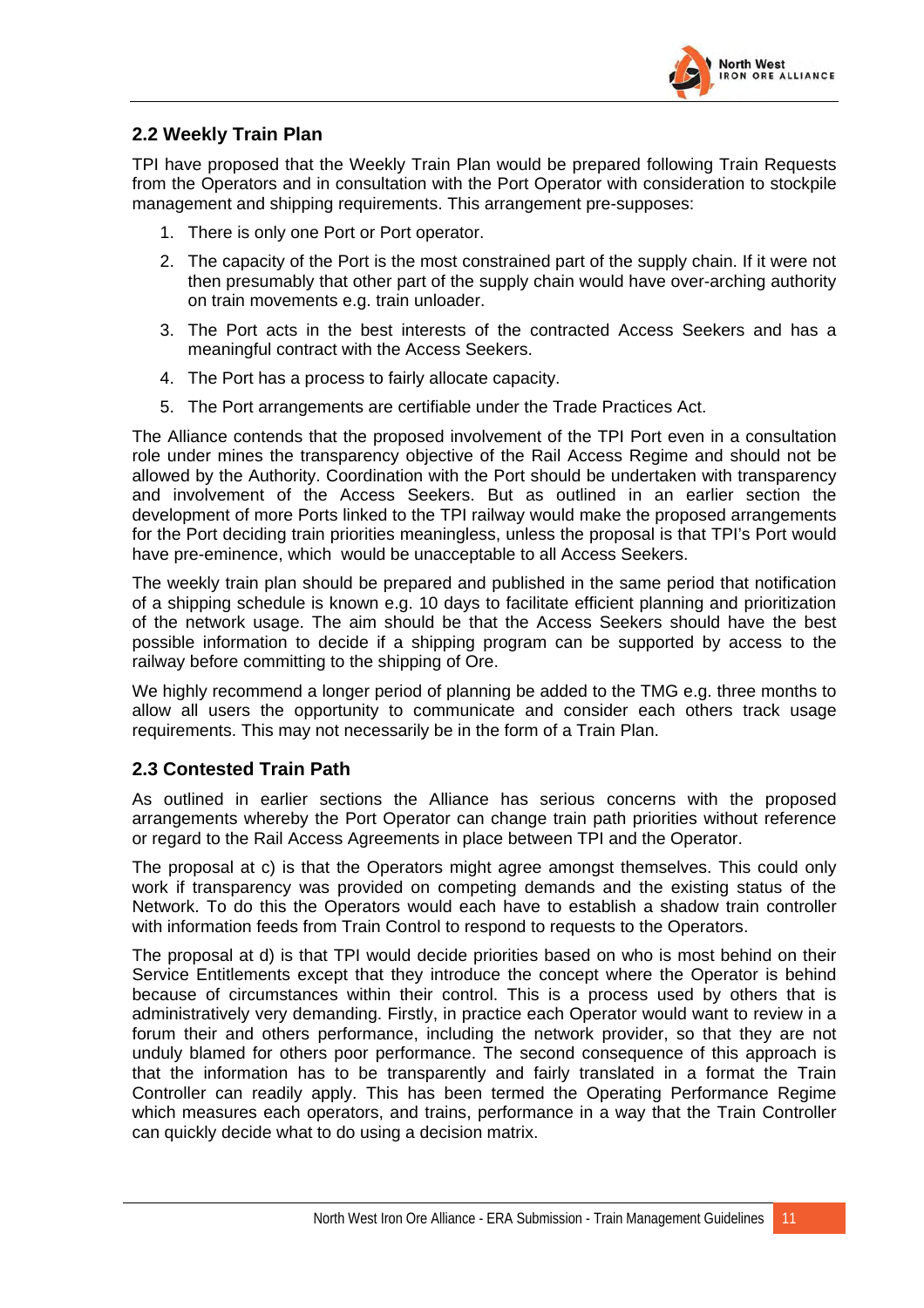

#### <span id="page-12-0"></span>**2.2 Weekly Train Plan**

TPI have proposed that the Weekly Train Plan would be prepared following Train Requests from the Operators and in consultation with the Port Operator with consideration to stockpile management and shipping requirements. This arrangement pre-supposes:

- 1. There is only one Port or Port operator.
- 2. The capacity of the Port is the most constrained part of the supply chain. If it were not then presumably that other part of the supply chain would have over-arching authority on train movements e.g. train unloader.
- 3. The Port acts in the best interests of the contracted Access Seekers and has a meaningful contract with the Access Seekers.
- 4. The Port has a process to fairly allocate capacity.
- 5. The Port arrangements are certifiable under the Trade Practices Act.

The Alliance contends that the proposed involvement of the TPI Port even in a consultation role under mines the transparency objective of the Rail Access Regime and should not be allowed by the Authority. Coordination with the Port should be undertaken with transparency and involvement of the Access Seekers. But as outlined in an earlier section the development of more Ports linked to the TPI railway would make the proposed arrangements for the Port deciding train priorities meaningless, unless the proposal is that TPI's Port would have pre-eminence, which would be unacceptable to all Access Seekers.

The weekly train plan should be prepared and published in the same period that notification of a shipping schedule is known e.g. 10 days to facilitate efficient planning and prioritization of the network usage. The aim should be that the Access Seekers should have the best possible information to decide if a shipping program can be supported by access to the railway before committing to the shipping of Ore.

We highly recommend a longer period of planning be added to the TMG e.g. three months to allow all users the opportunity to communicate and consider each others track usage requirements. This may not necessarily be in the form of a Train Plan.

#### **2.3 Contested Train Path**

As outlined in earlier sections the Alliance has serious concerns with the proposed arrangements whereby the Port Operator can change train path priorities without reference or regard to the Rail Access Agreements in place between TPI and the Operator.

The proposal at c) is that the Operators might agree amongst themselves. This could only work if transparency was provided on competing demands and the existing status of the Network. To do this the Operators would each have to establish a shadow train controller with information feeds from Train Control to respond to requests to the Operators.

The proposal at d) is that TPI would decide priorities based on who is most behind on their Service Entitlements except that they introduce the concept where the Operator is behind because of circumstances within their control. This is a process used by others that is administratively very demanding. Firstly, in practice each Operator would want to review in a forum their and others performance, including the network provider, so that they are not unduly blamed for others poor performance. The second consequence of this approach is that the information has to be transparently and fairly translated in a format the Train Controller can readily apply. This has been termed the Operating Performance Regime which measures each operators, and trains, performance in a way that the Train Controller can quickly decide what to do using a decision matrix.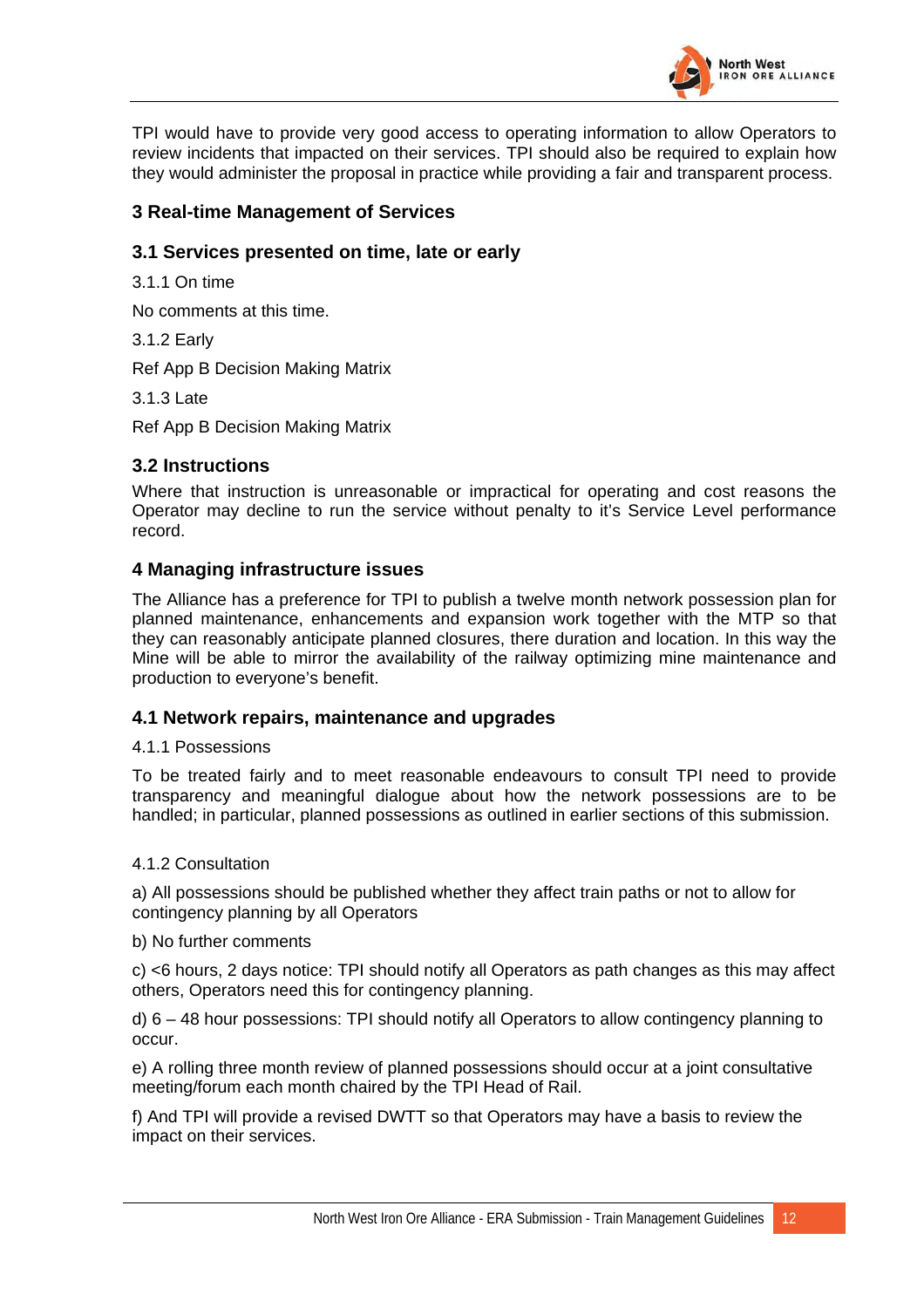

<span id="page-13-0"></span>TPI would have to provide very good access to operating information to allow Operators to review incidents that impacted on their services. TPI should also be required to explain how they would administer the proposal in practice while providing a fair and transparent process.

#### **3 Real-time Management of Services**

#### **3.1 Services presented on time, late or early**

3.1.1 On time

No comments at this time.

3.1.2 Early

Ref App B Decision Making Matrix

3.1.3 Late

Ref App B Decision Making Matrix

#### **3.2 Instructions**

Where that instruction is unreasonable or impractical for operating and cost reasons the Operator may decline to run the service without penalty to it's Service Level performance record.

#### **4 Managing infrastructure issues**

The Alliance has a preference for TPI to publish a twelve month network possession plan for planned maintenance, enhancements and expansion work together with the MTP so that they can reasonably anticipate planned closures, there duration and location. In this way the Mine will be able to mirror the availability of the railway optimizing mine maintenance and production to everyone's benefit.

#### **4.1 Network repairs, maintenance and upgrades**

#### 4.1.1 Possessions

To be treated fairly and to meet reasonable endeavours to consult TPI need to provide transparency and meaningful dialogue about how the network possessions are to be handled; in particular, planned possessions as outlined in earlier sections of this submission.

#### 4.1.2 Consultation

a) All possessions should be published whether they affect train paths or not to allow for contingency planning by all Operators

#### b) No further comments

c) <6 hours, 2 days notice: TPI should notify all Operators as path changes as this may affect others, Operators need this for contingency planning.

d) 6 – 48 hour possessions: TPI should notify all Operators to allow contingency planning to occur.

e) A rolling three month review of planned possessions should occur at a joint consultative meeting/forum each month chaired by the TPI Head of Rail.

f) And TPI will provide a revised DWTT so that Operators may have a basis to review the impact on their services.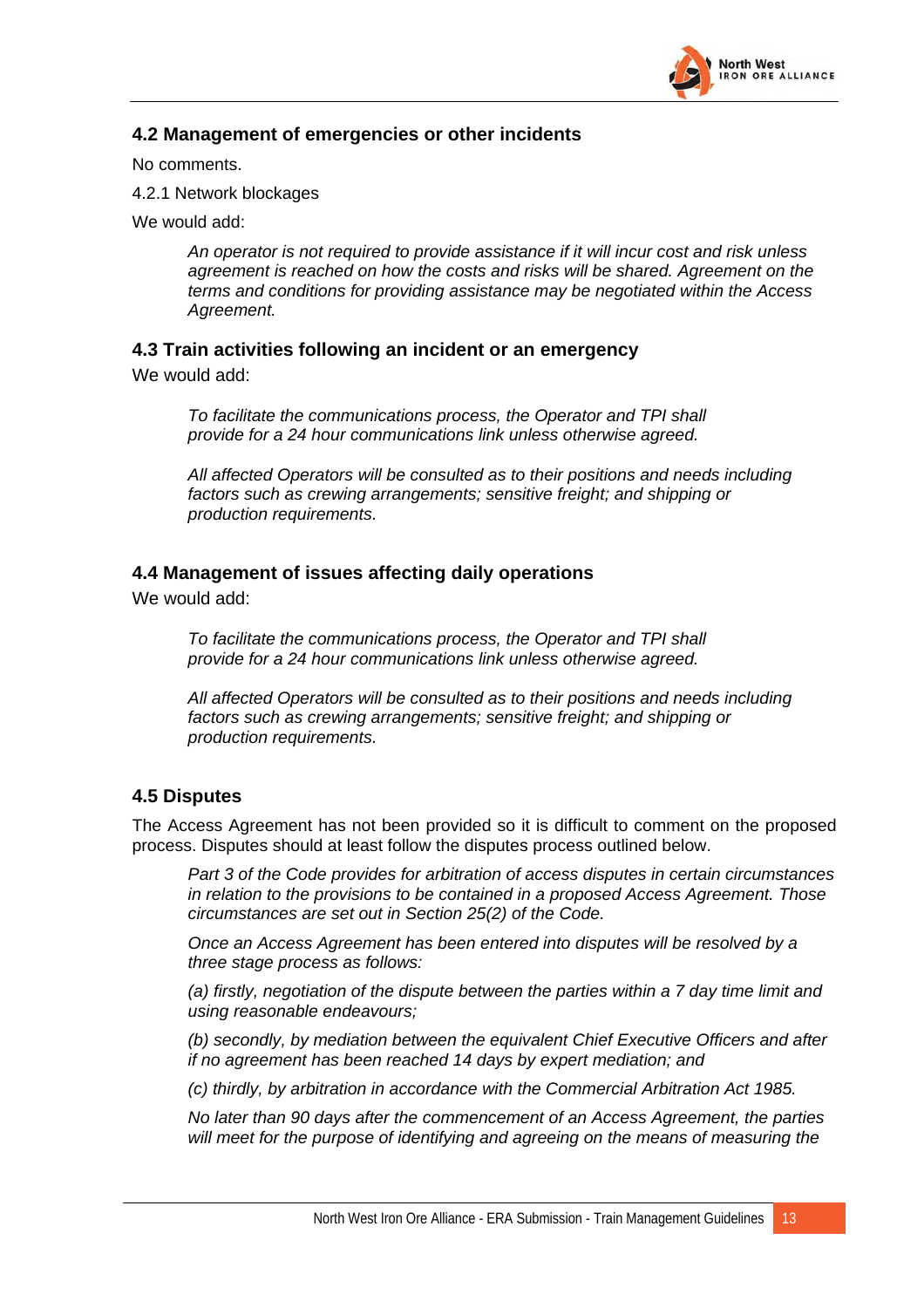

#### <span id="page-14-0"></span>**4.2 Management of emergencies or other incidents**

No comments.

4.2.1 Network blockages

We would add:

*An operator is not required to provide assistance if it will incur cost and risk unless agreement is reached on how the costs and risks will be shared. Agreement on the terms and conditions for providing assistance may be negotiated within the Access Agreement.* 

#### **4.3 Train activities following an incident or an emergency**

We would add:

*To facilitate the communications process, the Operator and TPI shall provide for a 24 hour communications link unless otherwise agreed.* 

*All affected Operators will be consulted as to their positions and needs including factors such as crewing arrangements; sensitive freight; and shipping or production requirements.* 

#### **4.4 Management of issues affecting daily operations**

We would add:

*To facilitate the communications process, the Operator and TPI shall provide for a 24 hour communications link unless otherwise agreed.* 

*All affected Operators will be consulted as to their positions and needs including factors such as crewing arrangements; sensitive freight; and shipping or production requirements.* 

#### **4.5 Disputes**

The Access Agreement has not been provided so it is difficult to comment on the proposed process. Disputes should at least follow the disputes process outlined below.

*Part 3 of the Code provides for arbitration of access disputes in certain circumstances in relation to the provisions to be contained in a proposed Access Agreement. Those circumstances are set out in Section 25(2) of the Code.* 

*Once an Access Agreement has been entered into disputes will be resolved by a three stage process as follows:* 

*(a) firstly, negotiation of the dispute between the parties within a 7 day time limit and using reasonable endeavours;* 

*(b) secondly, by mediation between the equivalent Chief Executive Officers and after if no agreement has been reached 14 days by expert mediation; and* 

*(c) thirdly, by arbitration in accordance with the Commercial Arbitration Act 1985.* 

*No later than 90 days after the commencement of an Access Agreement, the parties will meet for the purpose of identifying and agreeing on the means of measuring the*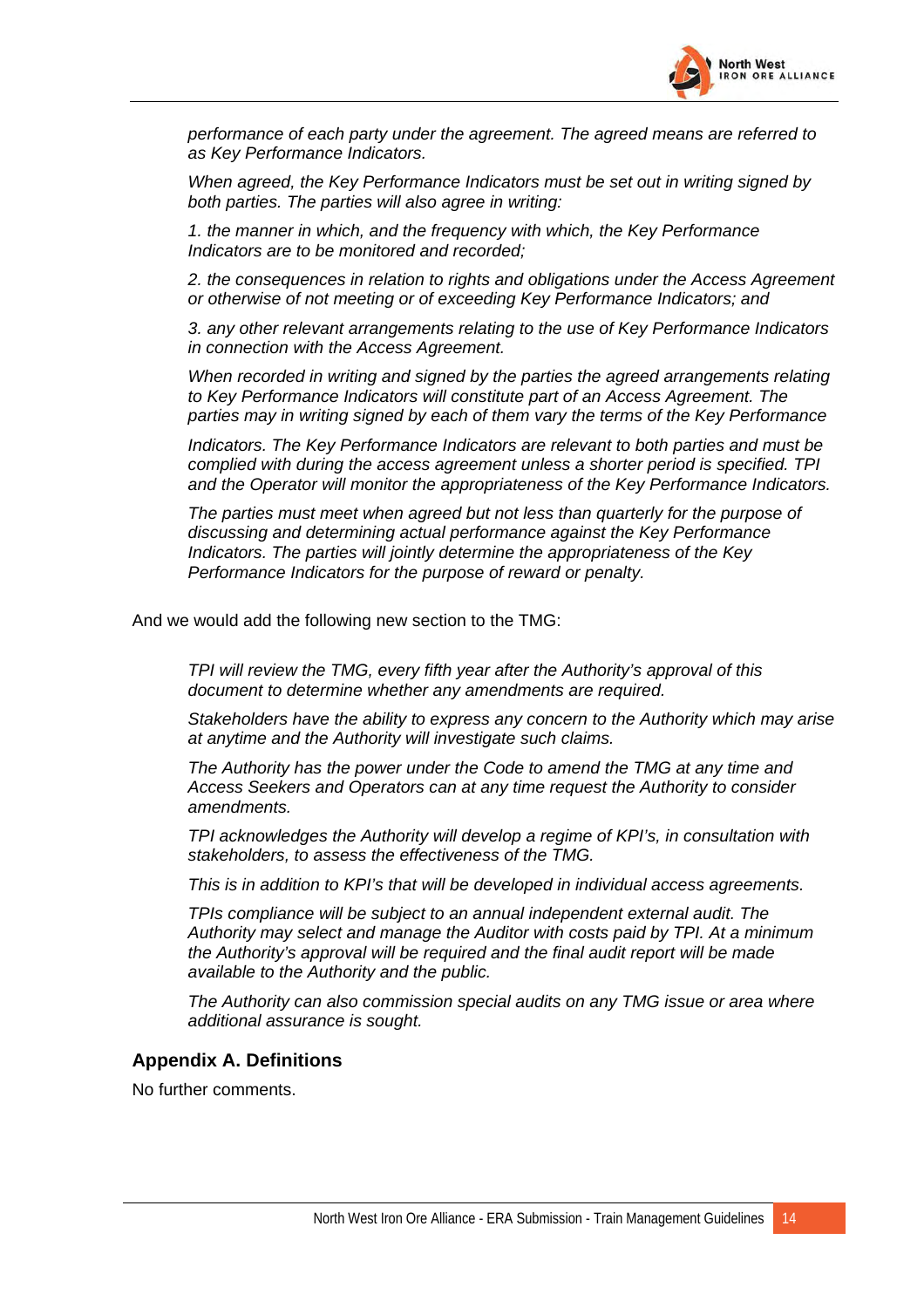

<span id="page-15-0"></span>*performance of each party under the agreement. The agreed means are referred to as Key Performance Indicators.* 

*When agreed, the Key Performance Indicators must be set out in writing signed by both parties. The parties will also agree in writing:* 

*1. the manner in which, and the frequency with which, the Key Performance Indicators are to be monitored and recorded;* 

*2. the consequences in relation to rights and obligations under the Access Agreement or otherwise of not meeting or of exceeding Key Performance Indicators; and* 

*3. any other relevant arrangements relating to the use of Key Performance Indicators in connection with the Access Agreement.* 

*When recorded in writing and signed by the parties the agreed arrangements relating to Key Performance Indicators will constitute part of an Access Agreement. The parties may in writing signed by each of them vary the terms of the Key Performance* 

*Indicators. The Key Performance Indicators are relevant to both parties and must be complied with during the access agreement unless a shorter period is specified. TPI and the Operator will monitor the appropriateness of the Key Performance Indicators.* 

*The parties must meet when agreed but not less than quarterly for the purpose of discussing and determining actual performance against the Key Performance Indicators. The parties will jointly determine the appropriateness of the Key Performance Indicators for the purpose of reward or penalty.* 

And we would add the following new section to the TMG:

*TPI will review the TMG, every fifth year after the Authority's approval of this document to determine whether any amendments are required.* 

*Stakeholders have the ability to express any concern to the Authority which may arise at anytime and the Authority will investigate such claims.* 

*The Authority has the power under the Code to amend the TMG at any time and Access Seekers and Operators can at any time request the Authority to consider amendments.* 

*TPI acknowledges the Authority will develop a regime of KPI's, in consultation with stakeholders, to assess the effectiveness of the TMG.* 

*This is in addition to KPI's that will be developed in individual access agreements.* 

*TPIs compliance will be subject to an annual independent external audit. The Authority may select and manage the Auditor with costs paid by TPI. At a minimum the Authority's approval will be required and the final audit report will be made available to the Authority and the public.* 

*The Authority can also commission special audits on any TMG issue or area where additional assurance is sought.* 

#### **Appendix A. Definitions**

No further comments.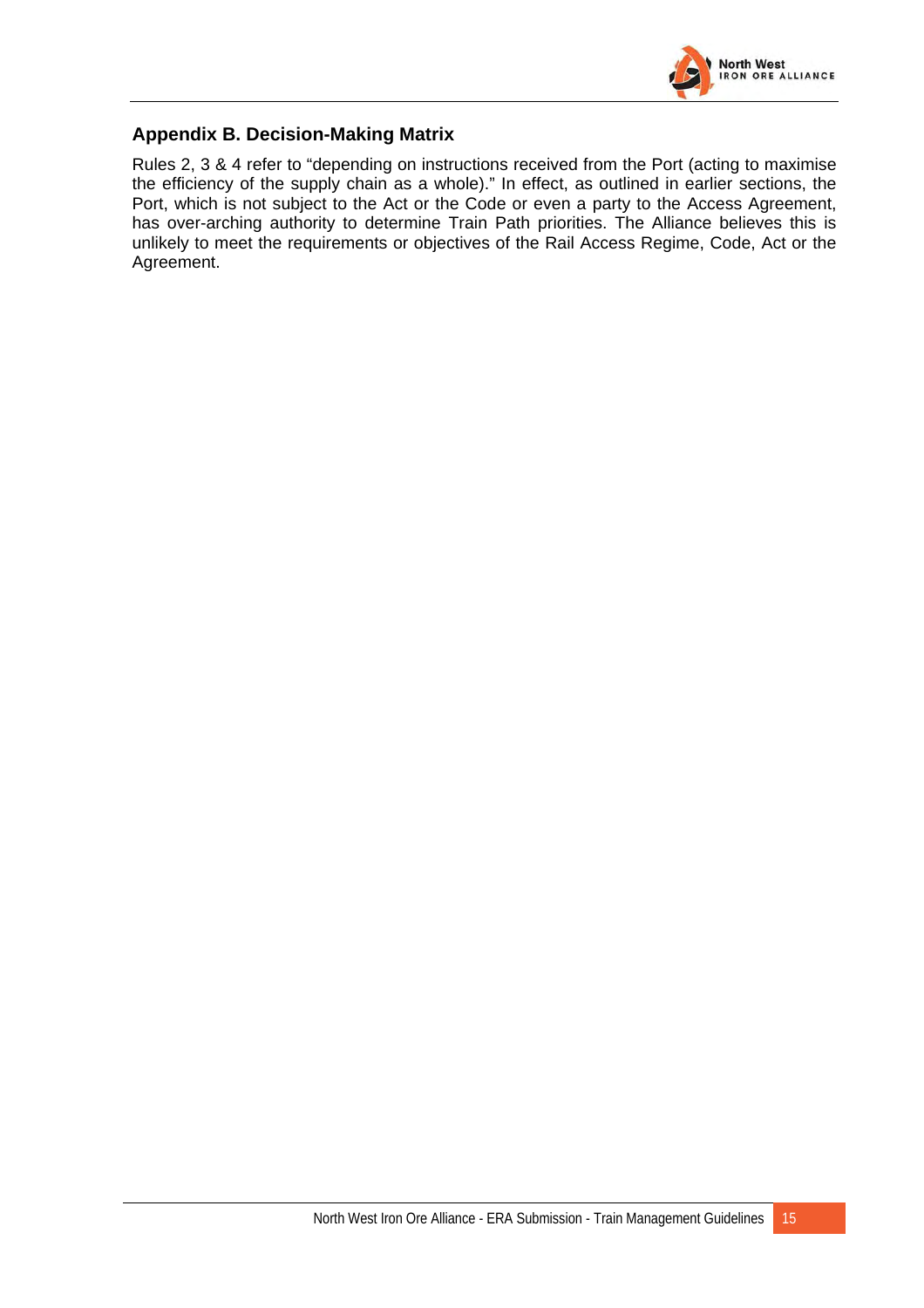

#### <span id="page-16-0"></span>**Appendix B. Decision-Making Matrix**

Rules 2, 3 & 4 refer to "depending on instructions received from the Port (acting to maximise the efficiency of the supply chain as a whole)." In effect, as outlined in earlier sections, the Port, which is not subject to the Act or the Code or even a party to the Access Agreement, has over-arching authority to determine Train Path priorities. The Alliance believes this is unlikely to meet the requirements or objectives of the Rail Access Regime, Code, Act or the Agreement.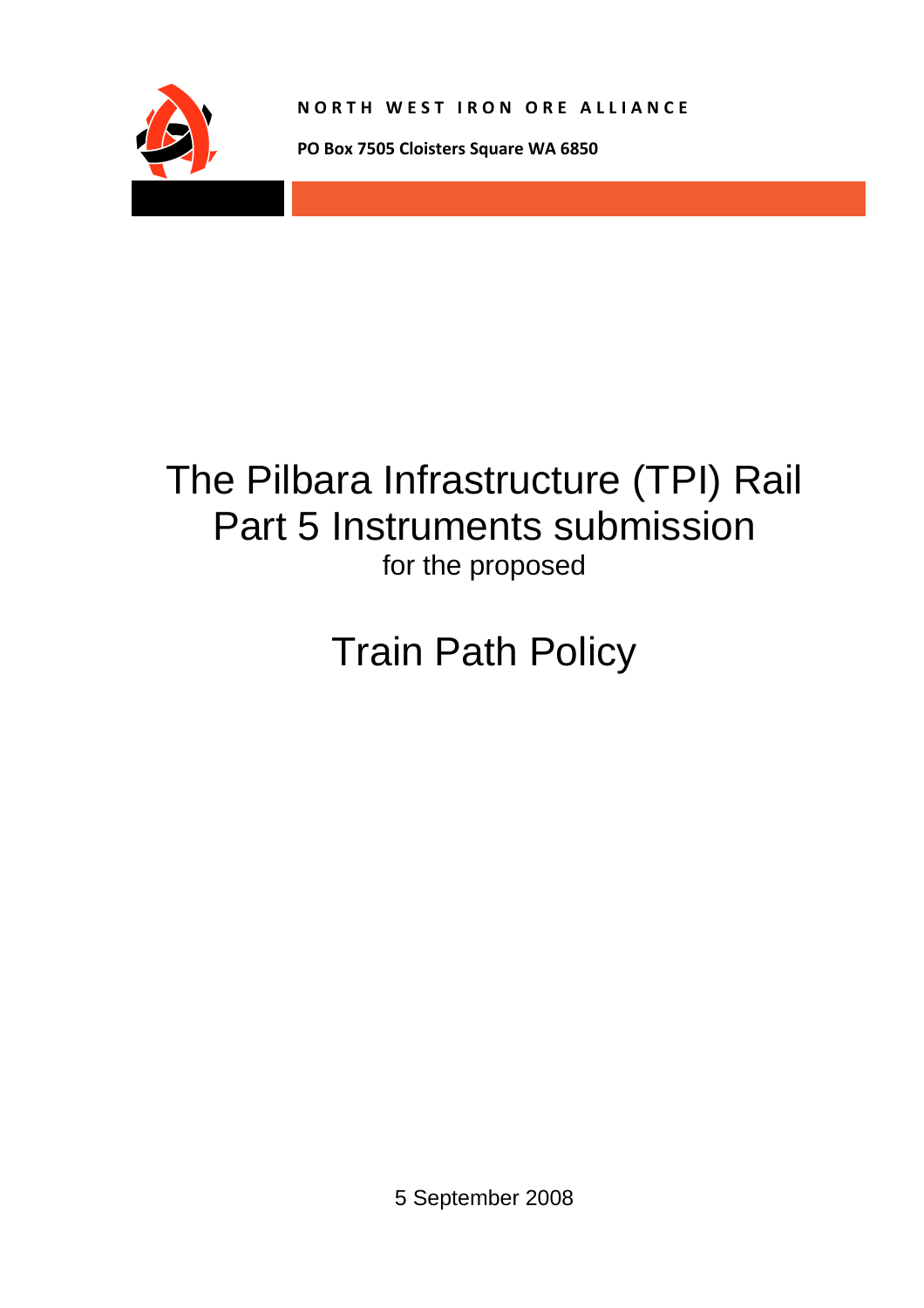

**NORTH WEST IRON ORE ALLIANCE**

**PO Box 7505 Cloisters Square WA 6850**

# The Pilbara Infrastructure (TPI) Rail Part 5 Instruments submission for the proposed

# Train Path Policy

5 September 2008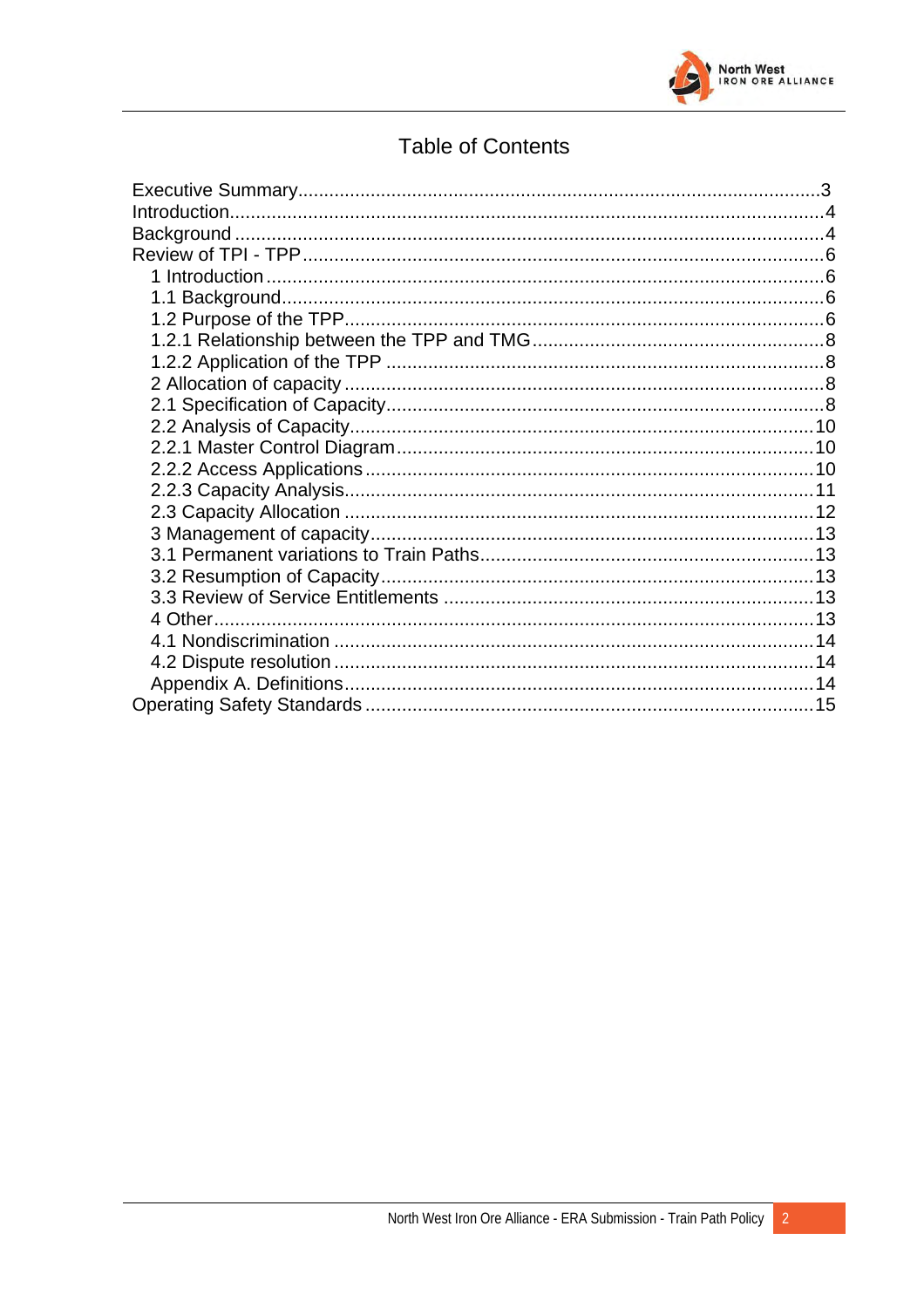

## **Table of Contents**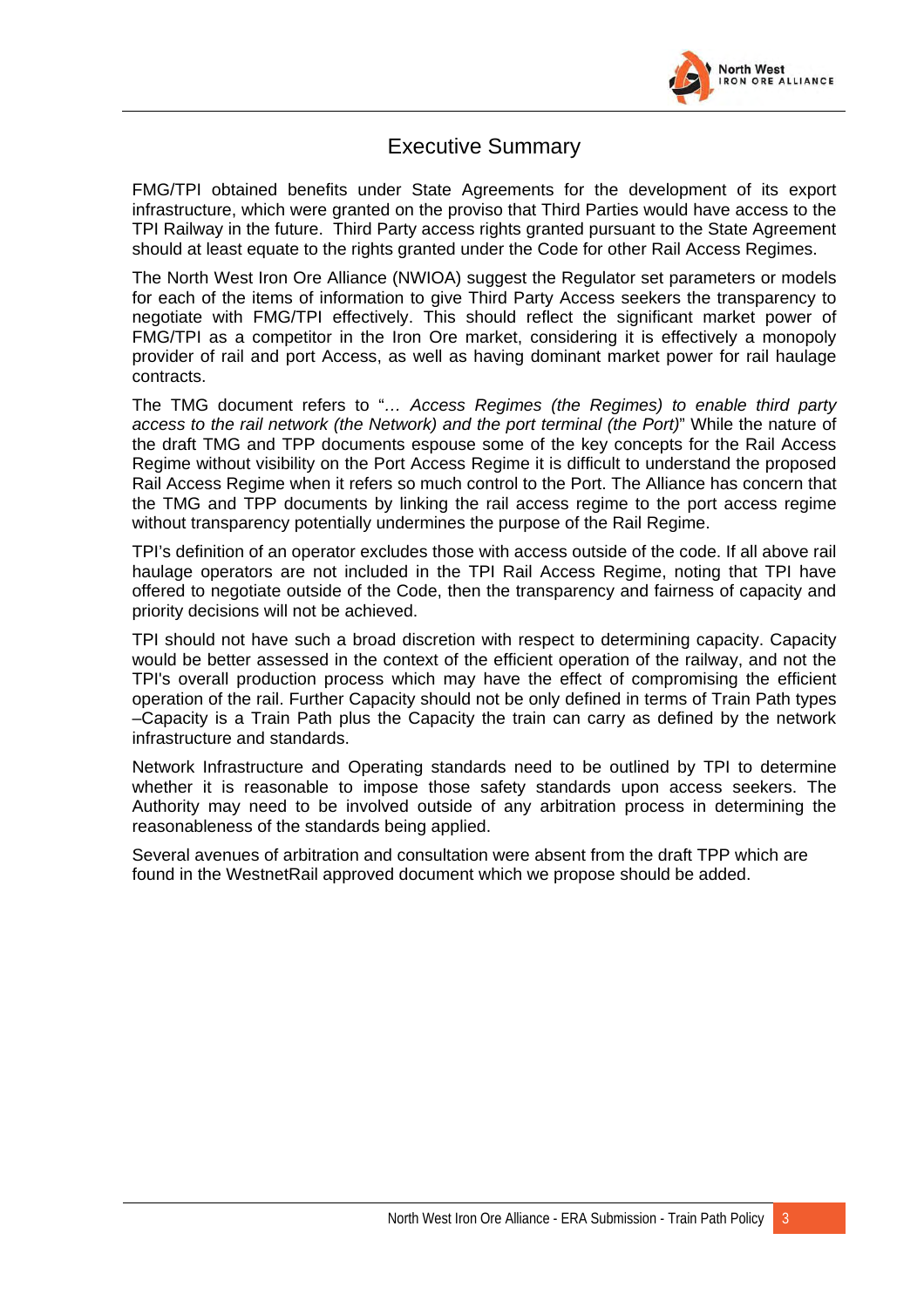

#### Executive Summary

FMG/TPI obtained benefits under State Agreements for the development of its export infrastructure, which were granted on the proviso that Third Parties would have access to the TPI Railway in the future. Third Party access rights granted pursuant to the State Agreement should at least equate to the rights granted under the Code for other Rail Access Regimes.

The North West Iron Ore Alliance (NWIOA) suggest the Regulator set parameters or models for each of the items of information to give Third Party Access seekers the transparency to negotiate with FMG/TPI effectively. This should reflect the significant market power of FMG/TPI as a competitor in the Iron Ore market, considering it is effectively a monopoly provider of rail and port Access, as well as having dominant market power for rail haulage contracts.

The TMG document refers to "*… Access Regimes (the Regimes) to enable third party access to the rail network (the Network) and the port terminal (the Port)*" While the nature of the draft TMG and TPP documents espouse some of the key concepts for the Rail Access Regime without visibility on the Port Access Regime it is difficult to understand the proposed Rail Access Regime when it refers so much control to the Port. The Alliance has concern that the TMG and TPP documents by linking the rail access regime to the port access regime without transparency potentially undermines the purpose of the Rail Regime.

TPI's definition of an operator excludes those with access outside of the code. If all above rail haulage operators are not included in the TPI Rail Access Regime, noting that TPI have offered to negotiate outside of the Code, then the transparency and fairness of capacity and priority decisions will not be achieved.

TPI should not have such a broad discretion with respect to determining capacity. Capacity would be better assessed in the context of the efficient operation of the railway, and not the TPI's overall production process which may have the effect of compromising the efficient operation of the rail. Further Capacity should not be only defined in terms of Train Path types –Capacity is a Train Path plus the Capacity the train can carry as defined by the network infrastructure and standards.

Network Infrastructure and Operating standards need to be outlined by TPI to determine whether it is reasonable to impose those safety standards upon access seekers. The Authority may need to be involved outside of any arbitration process in determining the reasonableness of the standards being applied.

Several avenues of arbitration and consultation were absent from the draft TPP which are found in the WestnetRail approved document which we propose should be added.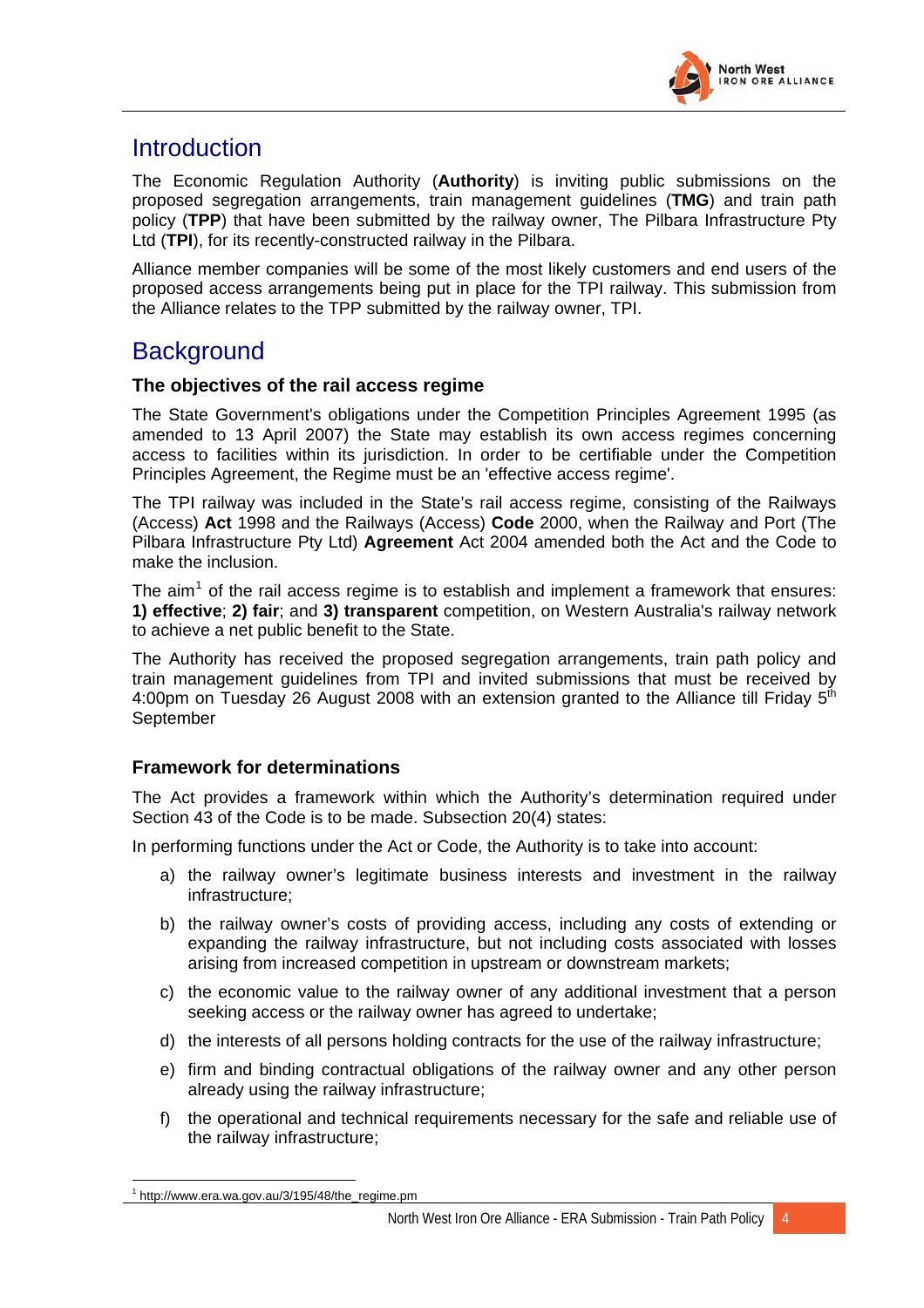

# <span id="page-20-0"></span>**Introduction**

The Economic Regulation Authority (**Authority**) is inviting public submissions on the proposed segregation arrangements, train management guidelines (**TMG**) and train path policy (**TPP**) that have been submitted by the railway owner, The Pilbara Infrastructure Pty Ltd (**TPI**), for its recently-constructed railway in the Pilbara.

Alliance member companies will be some of the most likely customers and end users of the proposed access arrangements being put in place for the TPI railway. This submission from the Alliance relates to the TPP submitted by the railway owner, TPI.

# **Background**

#### **The objectives of the rail access regime**

The State Government's obligations under the Competition Principles Agreement 1995 (as amended to 13 April 2007) the State may establish its own access regimes concerning access to facilities within its jurisdiction. In order to be certifiable under the Competition Principles Agreement, the Regime must be an 'effective access regime'.

The TPI railway was included in the State's rail access regime, consisting of the Railways (Access) **Act** 1998 and the Railways (Access) **Code** 2000, when the Railway and Port (The Pilbara Infrastructure Pty Ltd) **Agreement** Act 2004 amended both the Act and the Code to make the inclusion.

The aim<sup>[1](#page-20-1)</sup> of the rail access regime is to establish and implement a framework that ensures: **1) effective**; **2) fair**; and **3) transparent** competition, on Western Australia's railway network to achieve a net public benefit to the State.

The Authority has received the proposed segregation arrangements, train path policy and train management guidelines from TPI and invited submissions that must be received by 4:00pm on Tuesday 26 August 2008 with an extension granted to the Alliance till Friday  $5<sup>th</sup>$ **September** 

#### **Framework for determinations**

The Act provides a framework within which the Authority's determination required under Section 43 of the Code is to be made. Subsection 20(4) states:

In performing functions under the Act or Code, the Authority is to take into account:

- a) the railway owner's legitimate business interests and investment in the railway infrastructure;
- b) the railway owner's costs of providing access, including any costs of extending or expanding the railway infrastructure, but not including costs associated with losses arising from increased competition in upstream or downstream markets;
- c) the economic value to the railway owner of any additional investment that a person seeking access or the railway owner has agreed to undertake;
- d) the interests of all persons holding contracts for the use of the railway infrastructure;
- e) firm and binding contractual obligations of the railway owner and any other person already using the railway infrastructure;
- f) the operational and technical requirements necessary for the safe and reliable use of the railway infrastructure;

<span id="page-20-1"></span> $\overline{a}$  $1$  http://www.era.wa.gov.au/3/195/48/the\_regime.pm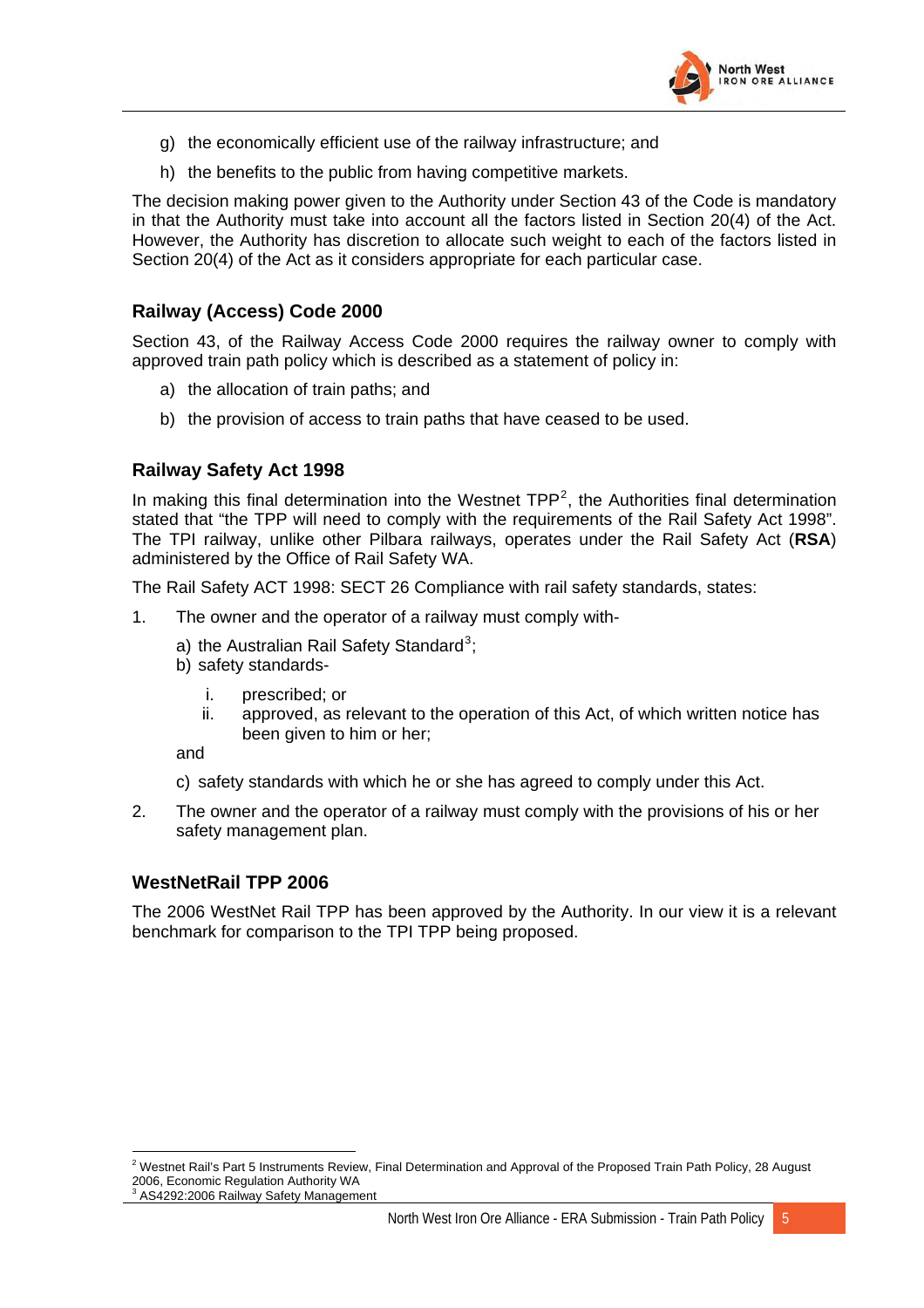

- g) the economically efficient use of the railway infrastructure; and
- h) the benefits to the public from having competitive markets.

The decision making power given to the Authority under Section 43 of the Code is mandatory in that the Authority must take into account all the factors listed in Section 20(4) of the Act. However, the Authority has discretion to allocate such weight to each of the factors listed in Section 20(4) of the Act as it considers appropriate for each particular case.

#### **Railway (Access) Code 2000**

Section 43, of the Railway Access Code 2000 requires the railway owner to comply with approved train path policy which is described as a statement of policy in:

- a) the allocation of train paths; and
- b) the provision of access to train paths that have ceased to be used.

#### **Railway Safety Act 1998**

In making this final determination into the Westnet  $TPP<sup>2</sup>$  $TPP<sup>2</sup>$  $TPP<sup>2</sup>$ , the Authorities final determination stated that "the TPP will need to comply with the requirements of the Rail Safety Act 1998". The TPI railway, unlike other Pilbara railways, operates under the Rail Safety Act (**RSA**) administered by the Office of Rail Safety WA.

The Rail Safety ACT 1998: SECT 26 Compliance with rail safety standards, states:

- 1. The owner and the operator of a railway must comply with-
	- a) the Australian Rail Safety Standard<sup>[3](#page-21-1)</sup>;
	- b) safety standards
		- i. prescribed; or
		- ii. approved, as relevant to the operation of this Act, of which written notice has been given to him or her;

and

 $\overline{a}$ 

c) safety standards with which he or she has agreed to comply under this Act.

2. The owner and the operator of a railway must comply with the provisions of his or her safety management plan.

#### **WestNetRail TPP 2006**

The 2006 WestNet Rail TPP has been approved by the Authority. In our view it is a relevant benchmark for comparison to the TPI TPP being proposed.

<span id="page-21-1"></span><span id="page-21-0"></span><sup>2</sup> Westnet Rail's Part 5 Instruments Review, Final Determination and Approval of the Proposed Train Path Policy, 28 August 2006, Economic Regulation Authority WA 3 AS4292:2006 Railway Safety Management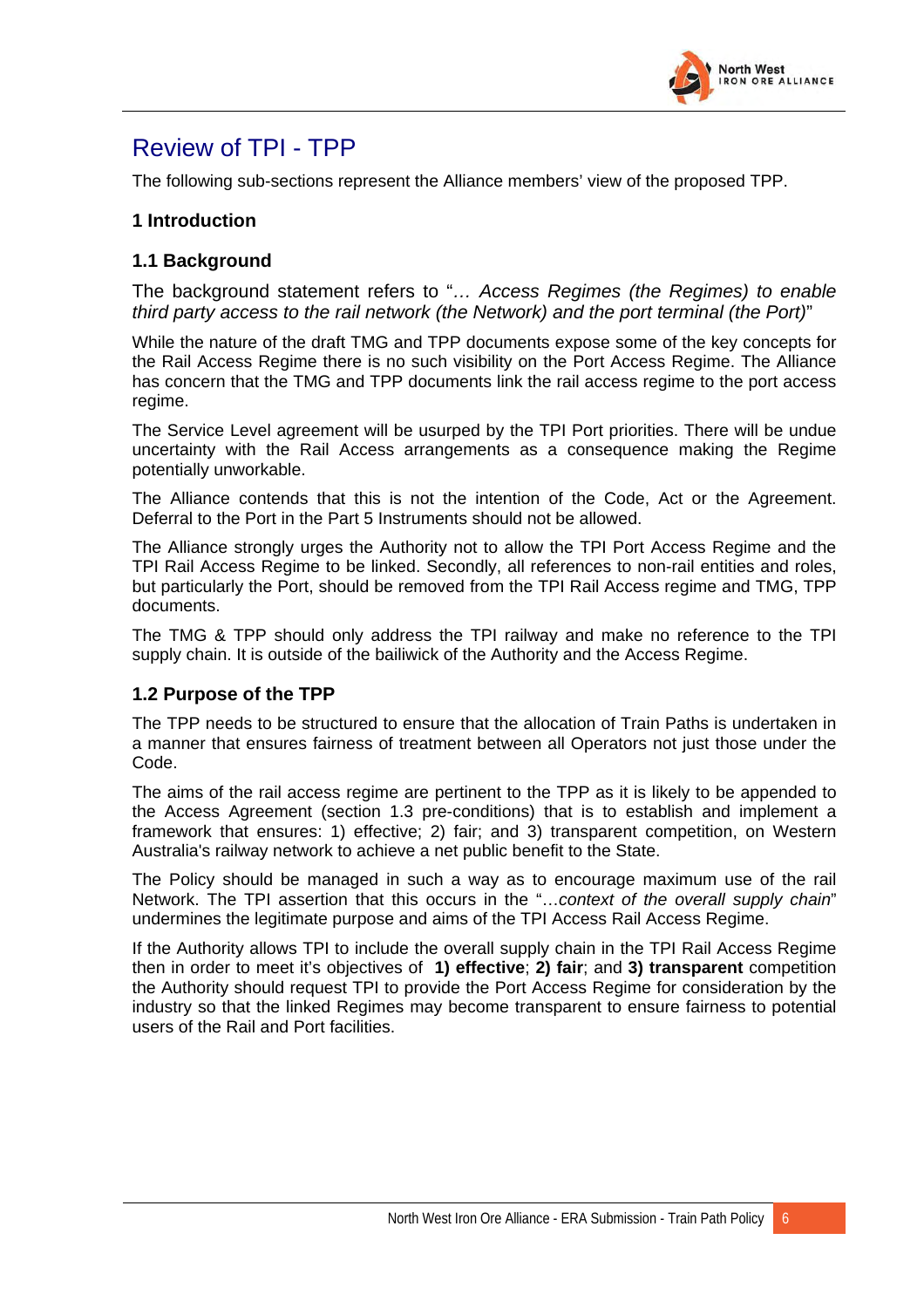

# <span id="page-22-0"></span>Review of TPI - TPP

The following sub-sections represent the Alliance members' view of the proposed TPP.

#### **1 Introduction**

#### **1.1 Background**

The background statement refers to "*… Access Regimes (the Regimes) to enable third party access to the rail network (the Network) and the port terminal (the Port)*"

While the nature of the draft TMG and TPP documents expose some of the key concepts for the Rail Access Regime there is no such visibility on the Port Access Regime. The Alliance has concern that the TMG and TPP documents link the rail access regime to the port access regime.

The Service Level agreement will be usurped by the TPI Port priorities. There will be undue uncertainty with the Rail Access arrangements as a consequence making the Regime potentially unworkable.

The Alliance contends that this is not the intention of the Code, Act or the Agreement. Deferral to the Port in the Part 5 Instruments should not be allowed.

The Alliance strongly urges the Authority not to allow the TPI Port Access Regime and the TPI Rail Access Regime to be linked. Secondly, all references to non-rail entities and roles, but particularly the Port, should be removed from the TPI Rail Access regime and TMG, TPP documents.

The TMG & TPP should only address the TPI railway and make no reference to the TPI supply chain. It is outside of the bailiwick of the Authority and the Access Regime.

#### **1.2 Purpose of the TPP**

The TPP needs to be structured to ensure that the allocation of Train Paths is undertaken in a manner that ensures fairness of treatment between all Operators not just those under the Code.

The aims of the rail access regime are pertinent to the TPP as it is likely to be appended to the Access Agreement (section 1.3 pre-conditions) that is to establish and implement a framework that ensures: 1) effective; 2) fair; and 3) transparent competition, on Western Australia's railway network to achieve a net public benefit to the State.

The Policy should be managed in such a way as to encourage maximum use of the rail Network. The TPI assertion that this occurs in the "…*context of the overall supply chain*" undermines the legitimate purpose and aims of the TPI Access Rail Access Regime.

If the Authority allows TPI to include the overall supply chain in the TPI Rail Access Regime then in order to meet it's objectives of **1) effective**; **2) fair**; and **3) transparent** competition the Authority should request TPI to provide the Port Access Regime for consideration by the industry so that the linked Regimes may become transparent to ensure fairness to potential users of the Rail and Port facilities.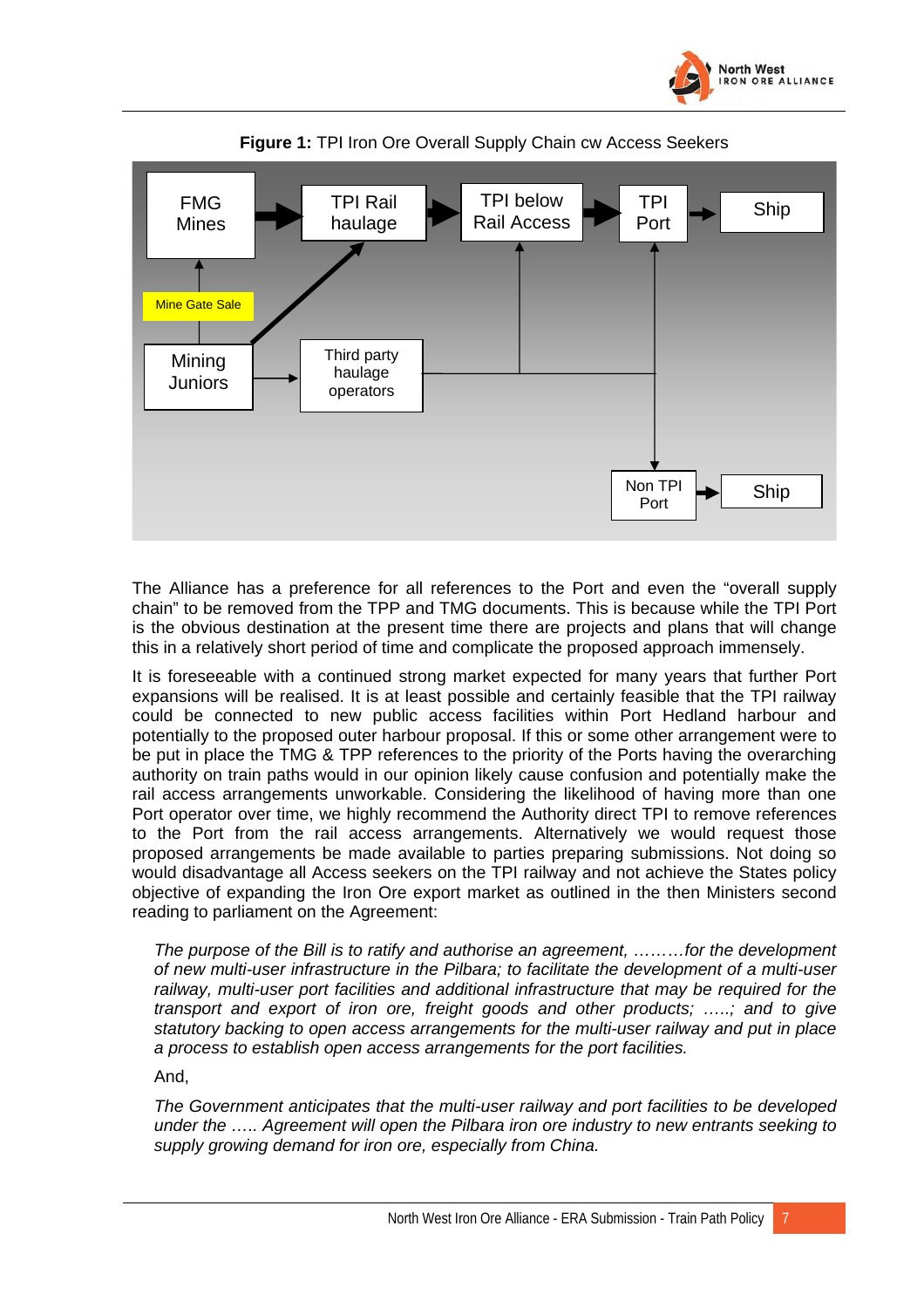





The Alliance has a preference for all references to the Port and even the "overall supply chain" to be removed from the TPP and TMG documents. This is because while the TPI Port is the obvious destination at the present time there are projects and plans that will change this in a relatively short period of time and complicate the proposed approach immensely.

It is foreseeable with a continued strong market expected for many years that further Port expansions will be realised. It is at least possible and certainly feasible that the TPI railway could be connected to new public access facilities within Port Hedland harbour and potentially to the proposed outer harbour proposal. If this or some other arrangement were to be put in place the TMG & TPP references to the priority of the Ports having the overarching authority on train paths would in our opinion likely cause confusion and potentially make the rail access arrangements unworkable. Considering the likelihood of having more than one Port operator over time, we highly recommend the Authority direct TPI to remove references to the Port from the rail access arrangements. Alternatively we would request those proposed arrangements be made available to parties preparing submissions. Not doing so would disadvantage all Access seekers on the TPI railway and not achieve the States policy objective of expanding the Iron Ore export market as outlined in the then Ministers second reading to parliament on the Agreement:

*The purpose of the Bill is to ratify and authorise an agreement, ………for the development of new multi-user infrastructure in the Pilbara; to facilitate the development of a multi-user railway, multi-user port facilities and additional infrastructure that may be required for the transport and export of iron ore, freight goods and other products; …..; and to give statutory backing to open access arrangements for the multi-user railway and put in place a process to establish open access arrangements for the port facilities.* 

And,

*The Government anticipates that the multi-user railway and port facilities to be developed under the ….. Agreement will open the Pilbara iron ore industry to new entrants seeking to supply growing demand for iron ore, especially from China.*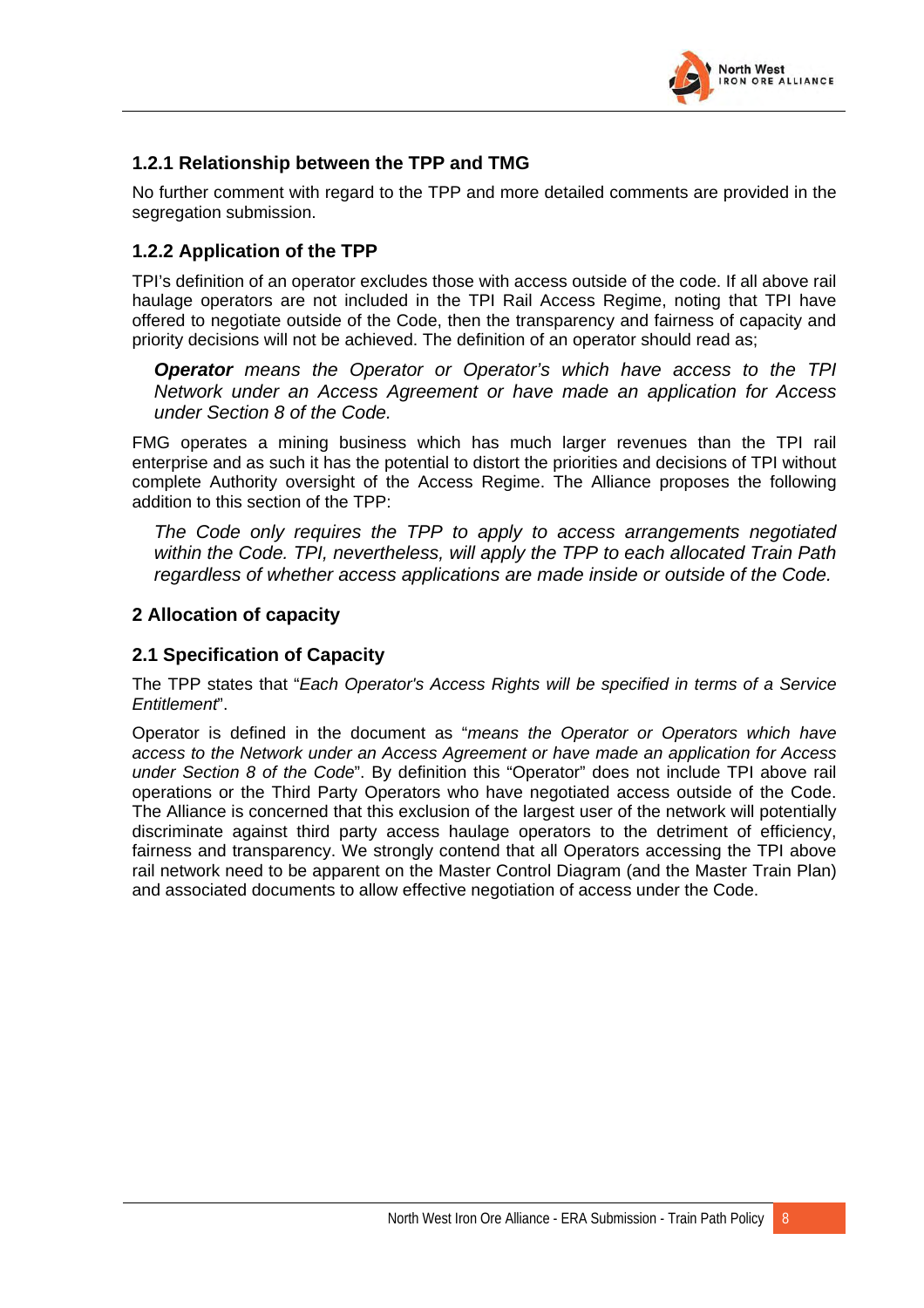

#### <span id="page-24-0"></span>**1.2.1 Relationship between the TPP and TMG**

No further comment with regard to the TPP and more detailed comments are provided in the segregation submission.

#### **1.2.2 Application of the TPP**

TPI's definition of an operator excludes those with access outside of the code. If all above rail haulage operators are not included in the TPI Rail Access Regime, noting that TPI have offered to negotiate outside of the Code, then the transparency and fairness of capacity and priority decisions will not be achieved. The definition of an operator should read as;

*Operator means the Operator or Operator's which have access to the TPI Network under an Access Agreement or have made an application for Access under Section 8 of the Code.*

FMG operates a mining business which has much larger revenues than the TPI rail enterprise and as such it has the potential to distort the priorities and decisions of TPI without complete Authority oversight of the Access Regime. The Alliance proposes the following addition to this section of the TPP:

*The Code only requires the TPP to apply to access arrangements negotiated within the Code. TPI, nevertheless, will apply the TPP to each allocated Train Path regardless of whether access applications are made inside or outside of the Code.* 

#### **2 Allocation of capacity**

#### **2.1 Specification of Capacity**

The TPP states that "*Each Operator's Access Rights will be specified in terms of a Service Entitlement*".

Operator is defined in the document as "*means the Operator or Operators which have access to the Network under an Access Agreement or have made an application for Access under Section 8 of the Code*". By definition this "Operator" does not include TPI above rail operations or the Third Party Operators who have negotiated access outside of the Code. The Alliance is concerned that this exclusion of the largest user of the network will potentially discriminate against third party access haulage operators to the detriment of efficiency, fairness and transparency. We strongly contend that all Operators accessing the TPI above rail network need to be apparent on the Master Control Diagram (and the Master Train Plan) and associated documents to allow effective negotiation of access under the Code.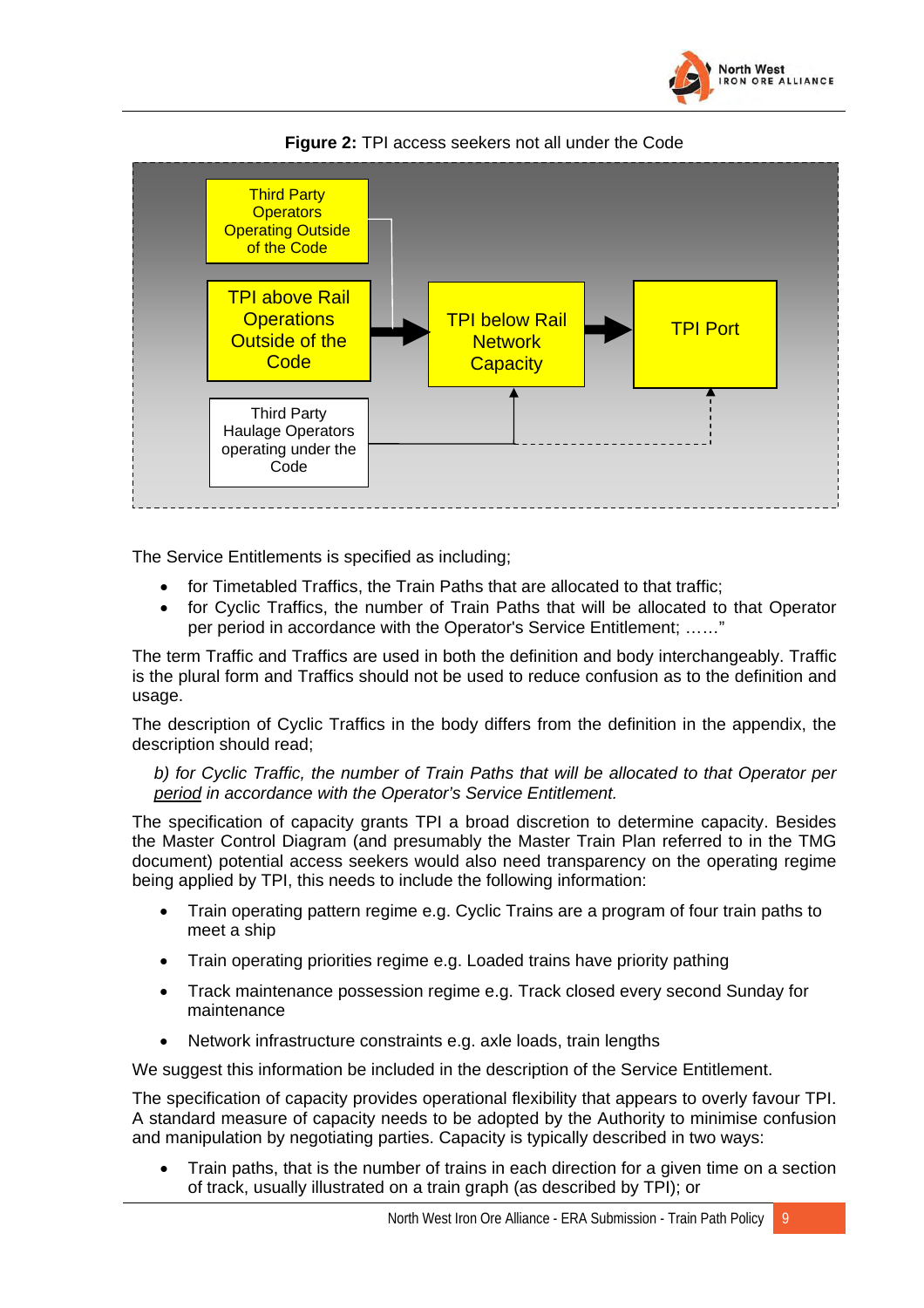



**Figure 2:** TPI access seekers not all under the Code

The Service Entitlements is specified as including;

- for Timetabled Traffics, the Train Paths that are allocated to that traffic;
- for Cyclic Traffics, the number of Train Paths that will be allocated to that Operator per period in accordance with the Operator's Service Entitlement; ……"

The term Traffic and Traffics are used in both the definition and body interchangeably. Traffic is the plural form and Traffics should not be used to reduce confusion as to the definition and usage.

The description of Cyclic Traffics in the body differs from the definition in the appendix, the description should read;

*b) for Cyclic Traffic, the number of Train Paths that will be allocated to that Operator per period in accordance with the Operator's Service Entitlement.* 

The specification of capacity grants TPI a broad discretion to determine capacity. Besides the Master Control Diagram (and presumably the Master Train Plan referred to in the TMG document) potential access seekers would also need transparency on the operating regime being applied by TPI, this needs to include the following information:

- Train operating pattern regime e.g. Cyclic Trains are a program of four train paths to meet a ship
- Train operating priorities regime e.g. Loaded trains have priority pathing
- Track maintenance possession regime e.g. Track closed every second Sunday for maintenance
- Network infrastructure constraints e.g. axle loads, train lengths

We suggest this information be included in the description of the Service Entitlement.

The specification of capacity provides operational flexibility that appears to overly favour TPI. A standard measure of capacity needs to be adopted by the Authority to minimise confusion and manipulation by negotiating parties. Capacity is typically described in two ways:

• Train paths, that is the number of trains in each direction for a given time on a section of track, usually illustrated on a train graph (as described by TPI); or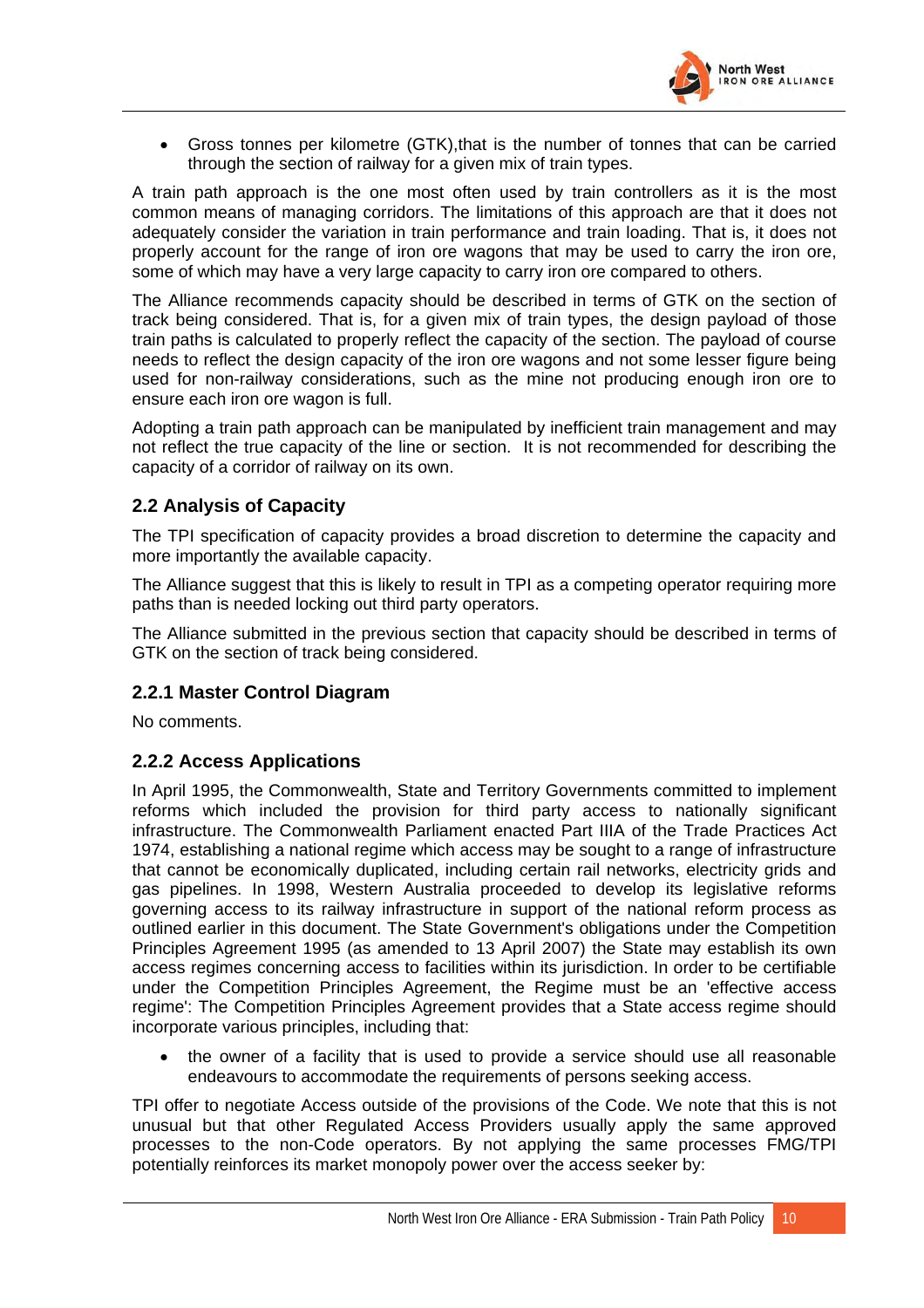

<span id="page-26-0"></span>• Gross tonnes per kilometre (GTK),that is the number of tonnes that can be carried through the section of railway for a given mix of train types.

A train path approach is the one most often used by train controllers as it is the most common means of managing corridors. The limitations of this approach are that it does not adequately consider the variation in train performance and train loading. That is, it does not properly account for the range of iron ore wagons that may be used to carry the iron ore, some of which may have a very large capacity to carry iron ore compared to others.

The Alliance recommends capacity should be described in terms of GTK on the section of track being considered. That is, for a given mix of train types, the design payload of those train paths is calculated to properly reflect the capacity of the section. The payload of course needs to reflect the design capacity of the iron ore wagons and not some lesser figure being used for non-railway considerations, such as the mine not producing enough iron ore to ensure each iron ore wagon is full.

Adopting a train path approach can be manipulated by inefficient train management and may not reflect the true capacity of the line or section. It is not recommended for describing the capacity of a corridor of railway on its own.

#### **2.2 Analysis of Capacity**

The TPI specification of capacity provides a broad discretion to determine the capacity and more importantly the available capacity.

The Alliance suggest that this is likely to result in TPI as a competing operator requiring more paths than is needed locking out third party operators.

The Alliance submitted in the previous section that capacity should be described in terms of GTK on the section of track being considered.

#### **2.2.1 Master Control Diagram**

No comments.

#### **2.2.2 Access Applications**

In April 1995, the Commonwealth, State and Territory Governments committed to implement reforms which included the provision for third party access to nationally significant infrastructure. The Commonwealth Parliament enacted Part IIIA of the Trade Practices Act 1974, establishing a national regime which access may be sought to a range of infrastructure that cannot be economically duplicated, including certain rail networks, electricity grids and gas pipelines. In 1998, Western Australia proceeded to develop its legislative reforms governing access to its railway infrastructure in support of the national reform process as outlined earlier in this document. The State Government's obligations under the Competition Principles Agreement 1995 (as amended to 13 April 2007) the State may establish its own access regimes concerning access to facilities within its jurisdiction. In order to be certifiable under the Competition Principles Agreement, the Regime must be an 'effective access regime': The Competition Principles Agreement provides that a State access regime should incorporate various principles, including that:

• the owner of a facility that is used to provide a service should use all reasonable endeavours to accommodate the requirements of persons seeking access.

TPI offer to negotiate Access outside of the provisions of the Code. We note that this is not unusual but that other Regulated Access Providers usually apply the same approved processes to the non-Code operators. By not applying the same processes FMG/TPI potentially reinforces its market monopoly power over the access seeker by: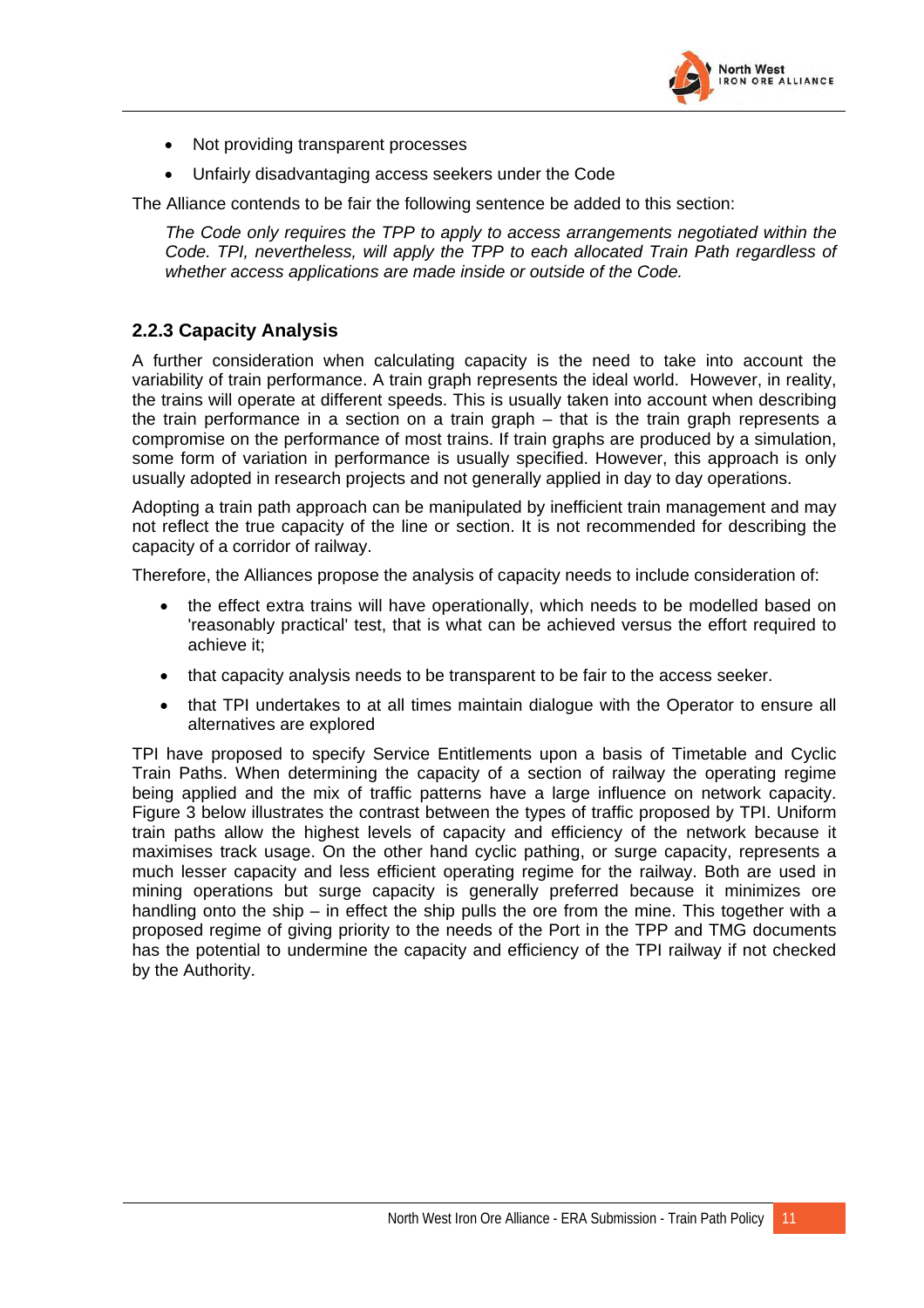

- <span id="page-27-0"></span>• Not providing transparent processes
- Unfairly disadvantaging access seekers under the Code

The Alliance contends to be fair the following sentence be added to this section:

*The Code only requires the TPP to apply to access arrangements negotiated within the Code. TPI, nevertheless, will apply the TPP to each allocated Train Path regardless of whether access applications are made inside or outside of the Code.* 

#### **2.2.3 Capacity Analysis**

A further consideration when calculating capacity is the need to take into account the variability of train performance. A train graph represents the ideal world. However, in reality, the trains will operate at different speeds. This is usually taken into account when describing the train performance in a section on a train graph – that is the train graph represents a compromise on the performance of most trains. If train graphs are produced by a simulation, some form of variation in performance is usually specified. However, this approach is only usually adopted in research projects and not generally applied in day to day operations.

Adopting a train path approach can be manipulated by inefficient train management and may not reflect the true capacity of the line or section. It is not recommended for describing the capacity of a corridor of railway.

Therefore, the Alliances propose the analysis of capacity needs to include consideration of:

- the effect extra trains will have operationally, which needs to be modelled based on 'reasonably practical' test, that is what can be achieved versus the effort required to achieve it;
- that capacity analysis needs to be transparent to be fair to the access seeker.
- that TPI undertakes to at all times maintain dialogue with the Operator to ensure all alternatives are explored

TPI have proposed to specify Service Entitlements upon a basis of Timetable and Cyclic Train Paths. When determining the capacity of a section of railway the operating regime being applied and the mix of traffic patterns have a large influence on network capacity. Figure 3 below illustrates the contrast between the types of traffic proposed by TPI. Uniform train paths allow the highest levels of capacity and efficiency of the network because it maximises track usage. On the other hand cyclic pathing, or surge capacity, represents a much lesser capacity and less efficient operating regime for the railway. Both are used in mining operations but surge capacity is generally preferred because it minimizes ore handling onto the ship – in effect the ship pulls the ore from the mine. This together with a proposed regime of giving priority to the needs of the Port in the TPP and TMG documents has the potential to undermine the capacity and efficiency of the TPI railway if not checked by the Authority.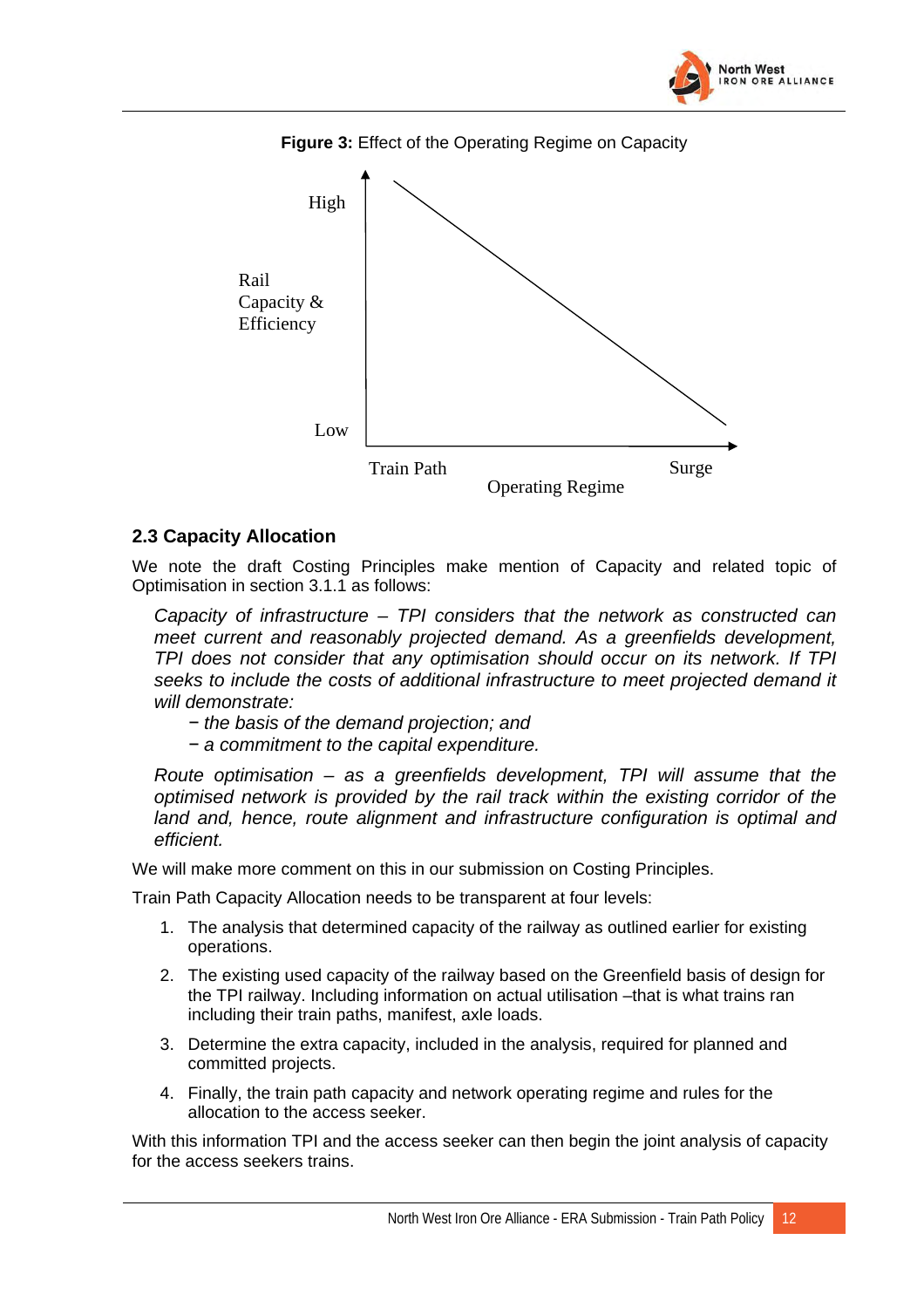



<span id="page-28-0"></span>

#### **2.3 Capacity Allocation**

We note the draft Costing Principles make mention of Capacity and related topic of Optimisation in section 3.1.1 as follows:

*Capacity of infrastructure – TPI considers that the network as constructed can meet current and reasonably projected demand. As a greenfields development, TPI does not consider that any optimisation should occur on its network. If TPI seeks to include the costs of additional infrastructure to meet projected demand it will demonstrate:* 

- *− the basis of the demand projection; and*
- *− a commitment to the capital expenditure.*

*Route optimisation – as a greenfields development, TPI will assume that the optimised network is provided by the rail track within the existing corridor of the land and, hence, route alignment and infrastructure configuration is optimal and efficient.*

We will make more comment on this in our submission on Costing Principles.

Train Path Capacity Allocation needs to be transparent at four levels:

- 1. The analysis that determined capacity of the railway as outlined earlier for existing operations.
- 2. The existing used capacity of the railway based on the Greenfield basis of design for the TPI railway. Including information on actual utilisation –that is what trains ran including their train paths, manifest, axle loads.
- 3. Determine the extra capacity, included in the analysis, required for planned and committed projects.
- 4. Finally, the train path capacity and network operating regime and rules for the allocation to the access seeker.

With this information TPI and the access seeker can then begin the joint analysis of capacity for the access seekers trains.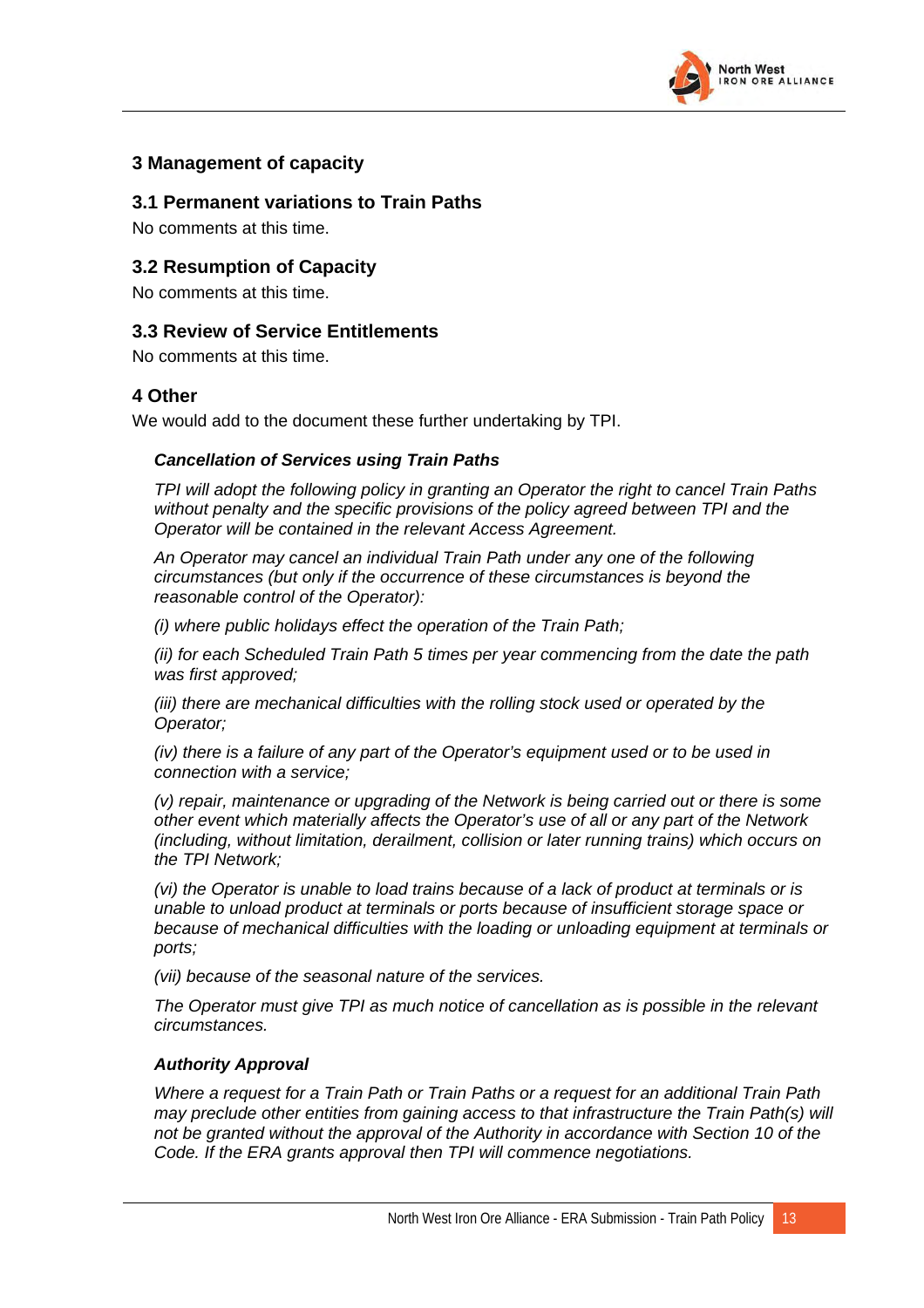

#### <span id="page-29-0"></span>**3 Management of capacity**

#### **3.1 Permanent variations to Train Paths**

No comments at this time.

#### **3.2 Resumption of Capacity**

No comments at this time.

#### **3.3 Review of Service Entitlements**

No comments at this time.

#### **4 Other**

We would add to the document these further undertaking by TPI.

#### *Cancellation of Services using Train Paths*

*TPI will adopt the following policy in granting an Operator the right to cancel Train Paths without penalty and the specific provisions of the policy agreed between TPI and the Operator will be contained in the relevant Access Agreement.* 

*An Operator may cancel an individual Train Path under any one of the following circumstances (but only if the occurrence of these circumstances is beyond the reasonable control of the Operator):* 

*(i) where public holidays effect the operation of the Train Path;* 

*(ii) for each Scheduled Train Path 5 times per year commencing from the date the path was first approved;* 

*(iii) there are mechanical difficulties with the rolling stock used or operated by the Operator;* 

*(iv) there is a failure of any part of the Operator's equipment used or to be used in connection with a service;* 

*(v) repair, maintenance or upgrading of the Network is being carried out or there is some other event which materially affects the Operator's use of all or any part of the Network (including, without limitation, derailment, collision or later running trains) which occurs on the TPI Network;* 

*(vi) the Operator is unable to load trains because of a lack of product at terminals or is unable to unload product at terminals or ports because of insufficient storage space or because of mechanical difficulties with the loading or unloading equipment at terminals or ports;* 

*(vii) because of the seasonal nature of the services.* 

*The Operator must give TPI as much notice of cancellation as is possible in the relevant circumstances.* 

#### *Authority Approval*

*Where a request for a Train Path or Train Paths or a request for an additional Train Path may preclude other entities from gaining access to that infrastructure the Train Path(s) will not be granted without the approval of the Authority in accordance with Section 10 of the Code. If the ERA grants approval then TPI will commence negotiations.*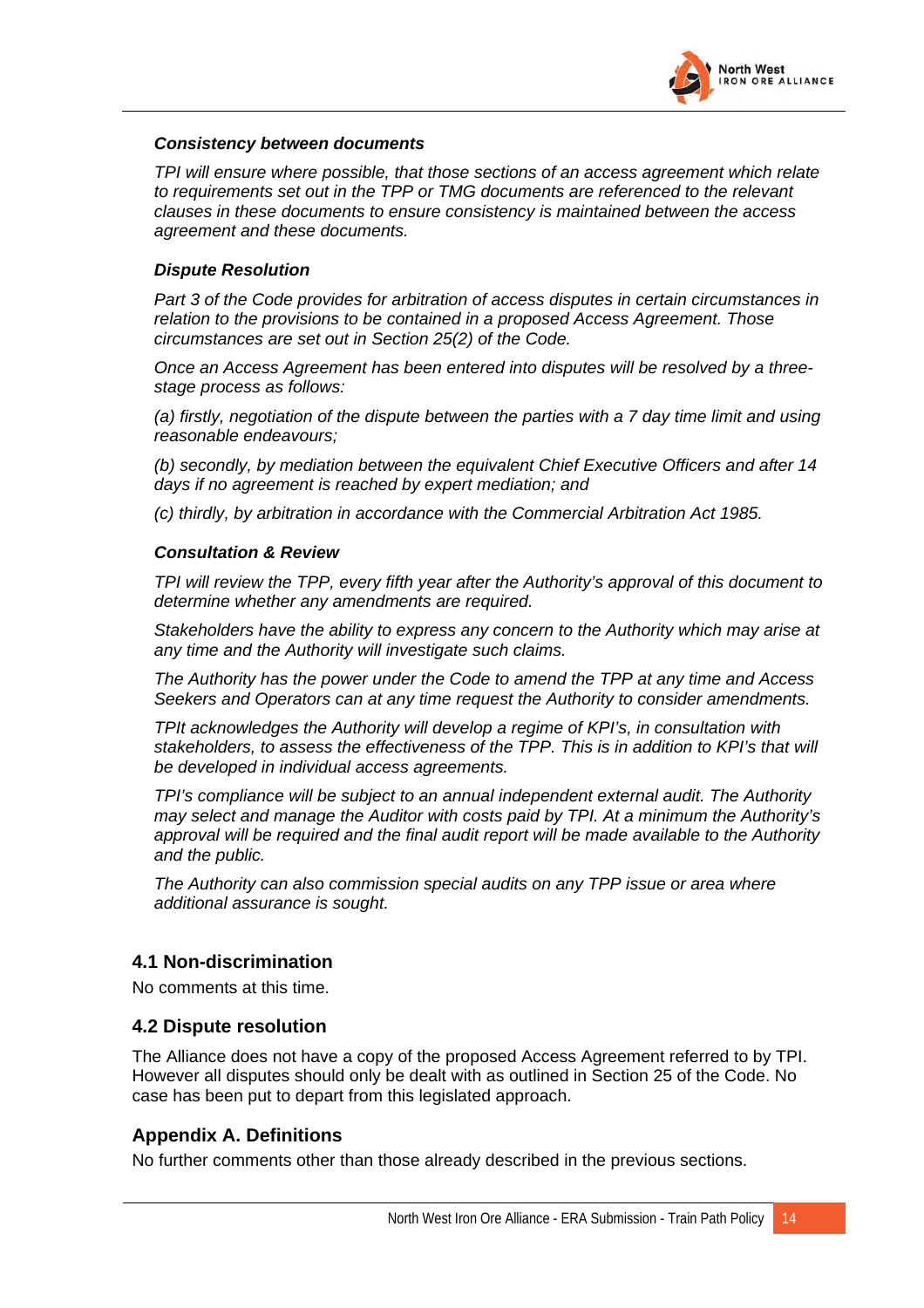

#### <span id="page-30-0"></span>*Consistency between documents*

*TPI will ensure where possible, that those sections of an access agreement which relate to requirements set out in the TPP or TMG documents are referenced to the relevant clauses in these documents to ensure consistency is maintained between the access agreement and these documents.* 

#### *Dispute Resolution*

*Part 3 of the Code provides for arbitration of access disputes in certain circumstances in relation to the provisions to be contained in a proposed Access Agreement. Those circumstances are set out in Section 25(2) of the Code.* 

*Once an Access Agreement has been entered into disputes will be resolved by a threestage process as follows:* 

*(a) firstly, negotiation of the dispute between the parties with a 7 day time limit and using reasonable endeavours;* 

*(b) secondly, by mediation between the equivalent Chief Executive Officers and after 14 days if no agreement is reached by expert mediation; and* 

*(c) thirdly, by arbitration in accordance with the Commercial Arbitration Act 1985.* 

#### *Consultation & Review*

*TPI will review the TPP, every fifth year after the Authority's approval of this document to determine whether any amendments are required.* 

*Stakeholders have the ability to express any concern to the Authority which may arise at any time and the Authority will investigate such claims.* 

*The Authority has the power under the Code to amend the TPP at any time and Access Seekers and Operators can at any time request the Authority to consider amendments.* 

*TPIt acknowledges the Authority will develop a regime of KPI's, in consultation with stakeholders, to assess the effectiveness of the TPP. This is in addition to KPI's that will be developed in individual access agreements.* 

*TPI's compliance will be subject to an annual independent external audit. The Authority may select and manage the Auditor with costs paid by TPI. At a minimum the Authority's approval will be required and the final audit report will be made available to the Authority and the public.* 

*The Authority can also commission special audits on any TPP issue or area where additional assurance is sought.* 

#### **4.1 Non-discrimination**

No comments at this time.

#### **4.2 Dispute resolution**

The Alliance does not have a copy of the proposed Access Agreement referred to by TPI. However all disputes should only be dealt with as outlined in Section 25 of the Code. No case has been put to depart from this legislated approach.

#### **Appendix A. Definitions**

No further comments other than those already described in the previous sections.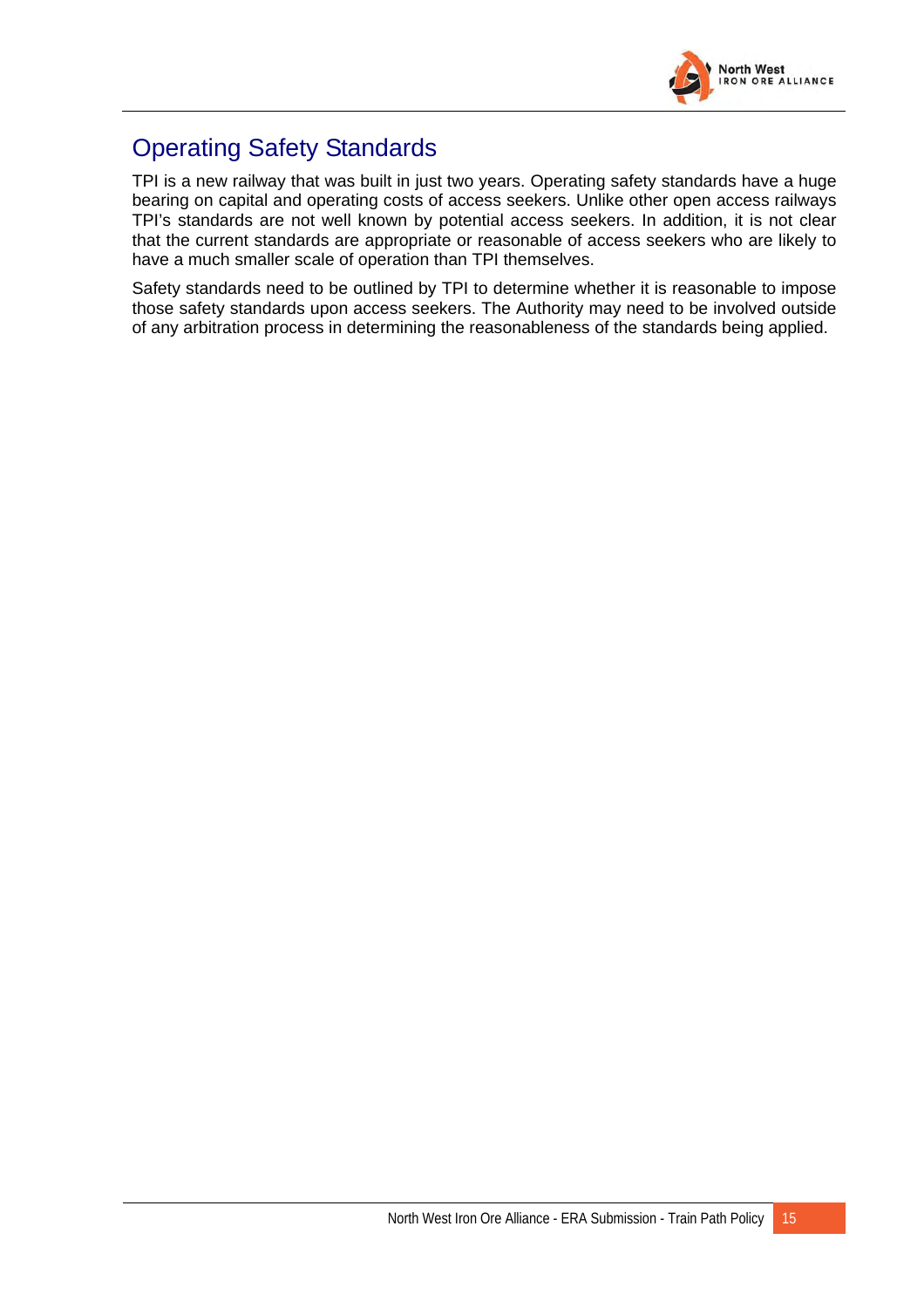

# <span id="page-31-0"></span>Operating Safety Standards

TPI is a new railway that was built in just two years. Operating safety standards have a huge bearing on capital and operating costs of access seekers. Unlike other open access railways TPI's standards are not well known by potential access seekers. In addition, it is not clear that the current standards are appropriate or reasonable of access seekers who are likely to have a much smaller scale of operation than TPI themselves.

Safety standards need to be outlined by TPI to determine whether it is reasonable to impose those safety standards upon access seekers. The Authority may need to be involved outside of any arbitration process in determining the reasonableness of the standards being applied.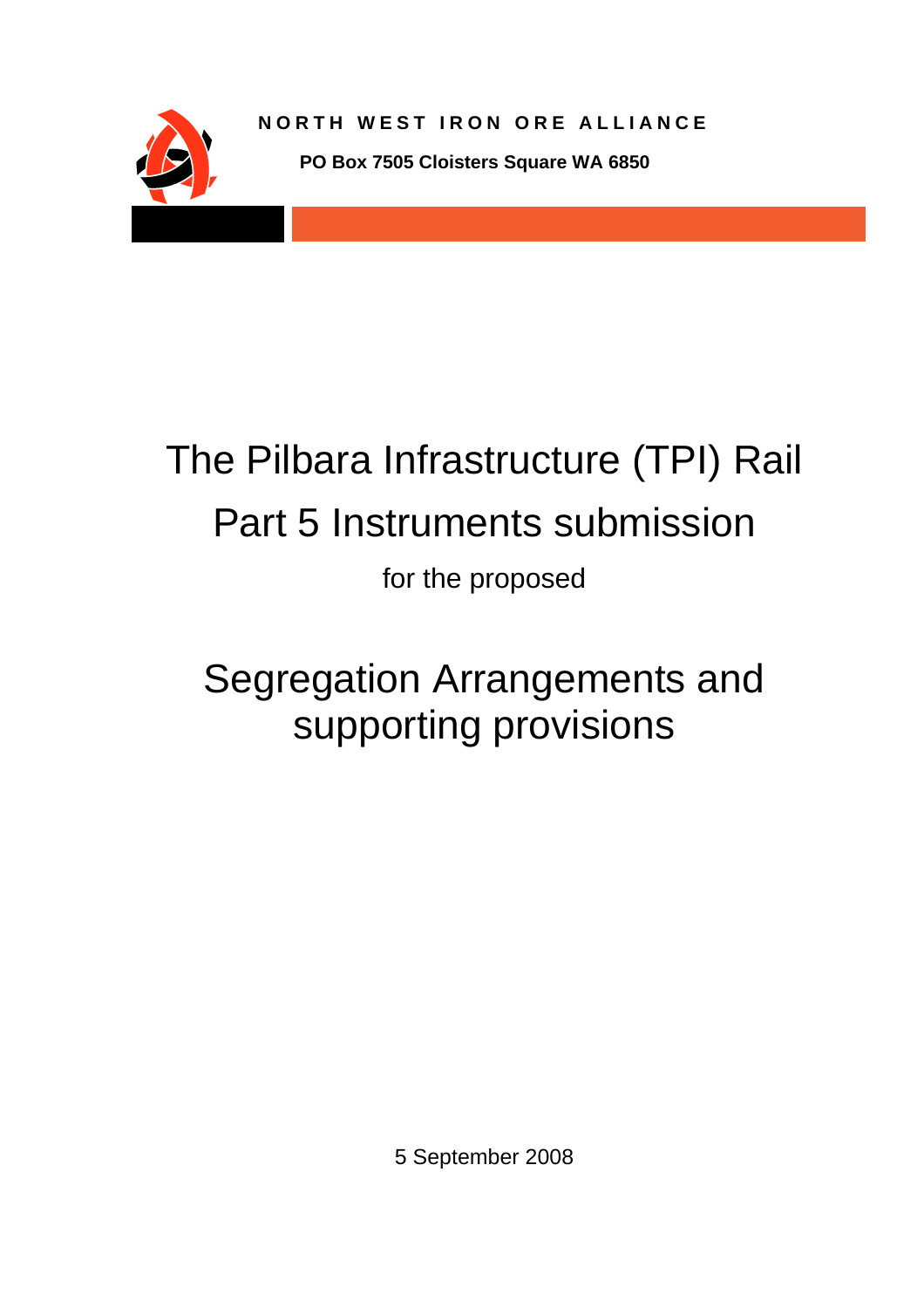

# The Pilbara Infrastructure (TPI) Rail Part 5 Instruments submission

for the proposed

# Segregation Arrangements and supporting provisions

5 September 2008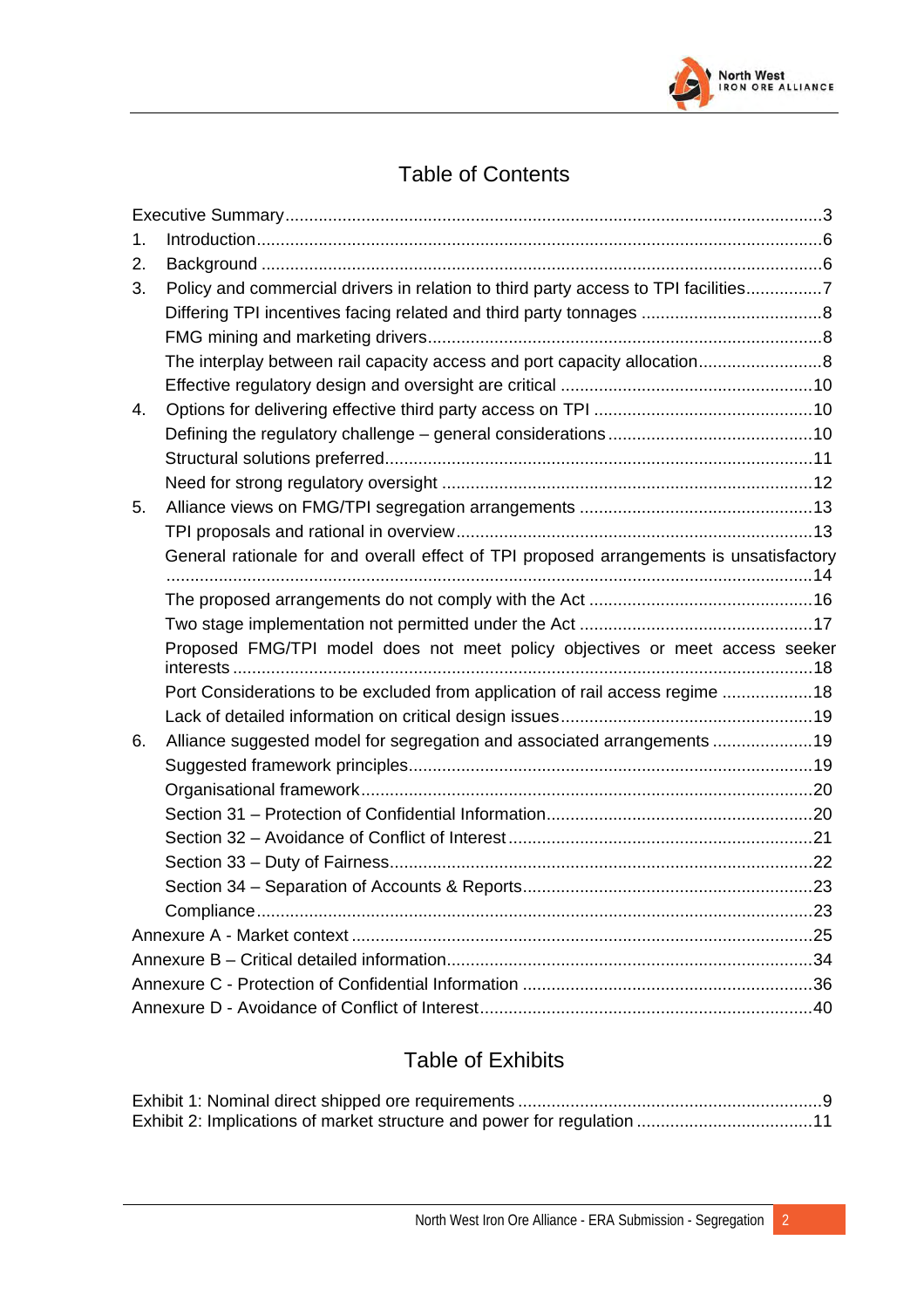

# Table of Contents

| Policy and commercial drivers in relation to third party access to TPI facilities7      |
|-----------------------------------------------------------------------------------------|
|                                                                                         |
|                                                                                         |
| The interplay between rail capacity access and port capacity allocation8                |
|                                                                                         |
|                                                                                         |
|                                                                                         |
|                                                                                         |
|                                                                                         |
|                                                                                         |
|                                                                                         |
| General rationale for and overall effect of TPI proposed arrangements is unsatisfactory |
|                                                                                         |
|                                                                                         |
| Proposed FMG/TPI model does not meet policy objectives or meet access seeker            |
| Port Considerations to be excluded from application of rail access regime 18            |
|                                                                                         |
| Alliance suggested model for segregation and associated arrangements 19                 |
|                                                                                         |
|                                                                                         |
|                                                                                         |
|                                                                                         |
|                                                                                         |
|                                                                                         |
|                                                                                         |
|                                                                                         |
|                                                                                         |
|                                                                                         |
|                                                                                         |
|                                                                                         |

## Table of Exhibits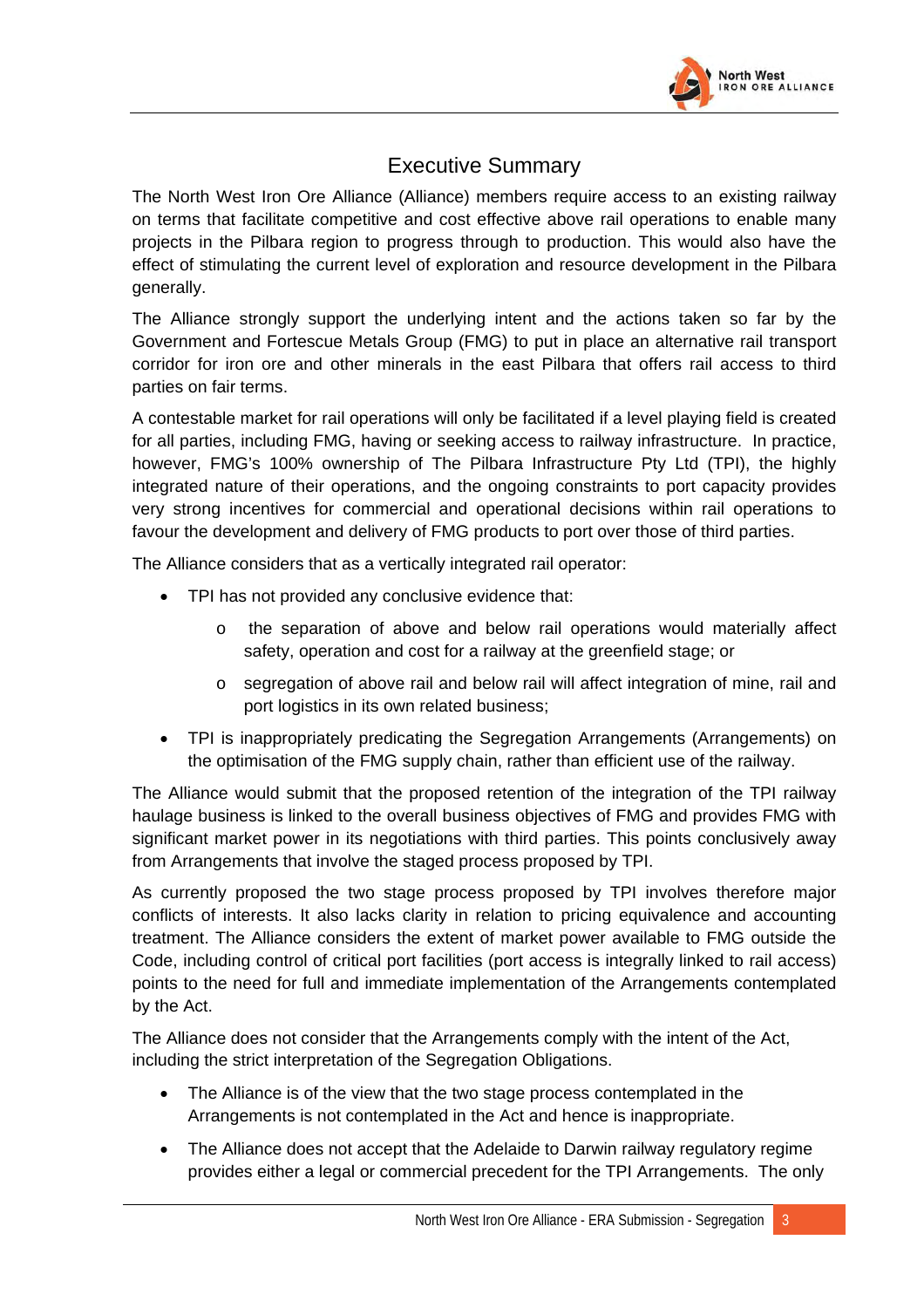

## Executive Summary

<span id="page-34-0"></span>The North West Iron Ore Alliance (Alliance) members require access to an existing railway on terms that facilitate competitive and cost effective above rail operations to enable many projects in the Pilbara region to progress through to production. This would also have the effect of stimulating the current level of exploration and resource development in the Pilbara generally.

The Alliance strongly support the underlying intent and the actions taken so far by the Government and Fortescue Metals Group (FMG) to put in place an alternative rail transport corridor for iron ore and other minerals in the east Pilbara that offers rail access to third parties on fair terms.

A contestable market for rail operations will only be facilitated if a level playing field is created for all parties, including FMG, having or seeking access to railway infrastructure. In practice, however, FMG's 100% ownership of The Pilbara Infrastructure Pty Ltd (TPI), the highly integrated nature of their operations, and the ongoing constraints to port capacity provides very strong incentives for commercial and operational decisions within rail operations to favour the development and delivery of FMG products to port over those of third parties.

The Alliance considers that as a vertically integrated rail operator:

- TPI has not provided any conclusive evidence that:
	- o the separation of above and below rail operations would materially affect safety, operation and cost for a railway at the greenfield stage; or
	- o segregation of above rail and below rail will affect integration of mine, rail and port logistics in its own related business;
- TPI is inappropriately predicating the Segregation Arrangements (Arrangements) on the optimisation of the FMG supply chain, rather than efficient use of the railway.

The Alliance would submit that the proposed retention of the integration of the TPI railway haulage business is linked to the overall business objectives of FMG and provides FMG with significant market power in its negotiations with third parties. This points conclusively away from Arrangements that involve the staged process proposed by TPI.

As currently proposed the two stage process proposed by TPI involves therefore major conflicts of interests. It also lacks clarity in relation to pricing equivalence and accounting treatment. The Alliance considers the extent of market power available to FMG outside the Code, including control of critical port facilities (port access is integrally linked to rail access) points to the need for full and immediate implementation of the Arrangements contemplated by the Act.

The Alliance does not consider that the Arrangements comply with the intent of the Act, including the strict interpretation of the Segregation Obligations.

- The Alliance is of the view that the two stage process contemplated in the Arrangements is not contemplated in the Act and hence is inappropriate.
- The Alliance does not accept that the Adelaide to Darwin railway regulatory regime provides either a legal or commercial precedent for the TPI Arrangements. The only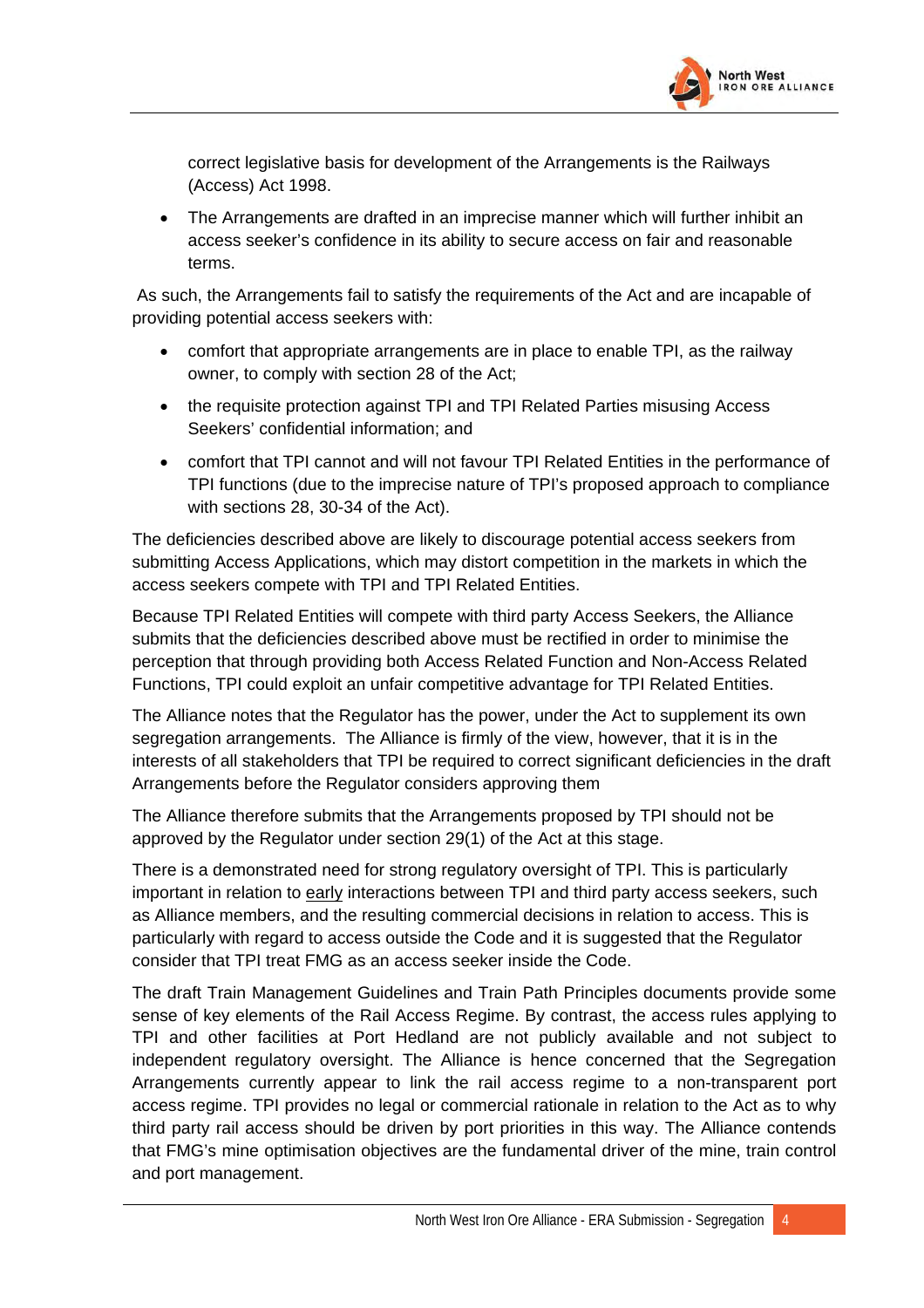

correct legislative basis for development of the Arrangements is the Railways (Access) Act 1998.

• The Arrangements are drafted in an imprecise manner which will further inhibit an access seeker's confidence in its ability to secure access on fair and reasonable terms.

 As such, the Arrangements fail to satisfy the requirements of the Act and are incapable of providing potential access seekers with:

- comfort that appropriate arrangements are in place to enable TPI, as the railway owner, to comply with section 28 of the Act;
- the requisite protection against TPI and TPI Related Parties misusing Access Seekers' confidential information; and
- comfort that TPI cannot and will not favour TPI Related Entities in the performance of TPI functions (due to the imprecise nature of TPI's proposed approach to compliance with sections 28, 30-34 of the Act).

The deficiencies described above are likely to discourage potential access seekers from submitting Access Applications, which may distort competition in the markets in which the access seekers compete with TPI and TPI Related Entities.

Because TPI Related Entities will compete with third party Access Seekers, the Alliance submits that the deficiencies described above must be rectified in order to minimise the perception that through providing both Access Related Function and Non-Access Related Functions, TPI could exploit an unfair competitive advantage for TPI Related Entities.

The Alliance notes that the Regulator has the power, under the Act to supplement its own segregation arrangements. The Alliance is firmly of the view, however, that it is in the interests of all stakeholders that TPI be required to correct significant deficiencies in the draft Arrangements before the Regulator considers approving them

The Alliance therefore submits that the Arrangements proposed by TPI should not be approved by the Regulator under section 29(1) of the Act at this stage.

There is a demonstrated need for strong regulatory oversight of TPI. This is particularly important in relation to early interactions between TPI and third party access seekers, such as Alliance members, and the resulting commercial decisions in relation to access. This is particularly with regard to access outside the Code and it is suggested that the Regulator consider that TPI treat FMG as an access seeker inside the Code.

The draft Train Management Guidelines and Train Path Principles documents provide some sense of key elements of the Rail Access Regime. By contrast, the access rules applying to TPI and other facilities at Port Hedland are not publicly available and not subject to independent regulatory oversight. The Alliance is hence concerned that the Segregation Arrangements currently appear to link the rail access regime to a non-transparent port access regime. TPI provides no legal or commercial rationale in relation to the Act as to why third party rail access should be driven by port priorities in this way. The Alliance contends that FMG's mine optimisation objectives are the fundamental driver of the mine, train control and port management.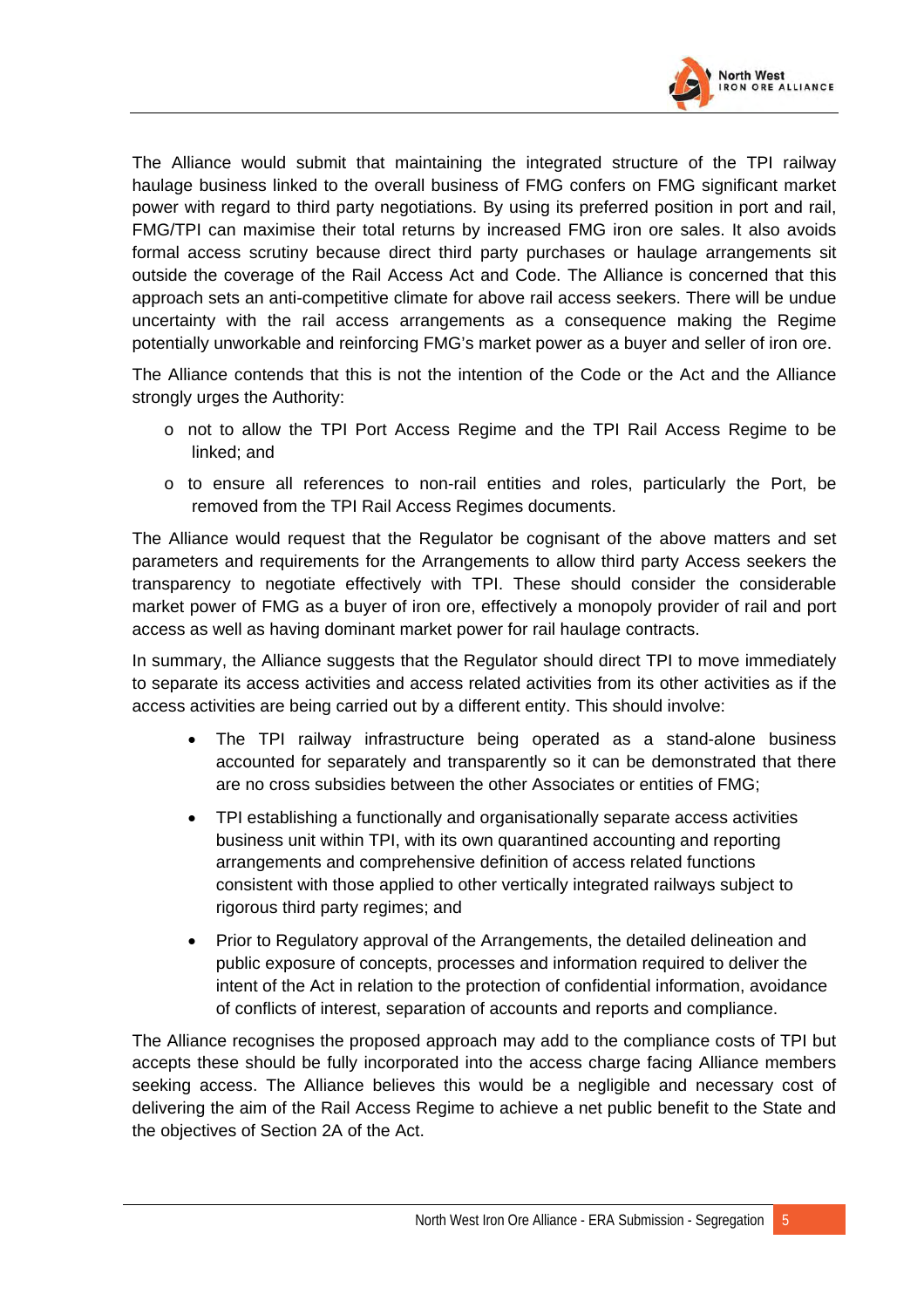

The Alliance would submit that maintaining the integrated structure of the TPI railway haulage business linked to the overall business of FMG confers on FMG significant market power with regard to third party negotiations. By using its preferred position in port and rail, FMG/TPI can maximise their total returns by increased FMG iron ore sales. It also avoids formal access scrutiny because direct third party purchases or haulage arrangements sit outside the coverage of the Rail Access Act and Code. The Alliance is concerned that this approach sets an anti-competitive climate for above rail access seekers. There will be undue uncertainty with the rail access arrangements as a consequence making the Regime potentially unworkable and reinforcing FMG's market power as a buyer and seller of iron ore.

The Alliance contends that this is not the intention of the Code or the Act and the Alliance strongly urges the Authority:

- o not to allow the TPI Port Access Regime and the TPI Rail Access Regime to be linked; and
- $\circ$  to ensure all references to non-rail entities and roles, particularly the Port, be removed from the TPI Rail Access Regimes documents.

The Alliance would request that the Regulator be cognisant of the above matters and set parameters and requirements for the Arrangements to allow third party Access seekers the transparency to negotiate effectively with TPI. These should consider the considerable market power of FMG as a buyer of iron ore, effectively a monopoly provider of rail and port access as well as having dominant market power for rail haulage contracts.

In summary, the Alliance suggests that the Regulator should direct TPI to move immediately to separate its access activities and access related activities from its other activities as if the access activities are being carried out by a different entity. This should involve:

- The TPI railway infrastructure being operated as a stand-alone business accounted for separately and transparently so it can be demonstrated that there are no cross subsidies between the other Associates or entities of FMG;
- TPI establishing a functionally and organisationally separate access activities business unit within TPI, with its own quarantined accounting and reporting arrangements and comprehensive definition of access related functions consistent with those applied to other vertically integrated railways subject to rigorous third party regimes; and
- Prior to Regulatory approval of the Arrangements, the detailed delineation and public exposure of concepts, processes and information required to deliver the intent of the Act in relation to the protection of confidential information, avoidance of conflicts of interest, separation of accounts and reports and compliance.

The Alliance recognises the proposed approach may add to the compliance costs of TPI but accepts these should be fully incorporated into the access charge facing Alliance members seeking access. The Alliance believes this would be a negligible and necessary cost of delivering the aim of the Rail Access Regime to achieve a net public benefit to the State and the objectives of Section 2A of the Act.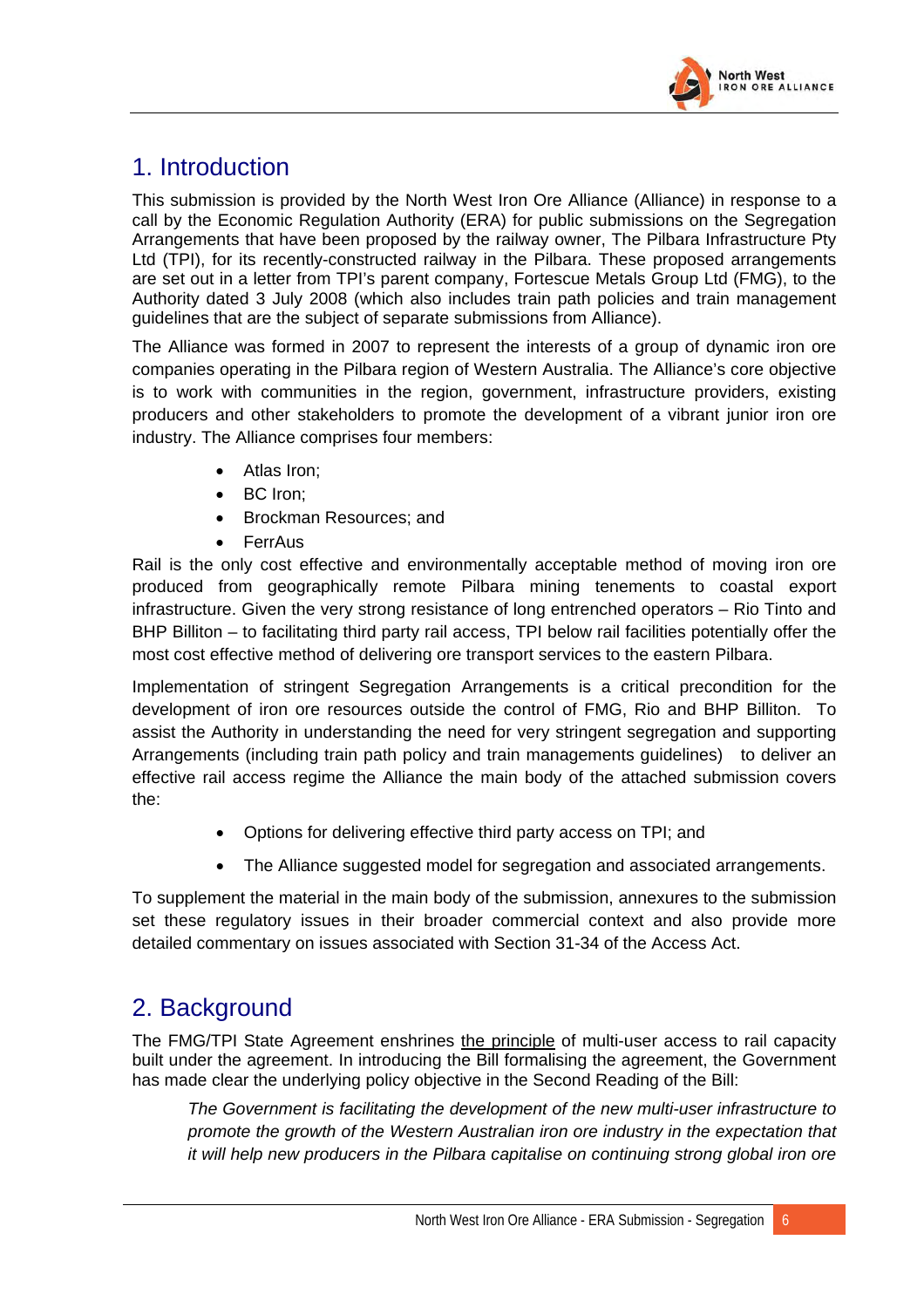

# 1. Introduction

This submission is provided by the North West Iron Ore Alliance (Alliance) in response to a call by the Economic Regulation Authority (ERA) for public submissions on the Segregation Arrangements that have been proposed by the railway owner, The Pilbara Infrastructure Pty Ltd (TPI), for its recently-constructed railway in the Pilbara. These proposed arrangements are set out in a letter from TPI's parent company, Fortescue Metals Group Ltd (FMG), to the Authority dated 3 July 2008 (which also includes train path policies and train management guidelines that are the subject of separate submissions from Alliance).

The Alliance was formed in 2007 to represent the interests of a group of dynamic iron ore companies operating in the Pilbara region of Western Australia. The Alliance's core objective is to work with communities in the region, government, infrastructure providers, existing producers and other stakeholders to promote the development of a vibrant junior iron ore industry. The Alliance comprises four members:

- Atlas Iron;
- BC Iron:
- Brockman Resources; and
- FerrAus

Rail is the only cost effective and environmentally acceptable method of moving iron ore produced from geographically remote Pilbara mining tenements to coastal export infrastructure. Given the very strong resistance of long entrenched operators – Rio Tinto and BHP Billiton – to facilitating third party rail access, TPI below rail facilities potentially offer the most cost effective method of delivering ore transport services to the eastern Pilbara.

Implementation of stringent Segregation Arrangements is a critical precondition for the development of iron ore resources outside the control of FMG, Rio and BHP Billiton. To assist the Authority in understanding the need for very stringent segregation and supporting Arrangements (including train path policy and train managements guidelines) to deliver an effective rail access regime the Alliance the main body of the attached submission covers the:

- Options for delivering effective third party access on TPI; and
- The Alliance suggested model for segregation and associated arrangements.

To supplement the material in the main body of the submission, annexures to the submission set these regulatory issues in their broader commercial context and also provide more detailed commentary on issues associated with Section 31-34 of the Access Act.

# 2. Background

The FMG/TPI State Agreement enshrines the principle of multi-user access to rail capacity built under the agreement. In introducing the Bill formalising the agreement, the Government has made clear the underlying policy objective in the Second Reading of the Bill:

*The Government is facilitating the development of the new multi-user infrastructure to promote the growth of the Western Australian iron ore industry in the expectation that it will help new producers in the Pilbara capitalise on continuing strong global iron ore*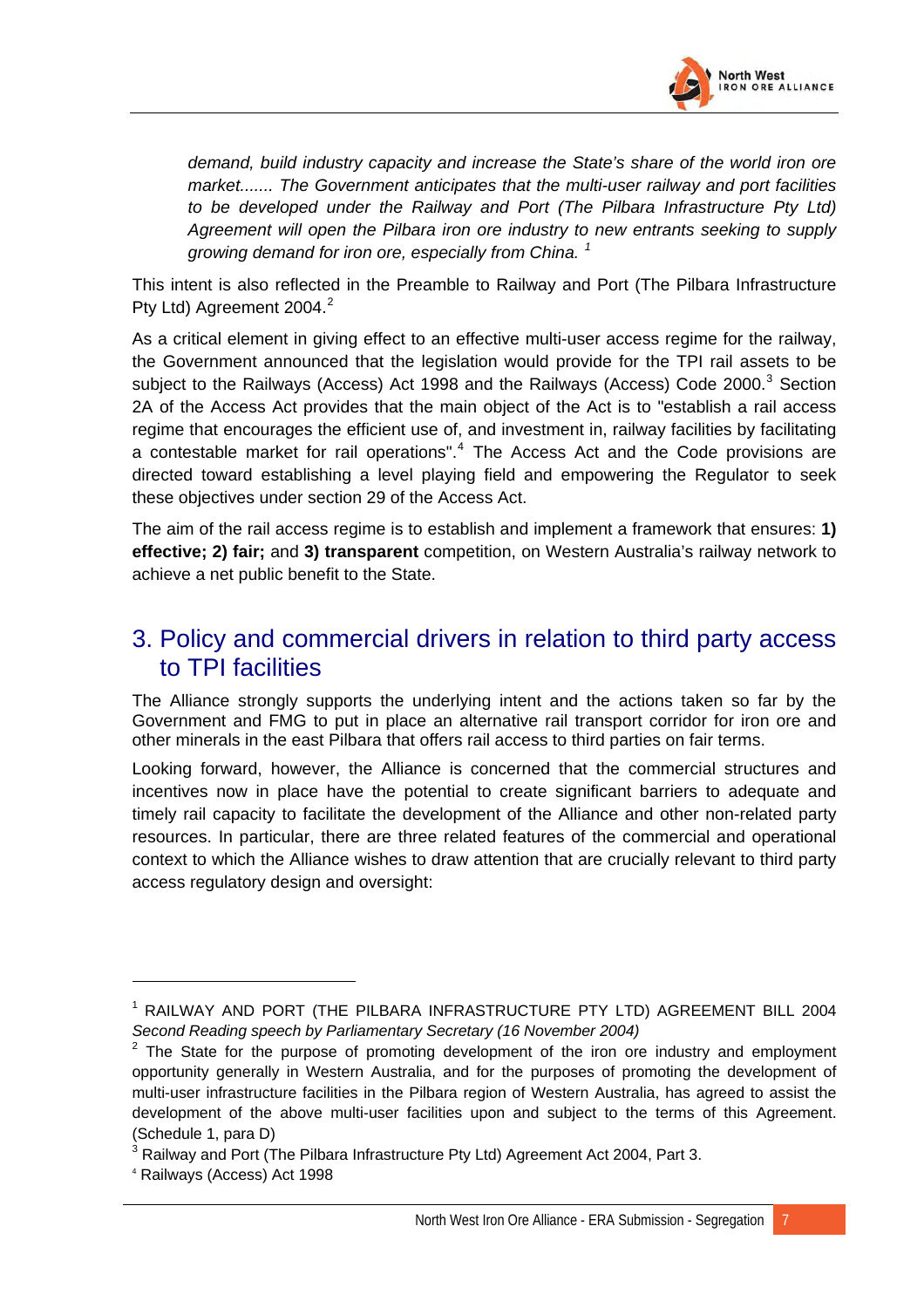

*demand, build industry capacity and increase the State's share of the world iron ore market....... The Government anticipates that the multi-user railway and port facilities to be developed under the Railway and Port (The Pilbara Infrastructure Pty Ltd) Agreement will open the Pilbara iron ore industry to new entrants seeking to supply growing demand for iron ore, especially from China. [1](#page-38-0)*

This intent is also reflected in the Preamble to Railway and Port (The Pilbara Infrastructure Pty Ltd) Agreement [2](#page-38-1)004.<sup>2</sup>

As a critical element in giving effect to an effective multi-user access regime for the railway, the Government announced that the legislation would provide for the TPI rail assets to be subject to the Railways (Access) Act 1998 and the Railways (Access) Code 2000.<sup>[3](#page-38-2)</sup> Section 2A of the Access Act provides that the main object of the Act is to "establish a rail access regime that encourages the efficient use of, and investment in, railway facilities by facilitating a contestable market for rail operations".<sup>[4](#page-38-3)</sup> The Access Act and the Code provisions are directed toward establishing a level playing field and empowering the Regulator to seek these objectives under section 29 of the Access Act.

The aim of the rail access regime is to establish and implement a framework that ensures: **1) effective; 2) fair;** and **3) transparent** competition, on Western Australia's railway network to achieve a net public benefit to the State.

## 3. Policy and commercial drivers in relation to third party access to TPI facilities

The Alliance strongly supports the underlying intent and the actions taken so far by the Government and FMG to put in place an alternative rail transport corridor for iron ore and other minerals in the east Pilbara that offers rail access to third parties on fair terms.

Looking forward, however, the Alliance is concerned that the commercial structures and incentives now in place have the potential to create significant barriers to adequate and timely rail capacity to facilitate the development of the Alliance and other non-related party resources. In particular, there are three related features of the commercial and operational context to which the Alliance wishes to draw attention that are crucially relevant to third party access regulatory design and oversight:

<span id="page-38-0"></span><sup>1</sup> RAILWAY AND PORT (THE PILBARA INFRASTRUCTURE PTY LTD) AGREEMENT BILL 2004 *Second Reading speech by Parliamentary Secretary (16 November 2004)*

<span id="page-38-1"></span> $2$  The State for the purpose of promoting development of the iron ore industry and employment opportunity generally in Western Australia, and for the purposes of promoting the development of multi-user infrastructure facilities in the Pilbara region of Western Australia, has agreed to assist the development of the above multi-user facilities upon and subject to the terms of this Agreement. (Schedule 1, para D)

<span id="page-38-2"></span> $^3$  Railway and Port (The Pilbara Infrastructure Pty Ltd) Agreement Act 2004, Part 3.<br>4 Pailways (Assess) Act 1998

<span id="page-38-3"></span>Railways (Access) Act 1998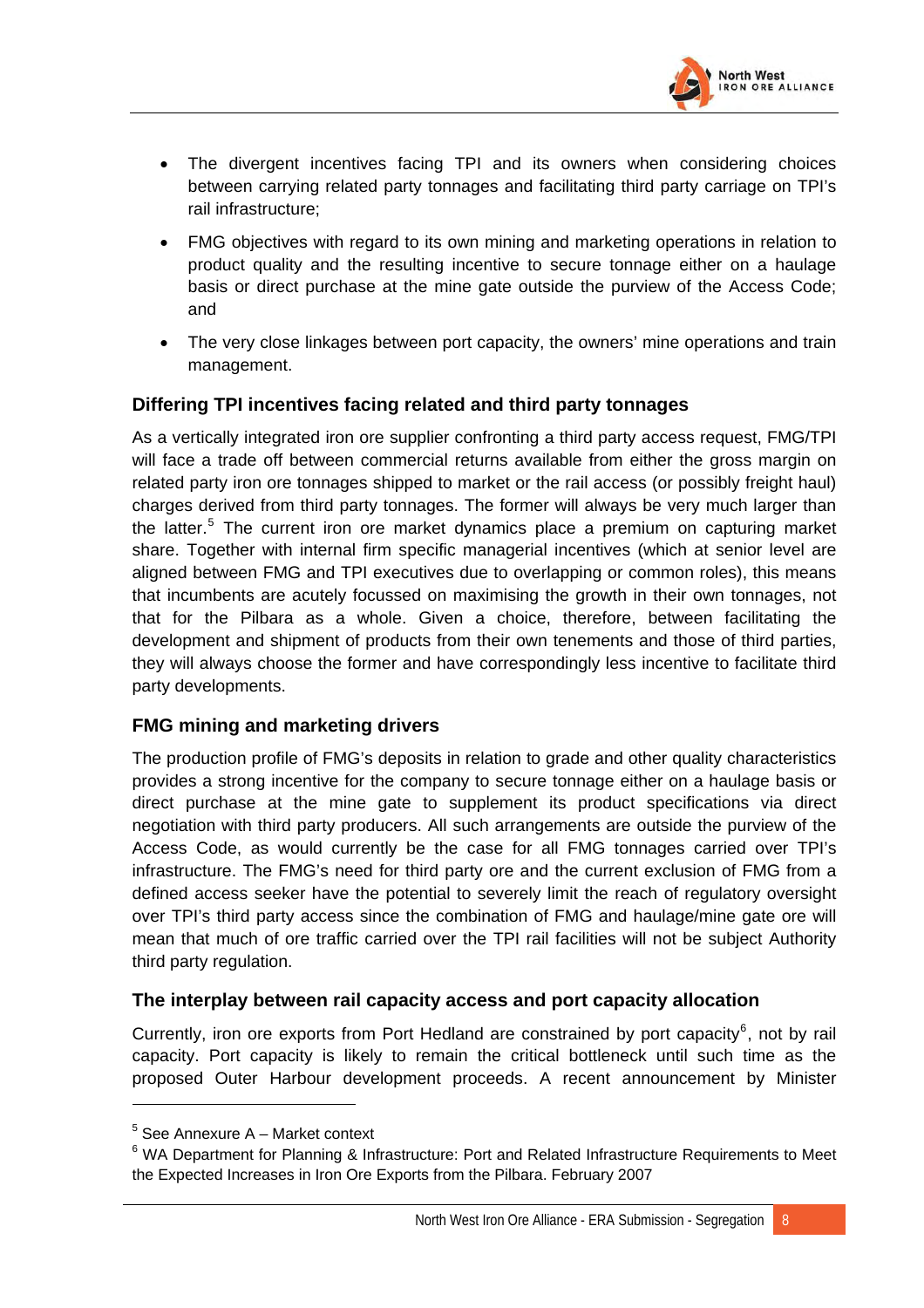

- The divergent incentives facing TPI and its owners when considering choices between carrying related party tonnages and facilitating third party carriage on TPI's rail infrastructure;
- FMG objectives with regard to its own mining and marketing operations in relation to product quality and the resulting incentive to secure tonnage either on a haulage basis or direct purchase at the mine gate outside the purview of the Access Code; and
- The very close linkages between port capacity, the owners' mine operations and train management.

### **Differing TPI incentives facing related and third party tonnages**

As a vertically integrated iron ore supplier confronting a third party access request, FMG/TPI will face a trade off between commercial returns available from either the gross margin on related party iron ore tonnages shipped to market or the rail access (or possibly freight haul) charges derived from third party tonnages. The former will always be very much larger than the latter.<sup>[5](#page-39-0)</sup> The current iron ore market dynamics place a premium on capturing market share. Together with internal firm specific managerial incentives (which at senior level are aligned between FMG and TPI executives due to overlapping or common roles), this means that incumbents are acutely focussed on maximising the growth in their own tonnages, not that for the Pilbara as a whole. Given a choice, therefore, between facilitating the development and shipment of products from their own tenements and those of third parties, they will always choose the former and have correspondingly less incentive to facilitate third party developments.

### **FMG mining and marketing drivers**

The production profile of FMG's deposits in relation to grade and other quality characteristics provides a strong incentive for the company to secure tonnage either on a haulage basis or direct purchase at the mine gate to supplement its product specifications via direct negotiation with third party producers. All such arrangements are outside the purview of the Access Code, as would currently be the case for all FMG tonnages carried over TPI's infrastructure. The FMG's need for third party ore and the current exclusion of FMG from a defined access seeker have the potential to severely limit the reach of regulatory oversight over TPI's third party access since the combination of FMG and haulage/mine gate ore will mean that much of ore traffic carried over the TPI rail facilities will not be subject Authority third party regulation.

## **The interplay between rail capacity access and port capacity allocation**

Currently, iron ore exports from Port Hedland are constrained by port capacity<sup>[6](#page-39-1)</sup>, not by rail capacity. Port capacity is likely to remain the critical bottleneck until such time as the proposed Outer Harbour development proceeds. A recent announcement by Minister

<sup>5</sup> See Annexure A – Market context

<span id="page-39-1"></span><span id="page-39-0"></span><sup>&</sup>lt;sup>6</sup> WA Department for Planning & Infrastructure: Port and Related Infrastructure Requirements to Meet the Expected Increases in Iron Ore Exports from the Pilbara. February 2007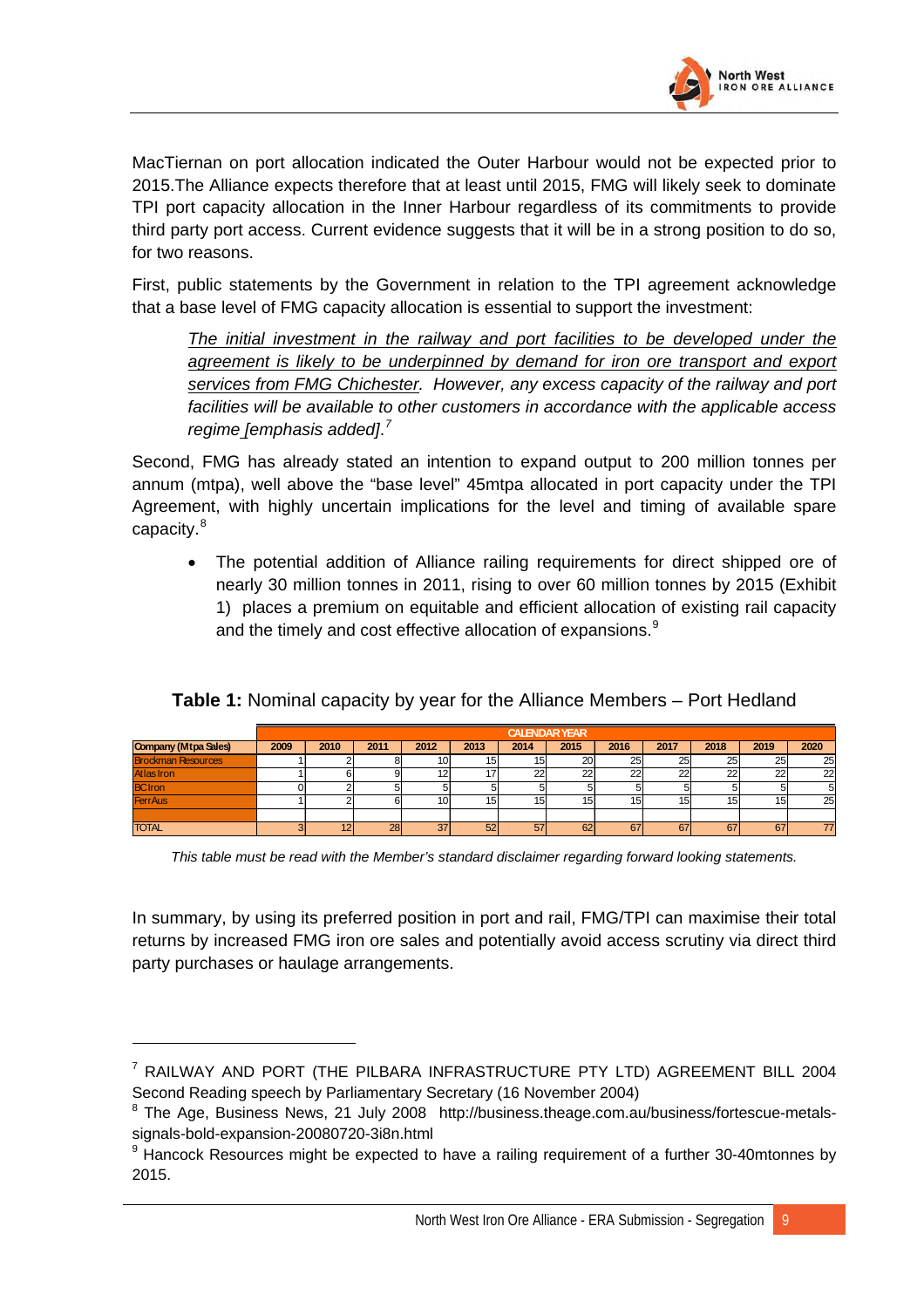

MacTiernan on port allocation indicated the Outer Harbour would not be expected prior to 2015.The Alliance expects therefore that at least until 2015, FMG will likely seek to dominate TPI port capacity allocation in the Inner Harbour regardless of its commitments to provide third party port access. Current evidence suggests that it will be in a strong position to do so, for two reasons.

First, public statements by the Government in relation to the TPI agreement acknowledge that a base level of FMG capacity allocation is essential to support the investment:

*The initial investment in the railway and port facilities to be developed under the agreement is likely to be underpinned by demand for iron ore transport and export services from FMG Chichester. However, any excess capacity of the railway and port facilities will be available to other customers in accordance with the applicable access regime [emphasis added]*. *[7](#page-40-0)*

Second, FMG has already stated an intention to expand output to 200 million tonnes per annum (mtpa), well above the "base level" 45mtpa allocated in port capacity under the TPI Agreement, with highly uncertain implications for the level and timing of available spare capacity.<sup>[8](#page-40-1)</sup>

• The potential addition of Alliance railing requirements for direct shipped ore of nearly 30 million tonnes in 2011, rising to over 60 million tonnes by 2015 (Exhibit 1) places a premium on equitable and efficient allocation of existing rail capacity and the timely and cost effective allocation of expansions.<sup>[9](#page-40-2)</sup>

|                           | <b>CALENDAR YEAR</b> |      |      |      |                 |         |      |        |        |      |        |      |
|---------------------------|----------------------|------|------|------|-----------------|---------|------|--------|--------|------|--------|------|
| Company (Mtpa Sales)      | 2009                 | 2010 | 2011 | 2012 | 2013            | 2014    | 2015 | 2016   | 2017   | 2018 | 2019   | 2020 |
| <b>Brockman Resources</b> |                      |      |      |      | 15              | 15      | 20   | 25     | 25     | 25   | 25     | 25   |
| Atlas Iron                |                      |      |      |      | 17              | າາ<br>ے | 22   | $\sim$ | c<br>ے | 22   | $\sim$ | 22   |
| <b>BC</b> Iron            |                      |      |      |      |                 |         |      |        |        |      |        |      |
| <b>FerrAus</b>            |                      |      |      |      | 15 <sub>1</sub> | 15      | 15   | כו     | w      | 15   |        | 25   |
|                           |                      |      |      |      |                 |         |      |        |        |      |        |      |
| <b>TOTAL</b>              |                      |      | 28   | 27   | 52              | 57      | 62   | 67     | 67     | 67   | b      | 77   |

**Table 1:** Nominal capacity by year for the Alliance Members – Port Hedland

*This table must be read with the Member's standard disclaimer regarding forward looking statements.* 

In summary, by using its preferred position in port and rail, FMG/TPI can maximise their total returns by increased FMG iron ore sales and potentially avoid access scrutiny via direct third party purchases or haulage arrangements.

<span id="page-40-0"></span><sup>7</sup> RAILWAY AND PORT (THE PILBARA INFRASTRUCTURE PTY LTD) AGREEMENT BILL 2004 Second Reading speech by Parliamentary Secretary (16 November 2004)

<span id="page-40-1"></span><sup>&</sup>lt;sup>8</sup> The Age, Business News, 21 July 2008 http://business.theage.com.au/business/fortescue-metalssignals-bold-expansion-20080720-3i8n.html

<span id="page-40-2"></span><sup>&</sup>lt;sup>9</sup> Hancock Resources might be expected to have a railing requirement of a further 30-40mtonnes by 2015.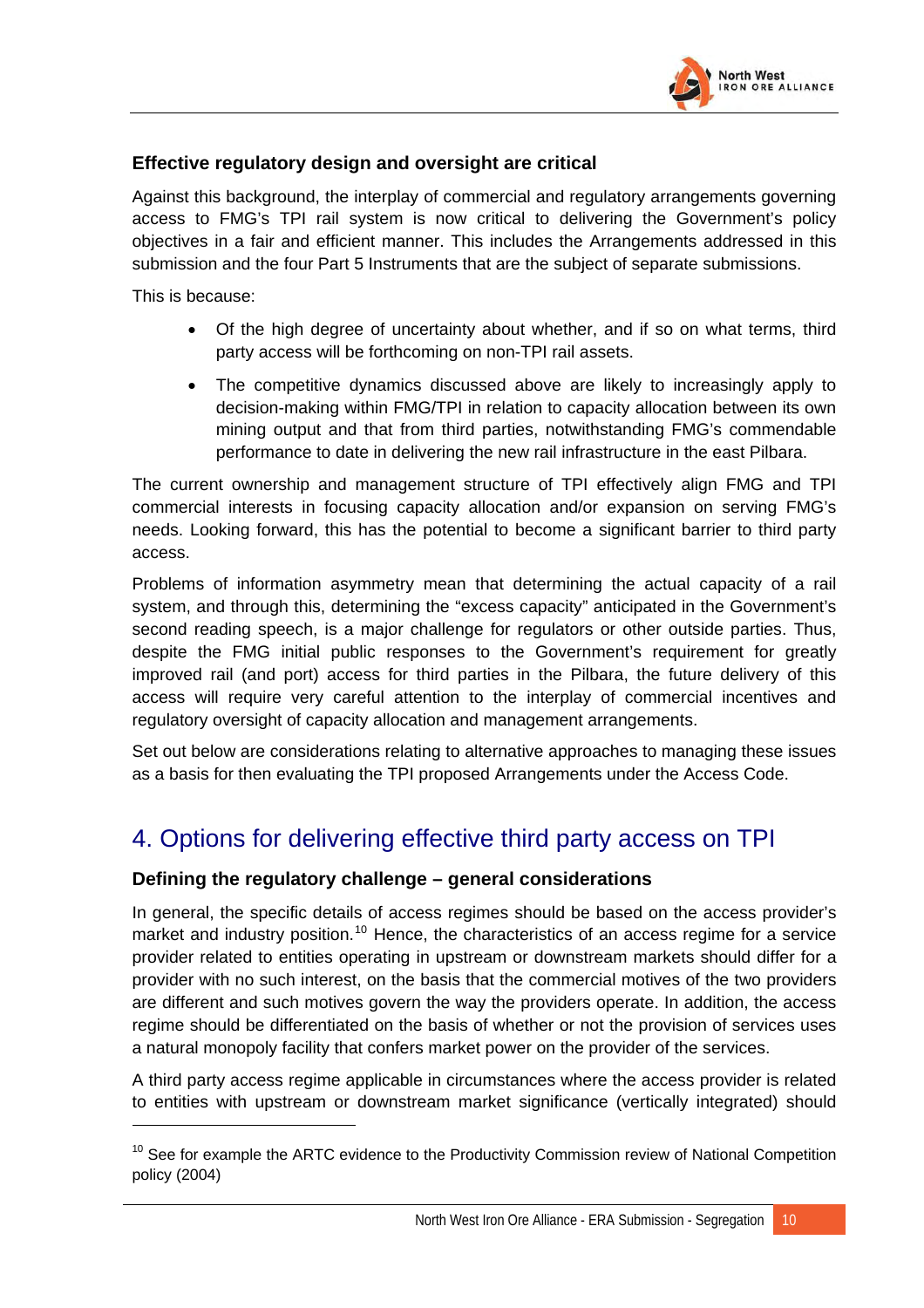

## **Effective regulatory design and oversight are critical**

Against this background, the interplay of commercial and regulatory arrangements governing access to FMG's TPI rail system is now critical to delivering the Government's policy objectives in a fair and efficient manner. This includes the Arrangements addressed in this submission and the four Part 5 Instruments that are the subject of separate submissions.

This is because:

- Of the high degree of uncertainty about whether, and if so on what terms, third party access will be forthcoming on non-TPI rail assets.
- The competitive dynamics discussed above are likely to increasingly apply to decision-making within FMG/TPI in relation to capacity allocation between its own mining output and that from third parties, notwithstanding FMG's commendable performance to date in delivering the new rail infrastructure in the east Pilbara.

The current ownership and management structure of TPI effectively align FMG and TPI commercial interests in focusing capacity allocation and/or expansion on serving FMG's needs. Looking forward, this has the potential to become a significant barrier to third party access.

Problems of information asymmetry mean that determining the actual capacity of a rail system, and through this, determining the "excess capacity" anticipated in the Government's second reading speech, is a major challenge for regulators or other outside parties. Thus, despite the FMG initial public responses to the Government's requirement for greatly improved rail (and port) access for third parties in the Pilbara, the future delivery of this access will require very careful attention to the interplay of commercial incentives and regulatory oversight of capacity allocation and management arrangements.

Set out below are considerations relating to alternative approaches to managing these issues as a basis for then evaluating the TPI proposed Arrangements under the Access Code.

# 4. Options for delivering effective third party access on TPI

## **Defining the regulatory challenge – general considerations**

In general, the specific details of access regimes should be based on the access provider's market and industry position.<sup>[10](#page-41-0)</sup> Hence, the characteristics of an access regime for a service provider related to entities operating in upstream or downstream markets should differ for a provider with no such interest, on the basis that the commercial motives of the two providers are different and such motives govern the way the providers operate. In addition, the access regime should be differentiated on the basis of whether or not the provision of services uses a natural monopoly facility that confers market power on the provider of the services.

A third party access regime applicable in circumstances where the access provider is related to entities with upstream or downstream market significance (vertically integrated) should

<span id="page-41-0"></span> $10$  See for example the ARTC evidence to the Productivity Commission review of National Competition policy (2004)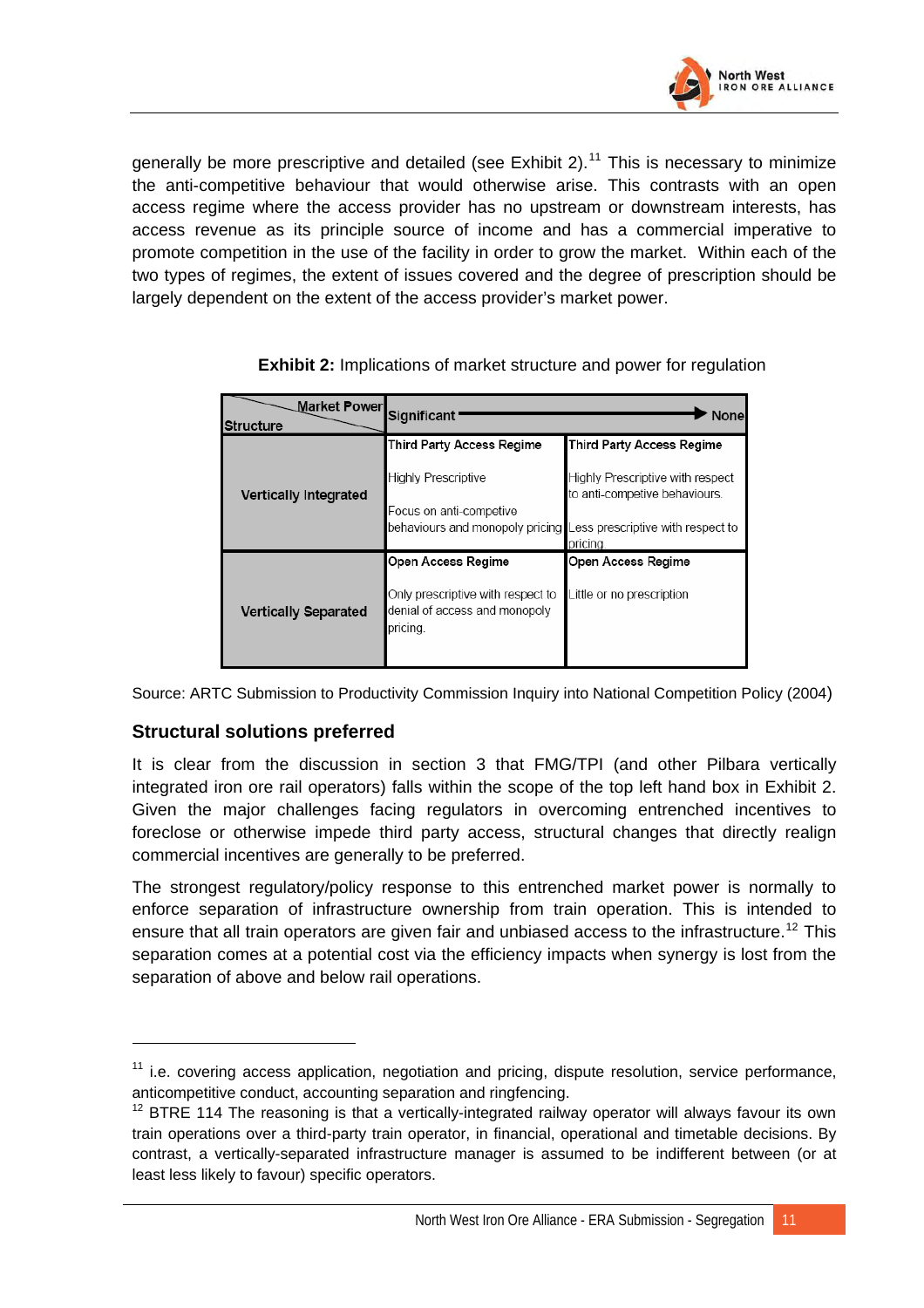

generally be more prescriptive and detailed (see Exhibit 2).<sup>[11](#page-42-0)</sup> This is necessary to minimize the anti-competitive behaviour that would otherwise arise. This contrasts with an open access regime where the access provider has no upstream or downstream interests, has access revenue as its principle source of income and has a commercial imperative to promote competition in the use of the facility in order to grow the market. Within each of the two types of regimes, the extent of issues covered and the degree of prescription should be largely dependent on the extent of the access provider's market power.

| Market Powerl<br><b>Structure</b> | Significant<br>Nonel                                                                         |                                                                   |  |  |  |  |  |
|-----------------------------------|----------------------------------------------------------------------------------------------|-------------------------------------------------------------------|--|--|--|--|--|
|                                   | Third Party Access Regime                                                                    | Third Party Access Regime                                         |  |  |  |  |  |
| <b>Vertically Integrated</b>      | <b>Highly Prescriptive</b>                                                                   | Highly Prescriptive with respect<br>to anti-competive behaviours. |  |  |  |  |  |
|                                   | Focus on anti-competive<br>behaviours and monopoly pricing Less prescriptive with respect to | pricing.                                                          |  |  |  |  |  |
|                                   | Open Access Regime                                                                           | Open Access Regime                                                |  |  |  |  |  |
| <b>Vertically Separated</b>       | Only prescriptive with respect to<br>denial of access and monopoly<br>pricing.               | Little or no prescription                                         |  |  |  |  |  |

**Exhibit 2:** Implications of market structure and power for regulation

Source: ARTC Submission to Productivity Commission Inquiry into National Competition Policy (2004)

### **Structural solutions preferred**

It is clear from the discussion in section 3 that FMG/TPI (and other Pilbara vertically integrated iron ore rail operators) falls within the scope of the top left hand box in Exhibit 2. Given the major challenges facing regulators in overcoming entrenched incentives to foreclose or otherwise impede third party access, structural changes that directly realign commercial incentives are generally to be preferred.

The strongest regulatory/policy response to this entrenched market power is normally to enforce separation of infrastructure ownership from train operation. This is intended to ensure that all train operators are given fair and unbiased access to the infrastructure.<sup>[12](#page-42-1)</sup> This separation comes at a potential cost via the efficiency impacts when synergy is lost from the separation of above and below rail operations.

<span id="page-42-0"></span> $11$  i.e. covering access application, negotiation and pricing, dispute resolution, service performance, anticompetitive conduct, accounting separation and ringfencing.

<span id="page-42-1"></span> $12$  BTRE 114 The reasoning is that a vertically-integrated railway operator will always favour its own train operations over a third-party train operator, in financial, operational and timetable decisions. By contrast, a vertically-separated infrastructure manager is assumed to be indifferent between (or at least less likely to favour) specific operators.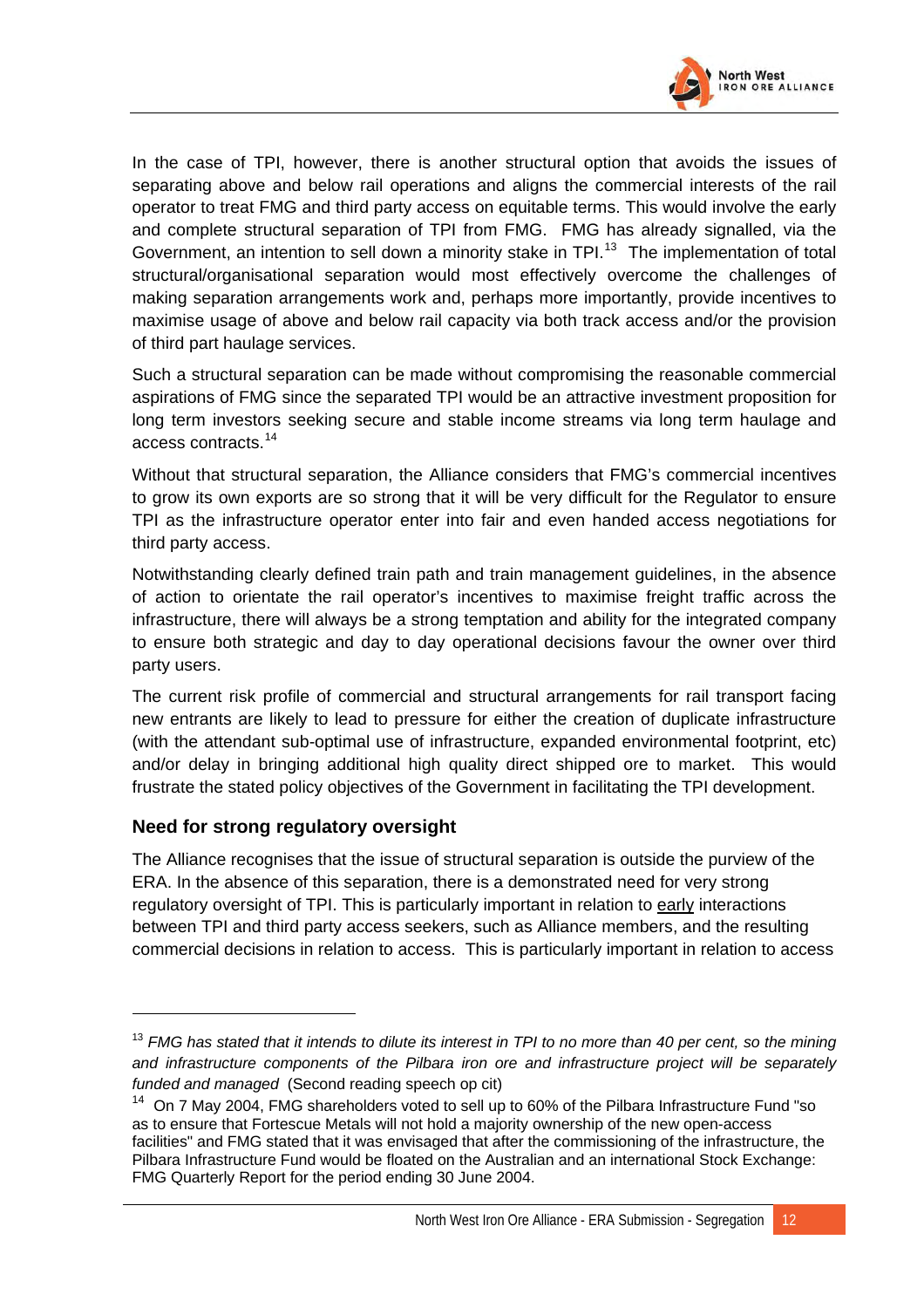

In the case of TPI, however, there is another structural option that avoids the issues of separating above and below rail operations and aligns the commercial interests of the rail operator to treat FMG and third party access on equitable terms. This would involve the early and complete structural separation of TPI from FMG. FMG has already signalled, via the Government, an intention to sell down a minority stake in TPI.<sup>[13](#page-43-0)</sup> The implementation of total structural/organisational separation would most effectively overcome the challenges of making separation arrangements work and, perhaps more importantly, provide incentives to maximise usage of above and below rail capacity via both track access and/or the provision of third part haulage services.

Such a structural separation can be made without compromising the reasonable commercial aspirations of FMG since the separated TPI would be an attractive investment proposition for long term investors seeking secure and stable income streams via long term haulage and access contracts.[14](#page-43-1)

Without that structural separation, the Alliance considers that FMG's commercial incentives to grow its own exports are so strong that it will be very difficult for the Regulator to ensure TPI as the infrastructure operator enter into fair and even handed access negotiations for third party access.

Notwithstanding clearly defined train path and train management guidelines, in the absence of action to orientate the rail operator's incentives to maximise freight traffic across the infrastructure, there will always be a strong temptation and ability for the integrated company to ensure both strategic and day to day operational decisions favour the owner over third party users.

The current risk profile of commercial and structural arrangements for rail transport facing new entrants are likely to lead to pressure for either the creation of duplicate infrastructure (with the attendant sub-optimal use of infrastructure, expanded environmental footprint, etc) and/or delay in bringing additional high quality direct shipped ore to market. This would frustrate the stated policy objectives of the Government in facilitating the TPI development.

### **Need for strong regulatory oversight**

 $\overline{a}$ 

The Alliance recognises that the issue of structural separation is outside the purview of the ERA. In the absence of this separation, there is a demonstrated need for very strong regulatory oversight of TPI. This is particularly important in relation to early interactions between TPI and third party access seekers, such as Alliance members, and the resulting commercial decisions in relation to access. This is particularly important in relation to access

<span id="page-43-0"></span><sup>&</sup>lt;sup>13</sup> FMG has stated that it intends to dilute its interest in TPI to no more than 40 per cent, so the mining *and infrastructure components of the Pilbara iron ore and infrastructure project will be separately funded and managed* (Second reading speech op cit)

<span id="page-43-1"></span><sup>&</sup>lt;sup>14</sup> On 7 May 2004, FMG shareholders voted to sell up to 60% of the Pilbara Infrastructure Fund "so as to ensure that Fortescue Metals will not hold a majority ownership of the new open-access facilities" and FMG stated that it was envisaged that after the commissioning of the infrastructure, the Pilbara Infrastructure Fund would be floated on the Australian and an international Stock Exchange: FMG Quarterly Report for the period ending 30 June 2004.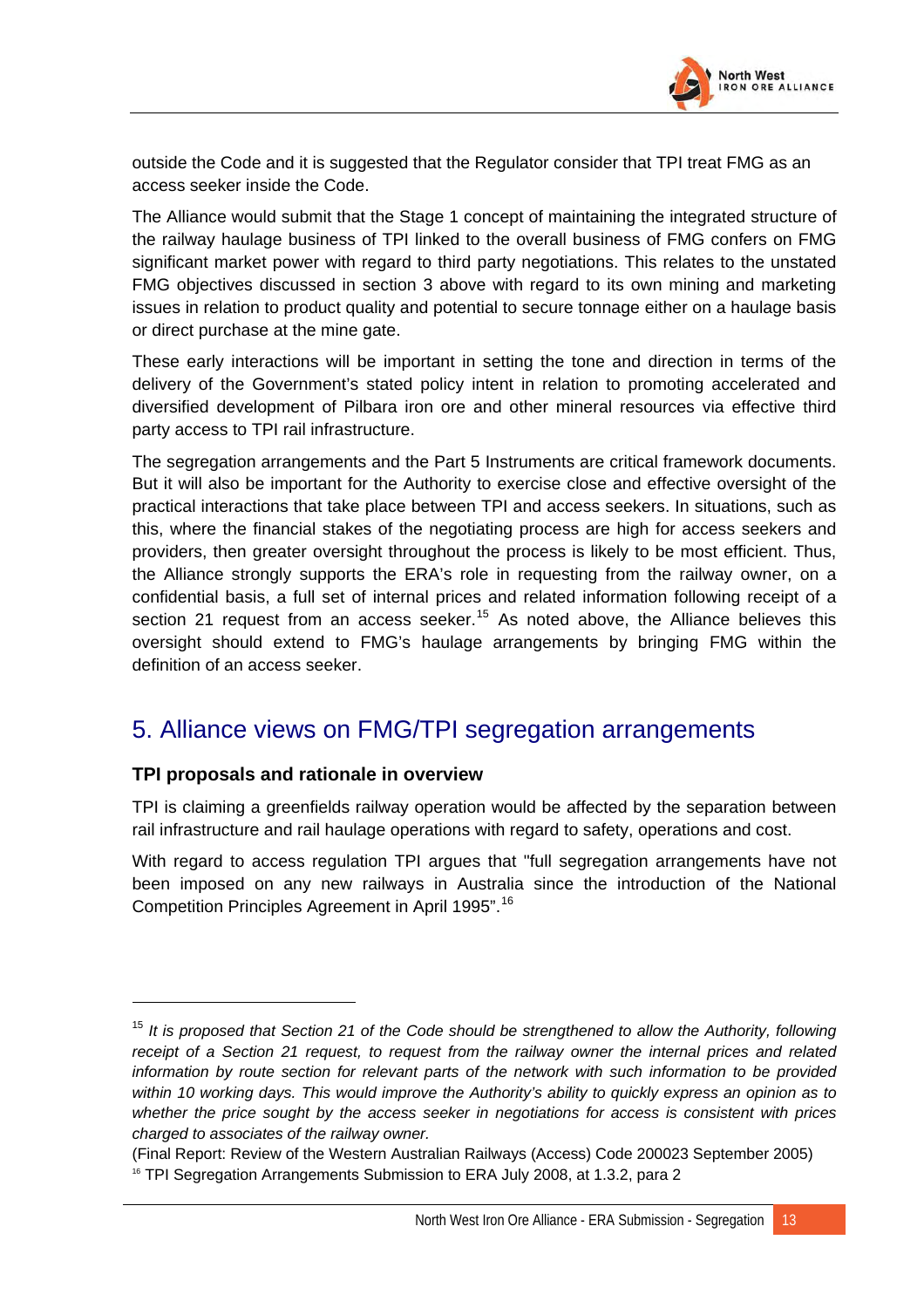

outside the Code and it is suggested that the Regulator consider that TPI treat FMG as an access seeker inside the Code.

The Alliance would submit that the Stage 1 concept of maintaining the integrated structure of the railway haulage business of TPI linked to the overall business of FMG confers on FMG significant market power with regard to third party negotiations. This relates to the unstated FMG objectives discussed in section 3 above with regard to its own mining and marketing issues in relation to product quality and potential to secure tonnage either on a haulage basis or direct purchase at the mine gate.

These early interactions will be important in setting the tone and direction in terms of the delivery of the Government's stated policy intent in relation to promoting accelerated and diversified development of Pilbara iron ore and other mineral resources via effective third party access to TPI rail infrastructure.

The segregation arrangements and the Part 5 Instruments are critical framework documents. But it will also be important for the Authority to exercise close and effective oversight of the practical interactions that take place between TPI and access seekers. In situations, such as this, where the financial stakes of the negotiating process are high for access seekers and providers, then greater oversight throughout the process is likely to be most efficient. Thus, the Alliance strongly supports the ERA's role in requesting from the railway owner, on a confidential basis, a full set of internal prices and related information following receipt of a section 21 request from an access seeker.<sup>[15](#page-44-0)</sup> As noted above, the Alliance believes this oversight should extend to FMG's haulage arrangements by bringing FMG within the definition of an access seeker.

## 5. Alliance views on FMG/TPI segregation arrangements

### **TPI proposals and rationale in overview**

 $\overline{a}$ 

TPI is claiming a greenfields railway operation would be affected by the separation between rail infrastructure and rail haulage operations with regard to safety, operations and cost.

With regard to access regulation TPI argues that "full segregation arrangements have not been imposed on any new railways in Australia since the introduction of the National Competition Principles Agreement in April 1995".[16](#page-44-1)

<span id="page-44-0"></span><sup>&</sup>lt;sup>15</sup> It is proposed that Section 21 of the Code should be strengthened to allow the Authority, following *receipt of a Section 21 request, to request from the railway owner the internal prices and related information by route section for relevant parts of the network with such information to be provided within 10 working days. This would improve the Authority's ability to quickly express an opinion as to whether the price sought by the access seeker in negotiations for access is consistent with prices charged to associates of the railway owner.* 

<span id="page-44-1"></span><sup>(</sup>Final Report: Review of the Western Australian Railways (Access) Code 200023 September 2005)<br><sup>16</sup> TPI Segregation Arrangements Submission to ERA July 2008, at 1.3.2, para 2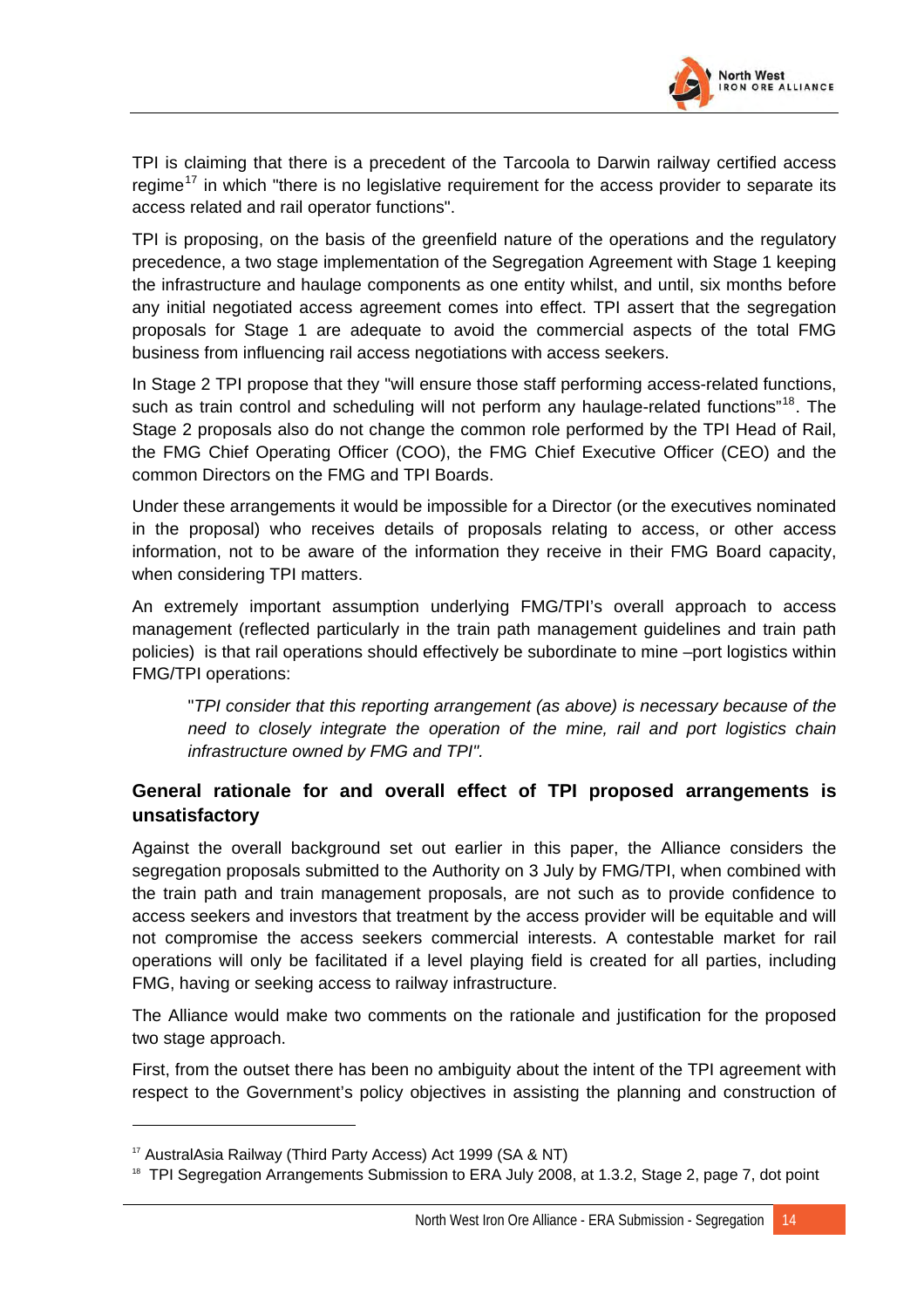

TPI is claiming that there is a precedent of the Tarcoola to Darwin railway certified access regime<sup>[17](#page-45-0)</sup> in which "there is no legislative requirement for the access provider to separate its access related and rail operator functions".

TPI is proposing, on the basis of the greenfield nature of the operations and the regulatory precedence, a two stage implementation of the Segregation Agreement with Stage 1 keeping the infrastructure and haulage components as one entity whilst, and until, six months before any initial negotiated access agreement comes into effect. TPI assert that the segregation proposals for Stage 1 are adequate to avoid the commercial aspects of the total FMG business from influencing rail access negotiations with access seekers.

In Stage 2 TPI propose that they "will ensure those staff performing access-related functions, such as train control and scheduling will not perform any haulage-related functions"<sup>[18](#page-45-1)</sup>. The Stage 2 proposals also do not change the common role performed by the TPI Head of Rail, the FMG Chief Operating Officer (COO), the FMG Chief Executive Officer (CEO) and the common Directors on the FMG and TPI Boards.

Under these arrangements it would be impossible for a Director (or the executives nominated in the proposal) who receives details of proposals relating to access, or other access information, not to be aware of the information they receive in their FMG Board capacity, when considering TPI matters.

An extremely important assumption underlying FMG/TPI's overall approach to access management (reflected particularly in the train path management guidelines and train path policies) is that rail operations should effectively be subordinate to mine –port logistics within FMG/TPI operations:

"*TPI consider that this reporting arrangement (as above) is necessary because of the need to closely integrate the operation of the mine, rail and port logistics chain infrastructure owned by FMG and TPI".*

## **General rationale for and overall effect of TPI proposed arrangements is unsatisfactory**

Against the overall background set out earlier in this paper, the Alliance considers the segregation proposals submitted to the Authority on 3 July by FMG/TPI, when combined with the train path and train management proposals, are not such as to provide confidence to access seekers and investors that treatment by the access provider will be equitable and will not compromise the access seekers commercial interests. A contestable market for rail operations will only be facilitated if a level playing field is created for all parties, including FMG, having or seeking access to railway infrastructure.

The Alliance would make two comments on the rationale and justification for the proposed two stage approach.

First, from the outset there has been no ambiguity about the intent of the TPI agreement with respect to the Government's policy objectives in assisting the planning and construction of

<span id="page-45-0"></span><sup>17</sup> AustralAsia Railway (Third Party Access) Act 1999 (SA & NT)

<span id="page-45-1"></span><sup>&</sup>lt;sup>18</sup> TPI Segregation Arrangements Submission to ERA July 2008, at 1.3.2, Stage 2, page 7, dot point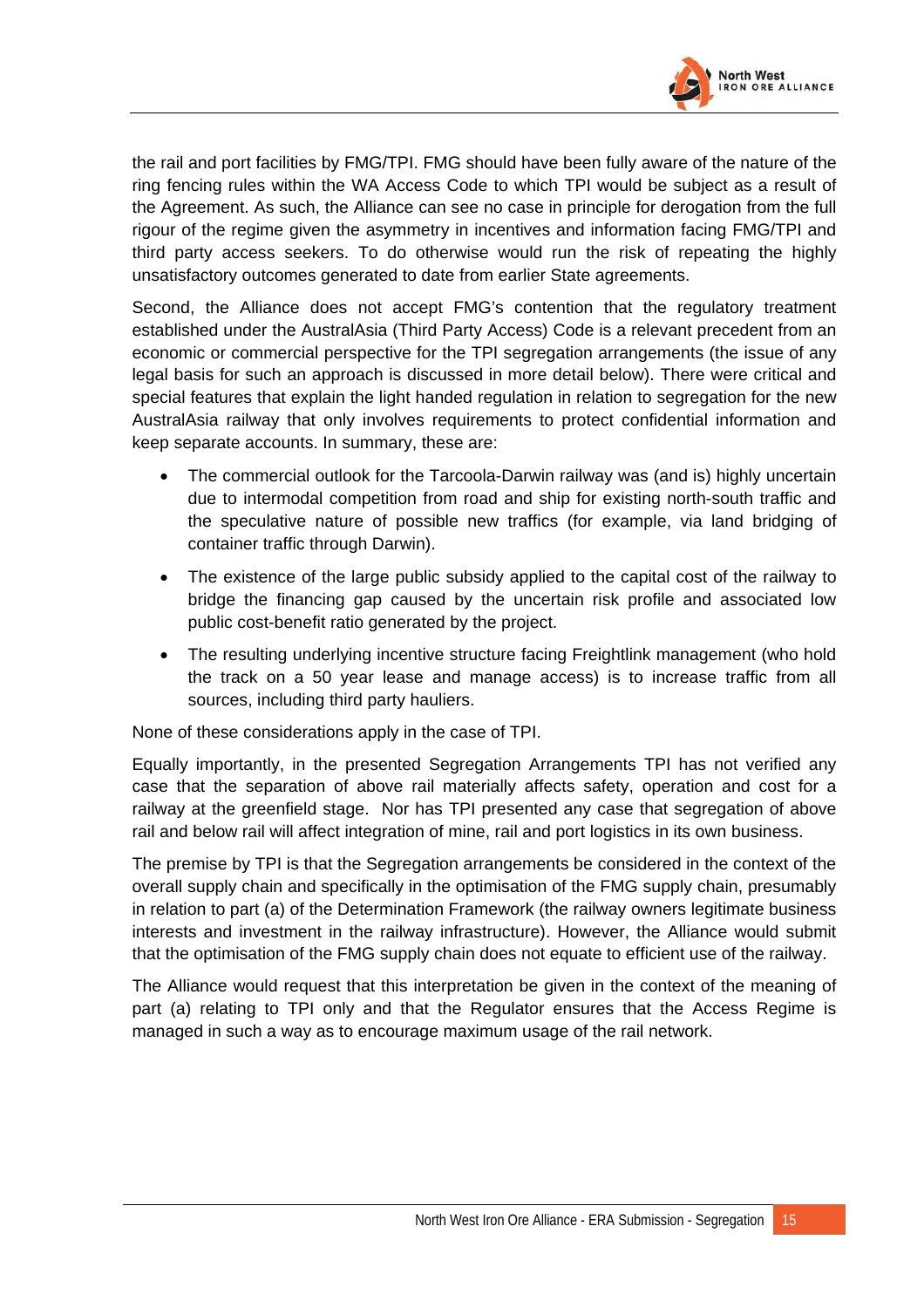

the rail and port facilities by FMG/TPI. FMG should have been fully aware of the nature of the ring fencing rules within the WA Access Code to which TPI would be subject as a result of the Agreement. As such, the Alliance can see no case in principle for derogation from the full rigour of the regime given the asymmetry in incentives and information facing FMG/TPI and third party access seekers. To do otherwise would run the risk of repeating the highly unsatisfactory outcomes generated to date from earlier State agreements.

Second, the Alliance does not accept FMG's contention that the regulatory treatment established under the AustralAsia (Third Party Access) Code is a relevant precedent from an economic or commercial perspective for the TPI segregation arrangements (the issue of any legal basis for such an approach is discussed in more detail below). There were critical and special features that explain the light handed regulation in relation to segregation for the new AustralAsia railway that only involves requirements to protect confidential information and keep separate accounts. In summary, these are:

- The commercial outlook for the Tarcoola-Darwin railway was (and is) highly uncertain due to intermodal competition from road and ship for existing north-south traffic and the speculative nature of possible new traffics (for example, via land bridging of container traffic through Darwin).
- The existence of the large public subsidy applied to the capital cost of the railway to bridge the financing gap caused by the uncertain risk profile and associated low public cost-benefit ratio generated by the project.
- The resulting underlying incentive structure facing Freightlink management (who hold the track on a 50 year lease and manage access) is to increase traffic from all sources, including third party hauliers.

None of these considerations apply in the case of TPI.

Equally importantly, in the presented Segregation Arrangements TPI has not verified any case that the separation of above rail materially affects safety, operation and cost for a railway at the greenfield stage. Nor has TPI presented any case that segregation of above rail and below rail will affect integration of mine, rail and port logistics in its own business.

The premise by TPI is that the Segregation arrangements be considered in the context of the overall supply chain and specifically in the optimisation of the FMG supply chain, presumably in relation to part (a) of the Determination Framework (the railway owners legitimate business interests and investment in the railway infrastructure). However, the Alliance would submit that the optimisation of the FMG supply chain does not equate to efficient use of the railway.

The Alliance would request that this interpretation be given in the context of the meaning of part (a) relating to TPI only and that the Regulator ensures that the Access Regime is managed in such a way as to encourage maximum usage of the rail network.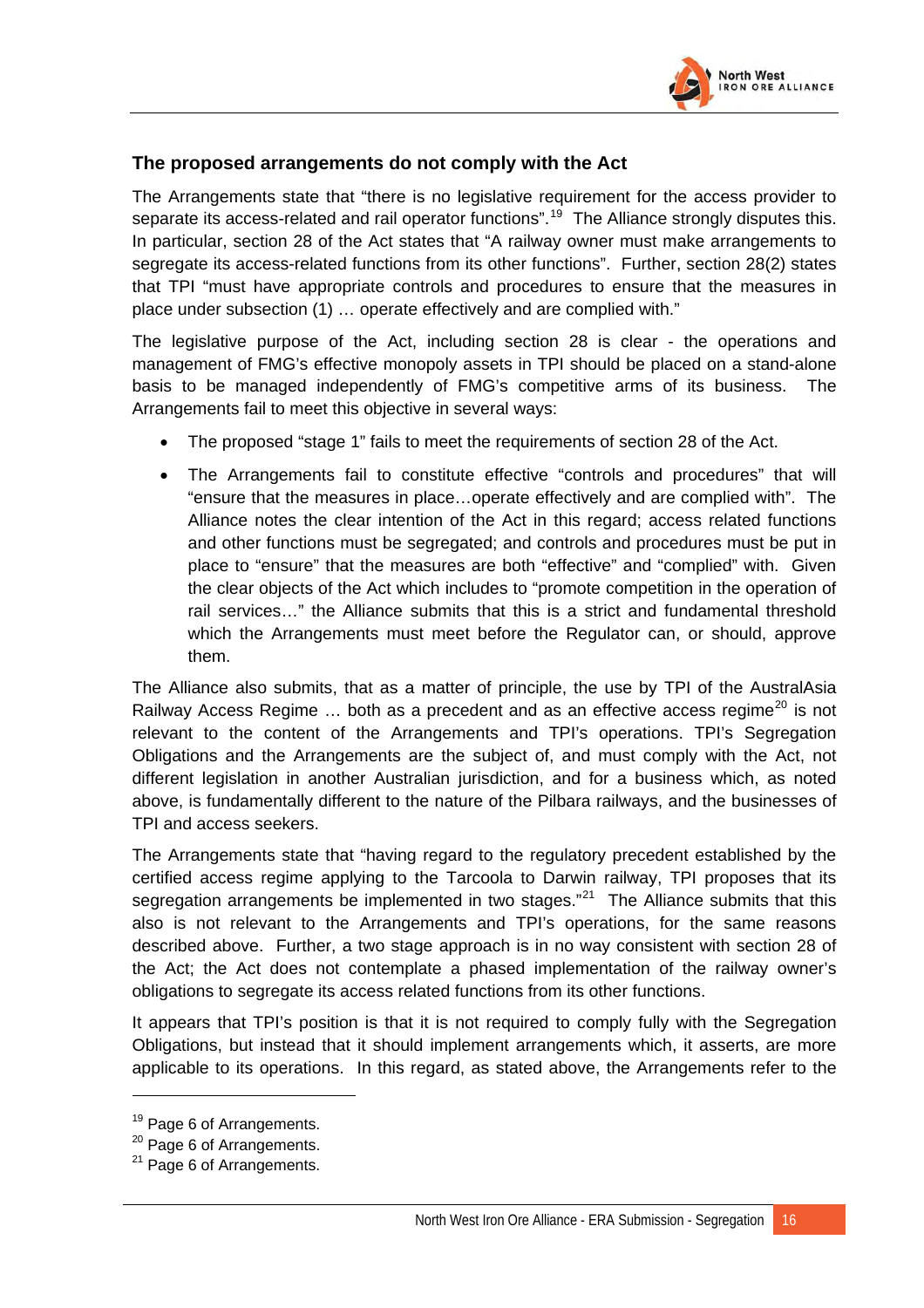

### **The proposed arrangements do not comply with the Act**

The Arrangements state that "there is no legislative requirement for the access provider to separate its access-related and rail operator functions".<sup>[19](#page-47-0)</sup> The Alliance strongly disputes this. In particular, section 28 of the Act states that "A railway owner must make arrangements to segregate its access-related functions from its other functions". Further, section 28(2) states that TPI "must have appropriate controls and procedures to ensure that the measures in place under subsection (1) … operate effectively and are complied with."

The legislative purpose of the Act, including section 28 is clear - the operations and management of FMG's effective monopoly assets in TPI should be placed on a stand-alone basis to be managed independently of FMG's competitive arms of its business. The Arrangements fail to meet this objective in several ways:

- The proposed "stage 1" fails to meet the requirements of section 28 of the Act.
- The Arrangements fail to constitute effective "controls and procedures" that will "ensure that the measures in place…operate effectively and are complied with". The Alliance notes the clear intention of the Act in this regard; access related functions and other functions must be segregated; and controls and procedures must be put in place to "ensure" that the measures are both "effective" and "complied" with. Given the clear objects of the Act which includes to "promote competition in the operation of rail services…" the Alliance submits that this is a strict and fundamental threshold which the Arrangements must meet before the Regulator can, or should, approve them.

The Alliance also submits, that as a matter of principle, the use by TPI of the AustralAsia Railway Access Regime  $\ldots$  both as a precedent and as an effective access regime<sup>[20](#page-47-1)</sup> is not relevant to the content of the Arrangements and TPI's operations. TPI's Segregation Obligations and the Arrangements are the subject of, and must comply with the Act, not different legislation in another Australian jurisdiction, and for a business which, as noted above, is fundamentally different to the nature of the Pilbara railways, and the businesses of TPI and access seekers.

The Arrangements state that "having regard to the regulatory precedent established by the certified access regime applying to the Tarcoola to Darwin railway, TPI proposes that its segregation arrangements be implemented in two stages."<sup>[21](#page-47-2)</sup> The Alliance submits that this also is not relevant to the Arrangements and TPI's operations, for the same reasons described above. Further, a two stage approach is in no way consistent with section 28 of the Act; the Act does not contemplate a phased implementation of the railway owner's obligations to segregate its access related functions from its other functions.

It appears that TPI's position is that it is not required to comply fully with the Segregation Obligations, but instead that it should implement arrangements which, it asserts, are more applicable to its operations. In this regard, as stated above, the Arrangements refer to the

<span id="page-47-0"></span><sup>&</sup>lt;sup>19</sup> Page 6 of Arrangements.

<span id="page-47-1"></span><sup>&</sup>lt;sup>20</sup> Page 6 of Arrangements.

<span id="page-47-2"></span> $21$  Page 6 of Arrangements.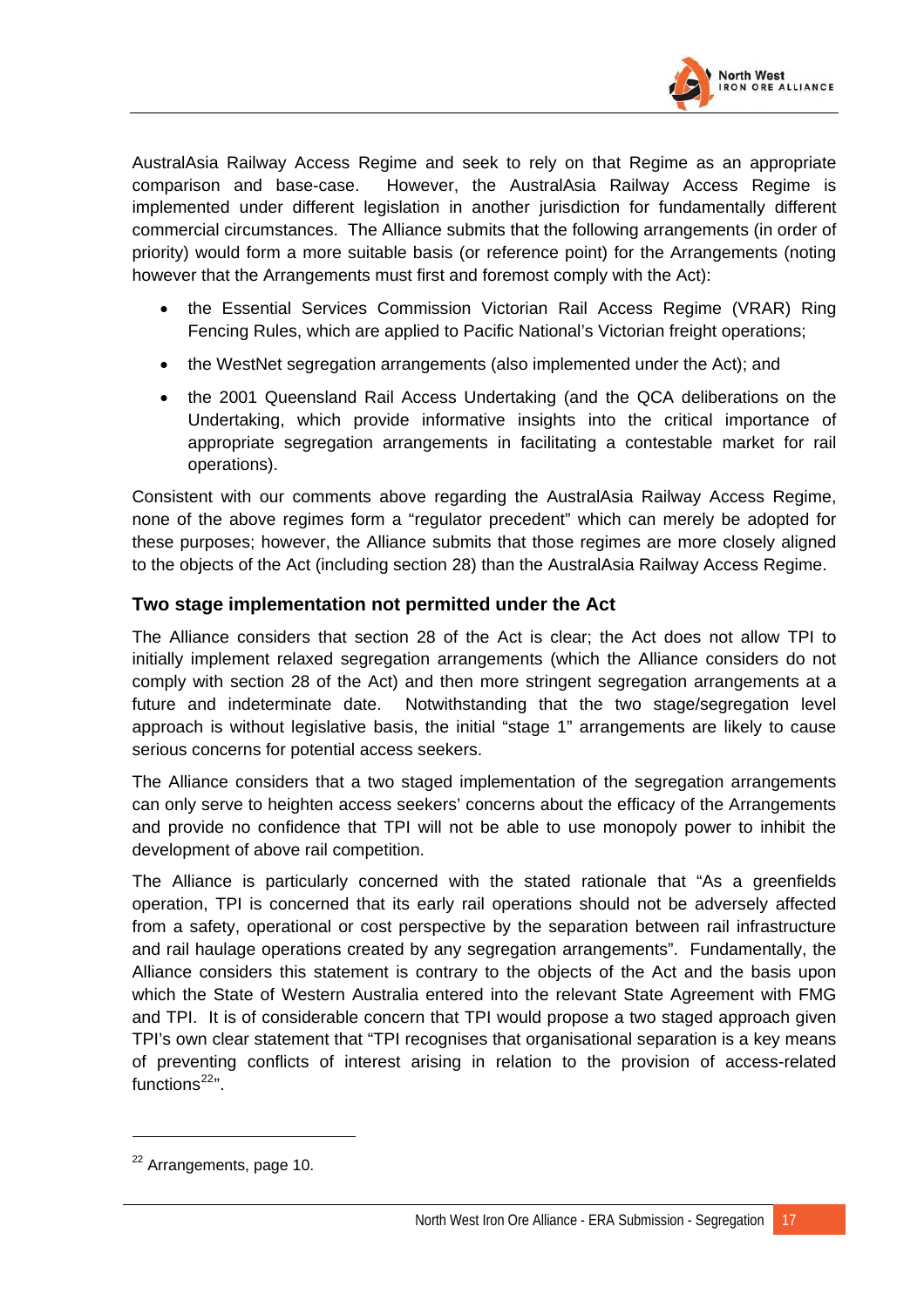

AustralAsia Railway Access Regime and seek to rely on that Regime as an appropriate comparison and base-case. However, the AustralAsia Railway Access Regime is implemented under different legislation in another jurisdiction for fundamentally different commercial circumstances. The Alliance submits that the following arrangements (in order of priority) would form a more suitable basis (or reference point) for the Arrangements (noting however that the Arrangements must first and foremost comply with the Act):

- the Essential Services Commission Victorian Rail Access Regime (VRAR) Ring Fencing Rules, which are applied to Pacific National's Victorian freight operations;
- the WestNet segregation arrangements (also implemented under the Act); and
- the 2001 Queensland Rail Access Undertaking (and the QCA deliberations on the Undertaking, which provide informative insights into the critical importance of appropriate segregation arrangements in facilitating a contestable market for rail operations).

Consistent with our comments above regarding the AustralAsia Railway Access Regime, none of the above regimes form a "regulator precedent" which can merely be adopted for these purposes; however, the Alliance submits that those regimes are more closely aligned to the objects of the Act (including section 28) than the AustralAsia Railway Access Regime.

### **Two stage implementation not permitted under the Act**

The Alliance considers that section 28 of the Act is clear; the Act does not allow TPI to initially implement relaxed segregation arrangements (which the Alliance considers do not comply with section 28 of the Act) and then more stringent segregation arrangements at a future and indeterminate date. Notwithstanding that the two stage/segregation level approach is without legislative basis, the initial "stage 1" arrangements are likely to cause serious concerns for potential access seekers.

The Alliance considers that a two staged implementation of the segregation arrangements can only serve to heighten access seekers' concerns about the efficacy of the Arrangements and provide no confidence that TPI will not be able to use monopoly power to inhibit the development of above rail competition.

The Alliance is particularly concerned with the stated rationale that "As a greenfields operation, TPI is concerned that its early rail operations should not be adversely affected from a safety, operational or cost perspective by the separation between rail infrastructure and rail haulage operations created by any segregation arrangements". Fundamentally, the Alliance considers this statement is contrary to the objects of the Act and the basis upon which the State of Western Australia entered into the relevant State Agreement with FMG and TPI. It is of considerable concern that TPI would propose a two staged approach given TPI's own clear statement that "TPI recognises that organisational separation is a key means of preventing conflicts of interest arising in relation to the provision of access-related functions $22$ ".

 $\overline{a}$ 

<span id="page-48-0"></span><sup>&</sup>lt;sup>22</sup> Arrangements, page 10.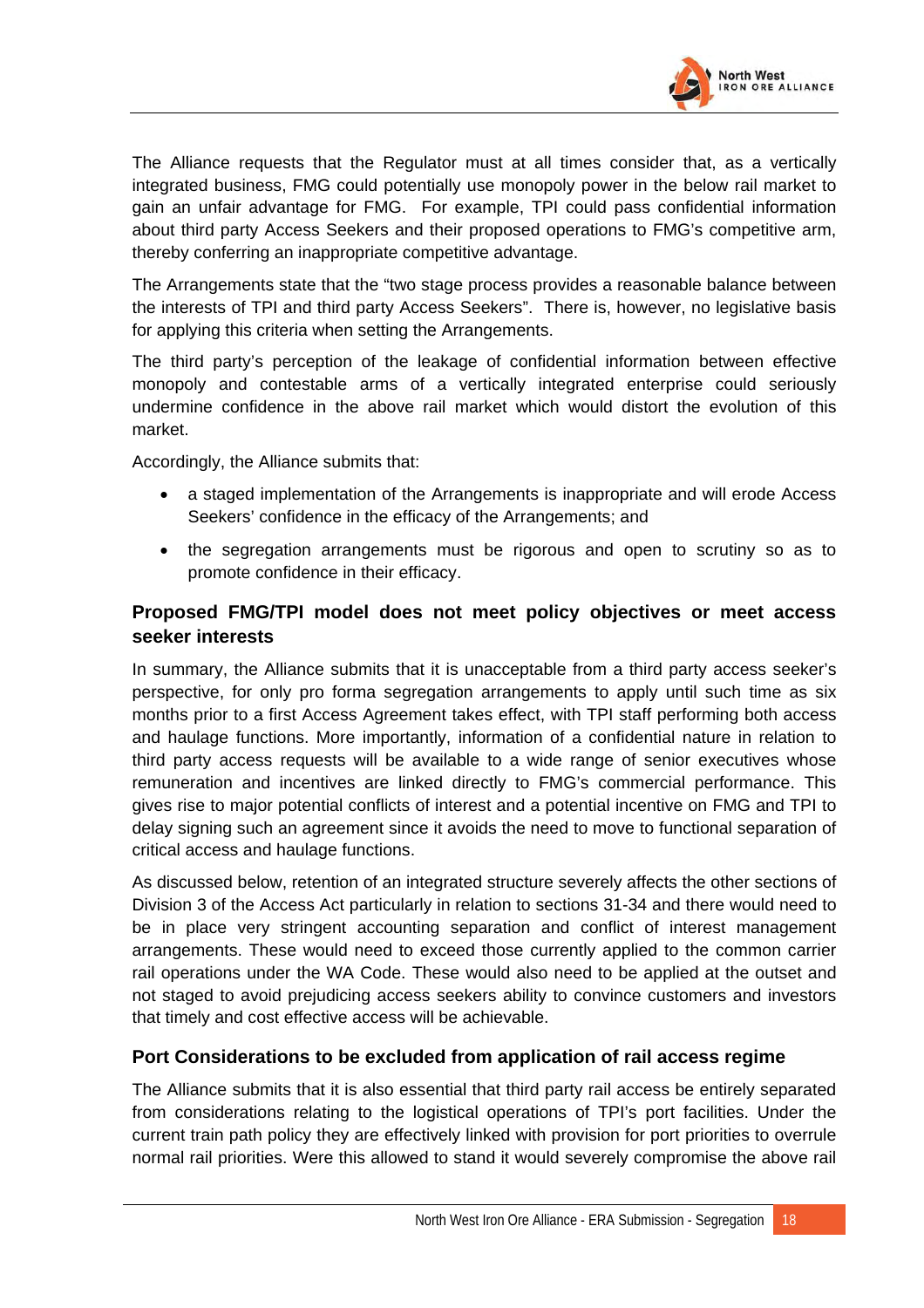

The Alliance requests that the Regulator must at all times consider that, as a vertically integrated business, FMG could potentially use monopoly power in the below rail market to gain an unfair advantage for FMG. For example, TPI could pass confidential information about third party Access Seekers and their proposed operations to FMG's competitive arm, thereby conferring an inappropriate competitive advantage.

The Arrangements state that the "two stage process provides a reasonable balance between the interests of TPI and third party Access Seekers". There is, however, no legislative basis for applying this criteria when setting the Arrangements.

The third party's perception of the leakage of confidential information between effective monopoly and contestable arms of a vertically integrated enterprise could seriously undermine confidence in the above rail market which would distort the evolution of this market.

Accordingly, the Alliance submits that:

- a staged implementation of the Arrangements is inappropriate and will erode Access Seekers' confidence in the efficacy of the Arrangements; and
- the segregation arrangements must be rigorous and open to scrutiny so as to promote confidence in their efficacy.

## **Proposed FMG/TPI model does not meet policy objectives or meet access seeker interests**

In summary, the Alliance submits that it is unacceptable from a third party access seeker's perspective, for only pro forma segregation arrangements to apply until such time as six months prior to a first Access Agreement takes effect, with TPI staff performing both access and haulage functions. More importantly, information of a confidential nature in relation to third party access requests will be available to a wide range of senior executives whose remuneration and incentives are linked directly to FMG's commercial performance. This gives rise to major potential conflicts of interest and a potential incentive on FMG and TPI to delay signing such an agreement since it avoids the need to move to functional separation of critical access and haulage functions.

As discussed below, retention of an integrated structure severely affects the other sections of Division 3 of the Access Act particularly in relation to sections 31-34 and there would need to be in place very stringent accounting separation and conflict of interest management arrangements. These would need to exceed those currently applied to the common carrier rail operations under the WA Code. These would also need to be applied at the outset and not staged to avoid prejudicing access seekers ability to convince customers and investors that timely and cost effective access will be achievable.

### **Port Considerations to be excluded from application of rail access regime**

The Alliance submits that it is also essential that third party rail access be entirely separated from considerations relating to the logistical operations of TPI's port facilities. Under the current train path policy they are effectively linked with provision for port priorities to overrule normal rail priorities. Were this allowed to stand it would severely compromise the above rail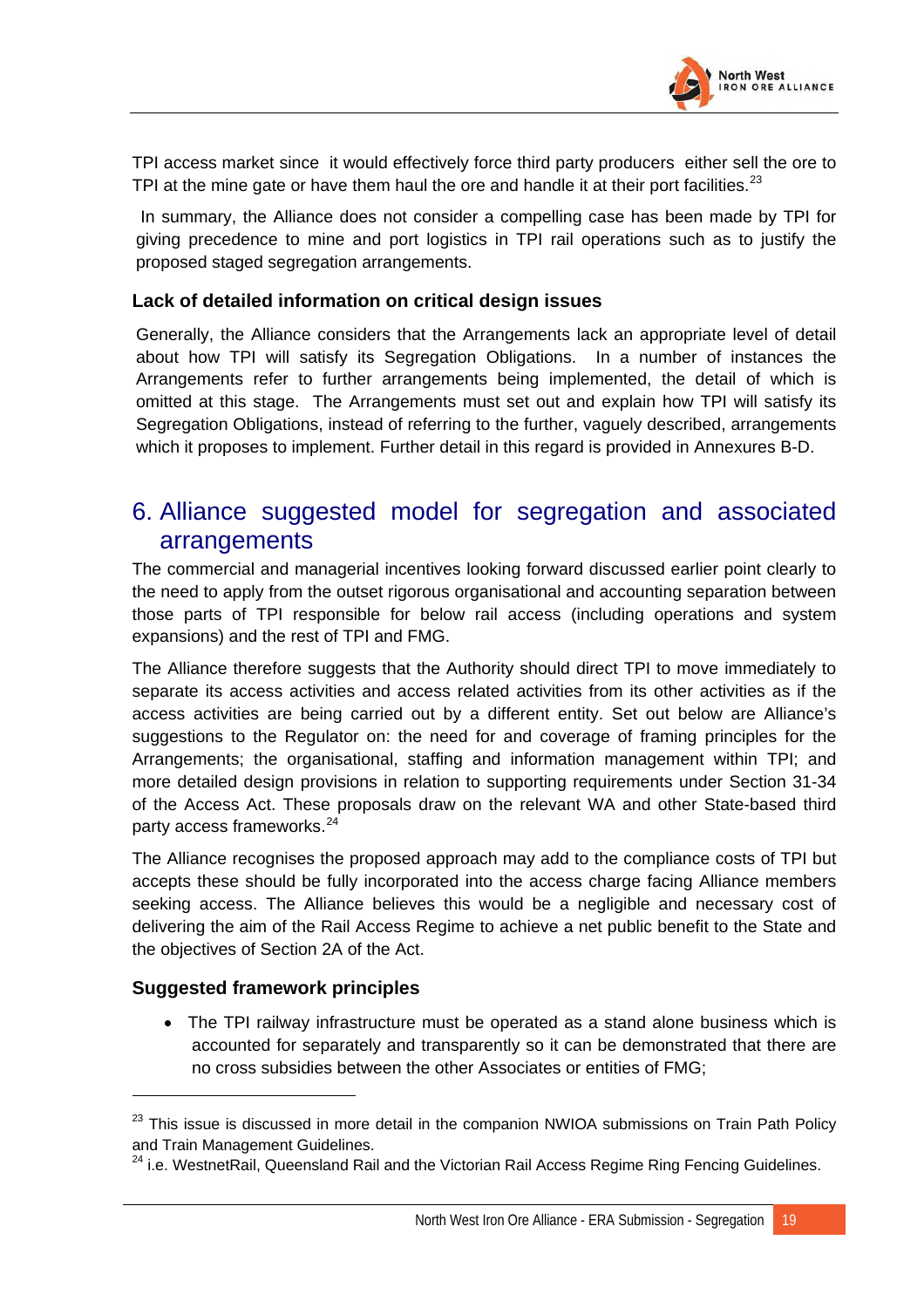

TPI access market since it would effectively force third party producers either sell the ore to TPI at the mine gate or have them haul the ore and handle it at their port facilities.<sup>[23](#page-50-0)</sup>

 In summary, the Alliance does not consider a compelling case has been made by TPI for giving precedence to mine and port logistics in TPI rail operations such as to justify the proposed staged segregation arrangements.

#### **Lack of detailed information on critical design issues**

Generally, the Alliance considers that the Arrangements lack an appropriate level of detail about how TPI will satisfy its Segregation Obligations. In a number of instances the Arrangements refer to further arrangements being implemented, the detail of which is omitted at this stage. The Arrangements must set out and explain how TPI will satisfy its Segregation Obligations, instead of referring to the further, vaguely described, arrangements which it proposes to implement. Further detail in this regard is provided in Annexures B-D.

## 6. Alliance suggested model for segregation and associated arrangements

The commercial and managerial incentives looking forward discussed earlier point clearly to the need to apply from the outset rigorous organisational and accounting separation between those parts of TPI responsible for below rail access (including operations and system expansions) and the rest of TPI and FMG.

The Alliance therefore suggests that the Authority should direct TPI to move immediately to separate its access activities and access related activities from its other activities as if the access activities are being carried out by a different entity. Set out below are Alliance's suggestions to the Regulator on: the need for and coverage of framing principles for the Arrangements; the organisational, staffing and information management within TPI; and more detailed design provisions in relation to supporting requirements under Section 31-34 of the Access Act. These proposals draw on the relevant WA and other State-based third party access frameworks.<sup>[24](#page-50-1)</sup>

The Alliance recognises the proposed approach may add to the compliance costs of TPI but accepts these should be fully incorporated into the access charge facing Alliance members seeking access. The Alliance believes this would be a negligible and necessary cost of delivering the aim of the Rail Access Regime to achieve a net public benefit to the State and the objectives of Section 2A of the Act.

### **Suggested framework principles**

• The TPI railway infrastructure must be operated as a stand alone business which is accounted for separately and transparently so it can be demonstrated that there are no cross subsidies between the other Associates or entities of FMG;

<span id="page-50-0"></span> $23$  This issue is discussed in more detail in the companion NWIOA submissions on Train Path Policy and Train Management Guidelines.

<span id="page-50-1"></span><sup>&</sup>lt;sup>24</sup> i.e. WestnetRail, Queensland Rail and the Victorian Rail Access Regime Ring Fencing Guidelines.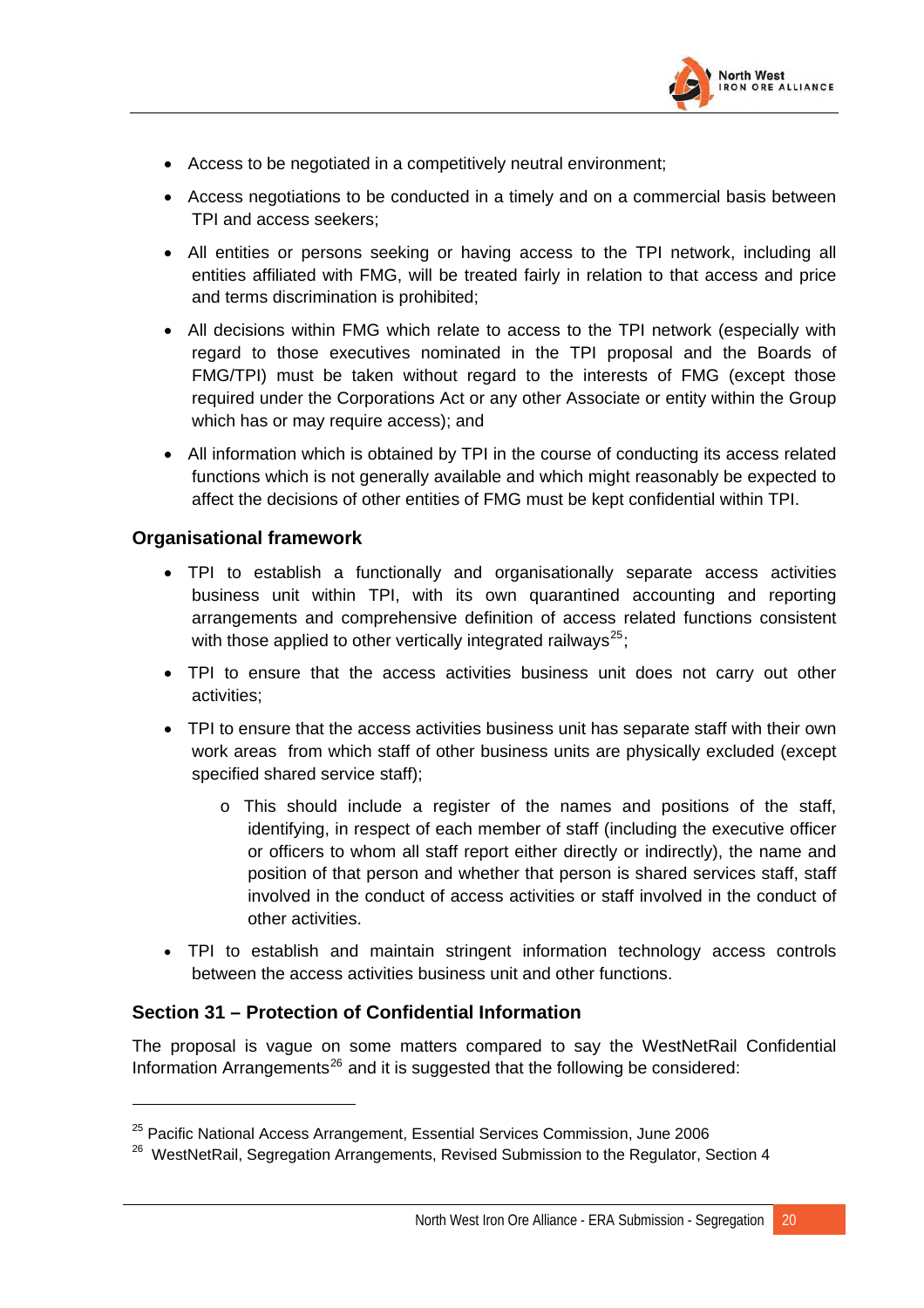

- Access to be negotiated in a competitively neutral environment;
- Access negotiations to be conducted in a timely and on a commercial basis between TPI and access seekers;
- All entities or persons seeking or having access to the TPI network, including all entities affiliated with FMG, will be treated fairly in relation to that access and price and terms discrimination is prohibited;
- All decisions within FMG which relate to access to the TPI network (especially with regard to those executives nominated in the TPI proposal and the Boards of FMG/TPI) must be taken without regard to the interests of FMG (except those required under the Corporations Act or any other Associate or entity within the Group which has or may require access); and
- All information which is obtained by TPI in the course of conducting its access related functions which is not generally available and which might reasonably be expected to affect the decisions of other entities of FMG must be kept confidential within TPI.

### **Organisational framework**

- TPI to establish a functionally and organisationally separate access activities business unit within TPI, with its own quarantined accounting and reporting arrangements and comprehensive definition of access related functions consistent with those applied to other vertically integrated railways<sup>[25](#page-51-0)</sup>;
- TPI to ensure that the access activities business unit does not carry out other activities;
- TPI to ensure that the access activities business unit has separate staff with their own work areas from which staff of other business units are physically excluded (except specified shared service staff);
	- o This should include a register of the names and positions of the staff, identifying, in respect of each member of staff (including the executive officer or officers to whom all staff report either directly or indirectly), the name and position of that person and whether that person is shared services staff, staff involved in the conduct of access activities or staff involved in the conduct of other activities.
- TPI to establish and maintain stringent information technology access controls between the access activities business unit and other functions.

### **Section 31 – Protection of Confidential Information**

The proposal is vague on some matters compared to say the WestNetRail Confidential Information Arrangements<sup>[26](#page-51-1)</sup> and it is suggested that the following be considered:

<span id="page-51-0"></span> $25$  Pacific National Access Arrangement, Essential Services Commission, June 2006

<span id="page-51-1"></span><sup>&</sup>lt;sup>26</sup> WestNetRail, Segregation Arrangements, Revised Submission to the Regulator, Section 4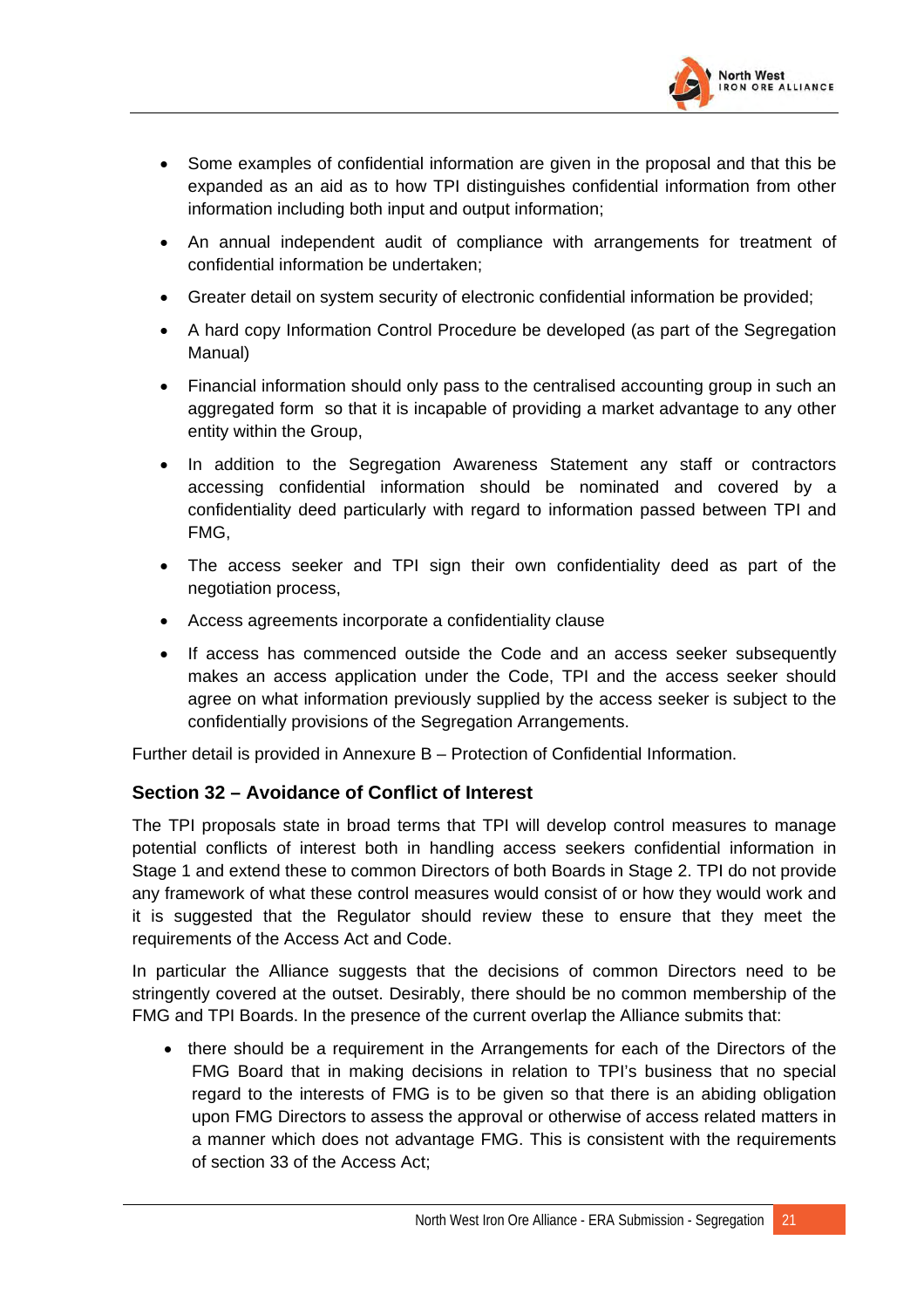

- Some examples of confidential information are given in the proposal and that this be expanded as an aid as to how TPI distinguishes confidential information from other information including both input and output information;
- An annual independent audit of compliance with arrangements for treatment of confidential information be undertaken;
- Greater detail on system security of electronic confidential information be provided;
- A hard copy Information Control Procedure be developed (as part of the Segregation Manual)
- Financial information should only pass to the centralised accounting group in such an aggregated form so that it is incapable of providing a market advantage to any other entity within the Group,
- In addition to the Segregation Awareness Statement any staff or contractors accessing confidential information should be nominated and covered by a confidentiality deed particularly with regard to information passed between TPI and FMG,
- The access seeker and TPI sign their own confidentiality deed as part of the negotiation process,
- Access agreements incorporate a confidentiality clause
- If access has commenced outside the Code and an access seeker subsequently makes an access application under the Code, TPI and the access seeker should agree on what information previously supplied by the access seeker is subject to the confidentially provisions of the Segregation Arrangements.

Further detail is provided in Annexure B – Protection of Confidential Information.

## **Section 32 – Avoidance of Conflict of Interest**

The TPI proposals state in broad terms that TPI will develop control measures to manage potential conflicts of interest both in handling access seekers confidential information in Stage 1 and extend these to common Directors of both Boards in Stage 2. TPI do not provide any framework of what these control measures would consist of or how they would work and it is suggested that the Regulator should review these to ensure that they meet the requirements of the Access Act and Code.

In particular the Alliance suggests that the decisions of common Directors need to be stringently covered at the outset. Desirably, there should be no common membership of the FMG and TPI Boards. In the presence of the current overlap the Alliance submits that:

• there should be a requirement in the Arrangements for each of the Directors of the FMG Board that in making decisions in relation to TPI's business that no special regard to the interests of FMG is to be given so that there is an abiding obligation upon FMG Directors to assess the approval or otherwise of access related matters in a manner which does not advantage FMG. This is consistent with the requirements of section 33 of the Access Act;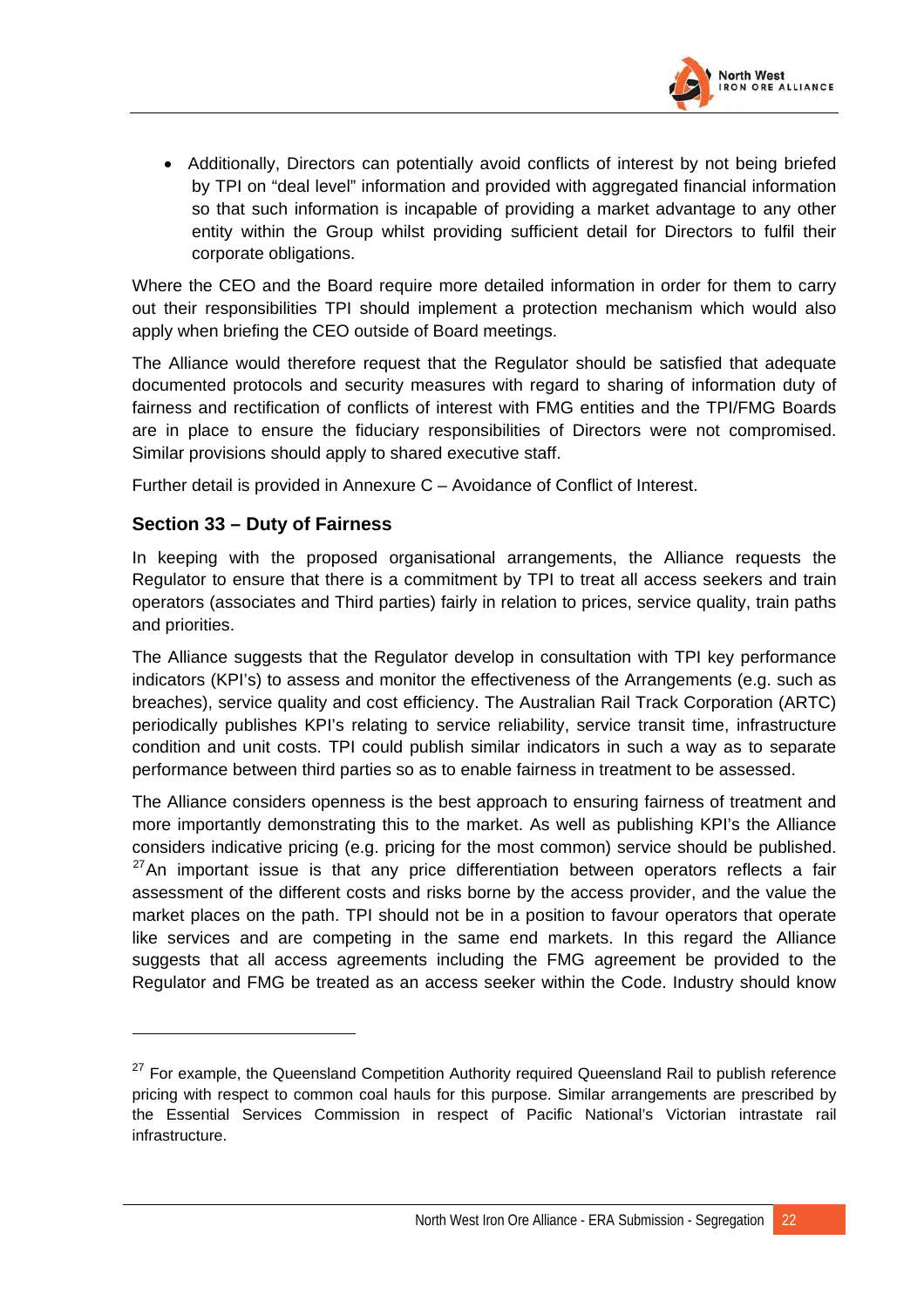

• Additionally, Directors can potentially avoid conflicts of interest by not being briefed by TPI on "deal level" information and provided with aggregated financial information so that such information is incapable of providing a market advantage to any other entity within the Group whilst providing sufficient detail for Directors to fulfil their corporate obligations.

Where the CEO and the Board require more detailed information in order for them to carry out their responsibilities TPI should implement a protection mechanism which would also apply when briefing the CEO outside of Board meetings.

The Alliance would therefore request that the Regulator should be satisfied that adequate documented protocols and security measures with regard to sharing of information duty of fairness and rectification of conflicts of interest with FMG entities and the TPI/FMG Boards are in place to ensure the fiduciary responsibilities of Directors were not compromised. Similar provisions should apply to shared executive staff.

Further detail is provided in Annexure C – Avoidance of Conflict of Interest.

### **Section 33 – Duty of Fairness**

In keeping with the proposed organisational arrangements, the Alliance requests the Regulator to ensure that there is a commitment by TPI to treat all access seekers and train operators (associates and Third parties) fairly in relation to prices, service quality, train paths and priorities.

The Alliance suggests that the Regulator develop in consultation with TPI key performance indicators (KPI's) to assess and monitor the effectiveness of the Arrangements (e.g. such as breaches), service quality and cost efficiency. The Australian Rail Track Corporation (ARTC) periodically publishes KPI's relating to service reliability, service transit time, infrastructure condition and unit costs. TPI could publish similar indicators in such a way as to separate performance between third parties so as to enable fairness in treatment to be assessed.

The Alliance considers openness is the best approach to ensuring fairness of treatment and more importantly demonstrating this to the market. As well as publishing KPI's the Alliance considers indicative pricing (e.g. pricing for the most common) service should be published.  $27$ An important issue is that any price differentiation between operators reflects a fair assessment of the different costs and risks borne by the access provider, and the value the market places on the path. TPI should not be in a position to favour operators that operate like services and are competing in the same end markets. In this regard the Alliance suggests that all access agreements including the FMG agreement be provided to the Regulator and FMG be treated as an access seeker within the Code. Industry should know

<span id="page-53-0"></span><sup>&</sup>lt;sup>27</sup> For example, the Queensland Competition Authority required Queensland Rail to publish reference pricing with respect to common coal hauls for this purpose. Similar arrangements are prescribed by the Essential Services Commission in respect of Pacific National's Victorian intrastate rail infrastructure.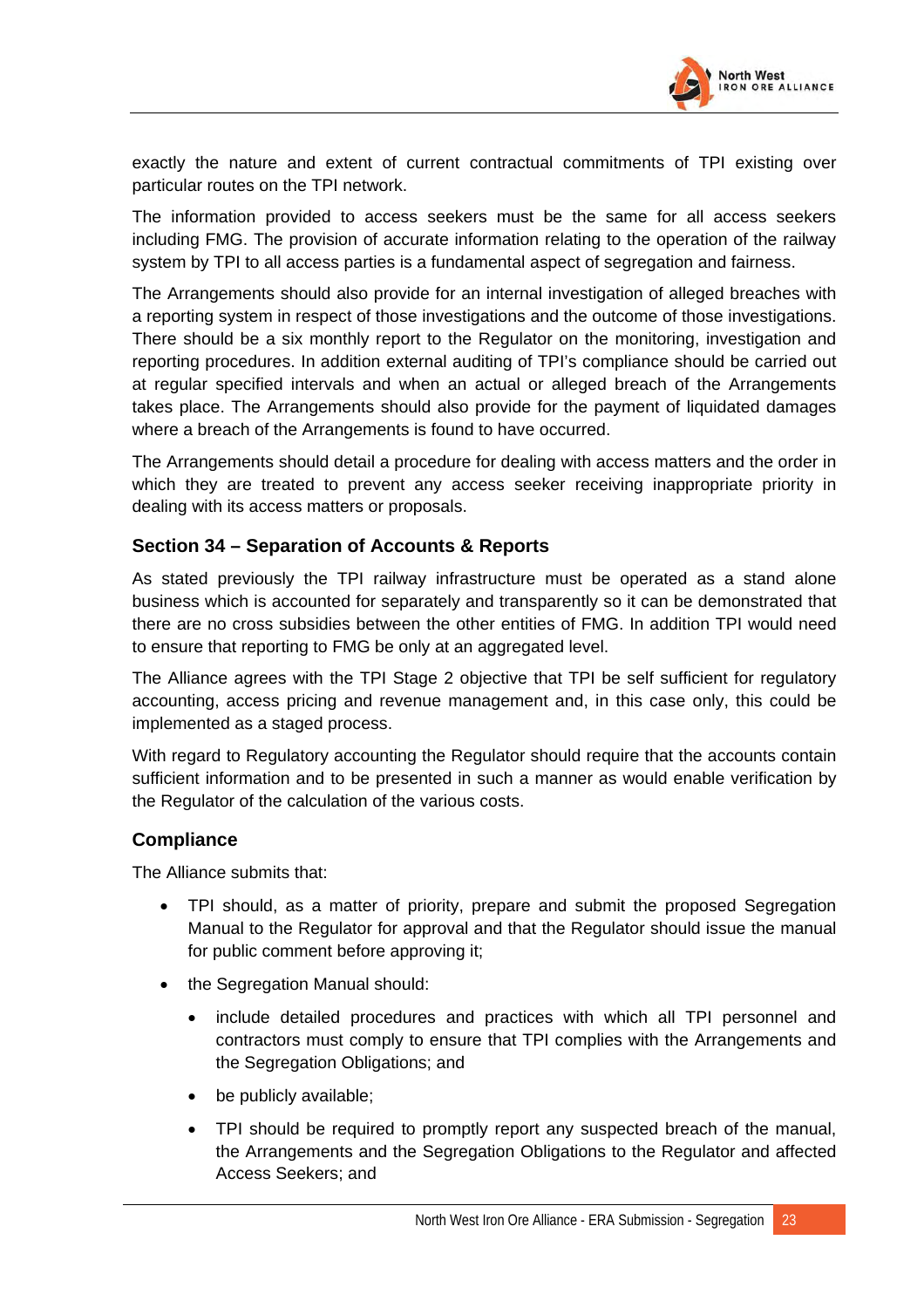

exactly the nature and extent of current contractual commitments of TPI existing over particular routes on the TPI network.

The information provided to access seekers must be the same for all access seekers including FMG. The provision of accurate information relating to the operation of the railway system by TPI to all access parties is a fundamental aspect of segregation and fairness.

The Arrangements should also provide for an internal investigation of alleged breaches with a reporting system in respect of those investigations and the outcome of those investigations. There should be a six monthly report to the Regulator on the monitoring, investigation and reporting procedures. In addition external auditing of TPI's compliance should be carried out at regular specified intervals and when an actual or alleged breach of the Arrangements takes place. The Arrangements should also provide for the payment of liquidated damages where a breach of the Arrangements is found to have occurred.

The Arrangements should detail a procedure for dealing with access matters and the order in which they are treated to prevent any access seeker receiving inappropriate priority in dealing with its access matters or proposals.

### **Section 34 – Separation of Accounts & Reports**

As stated previously the TPI railway infrastructure must be operated as a stand alone business which is accounted for separately and transparently so it can be demonstrated that there are no cross subsidies between the other entities of FMG. In addition TPI would need to ensure that reporting to FMG be only at an aggregated level.

The Alliance agrees with the TPI Stage 2 objective that TPI be self sufficient for regulatory accounting, access pricing and revenue management and, in this case only, this could be implemented as a staged process.

With regard to Regulatory accounting the Regulator should require that the accounts contain sufficient information and to be presented in such a manner as would enable verification by the Regulator of the calculation of the various costs.

#### **Compliance**

The Alliance submits that:

- TPI should, as a matter of priority, prepare and submit the proposed Segregation Manual to the Regulator for approval and that the Regulator should issue the manual for public comment before approving it;
- the Segregation Manual should:
	- include detailed procedures and practices with which all TPI personnel and contractors must comply to ensure that TPI complies with the Arrangements and the Segregation Obligations; and
	- be publicly available;
	- TPI should be required to promptly report any suspected breach of the manual, the Arrangements and the Segregation Obligations to the Regulator and affected Access Seekers; and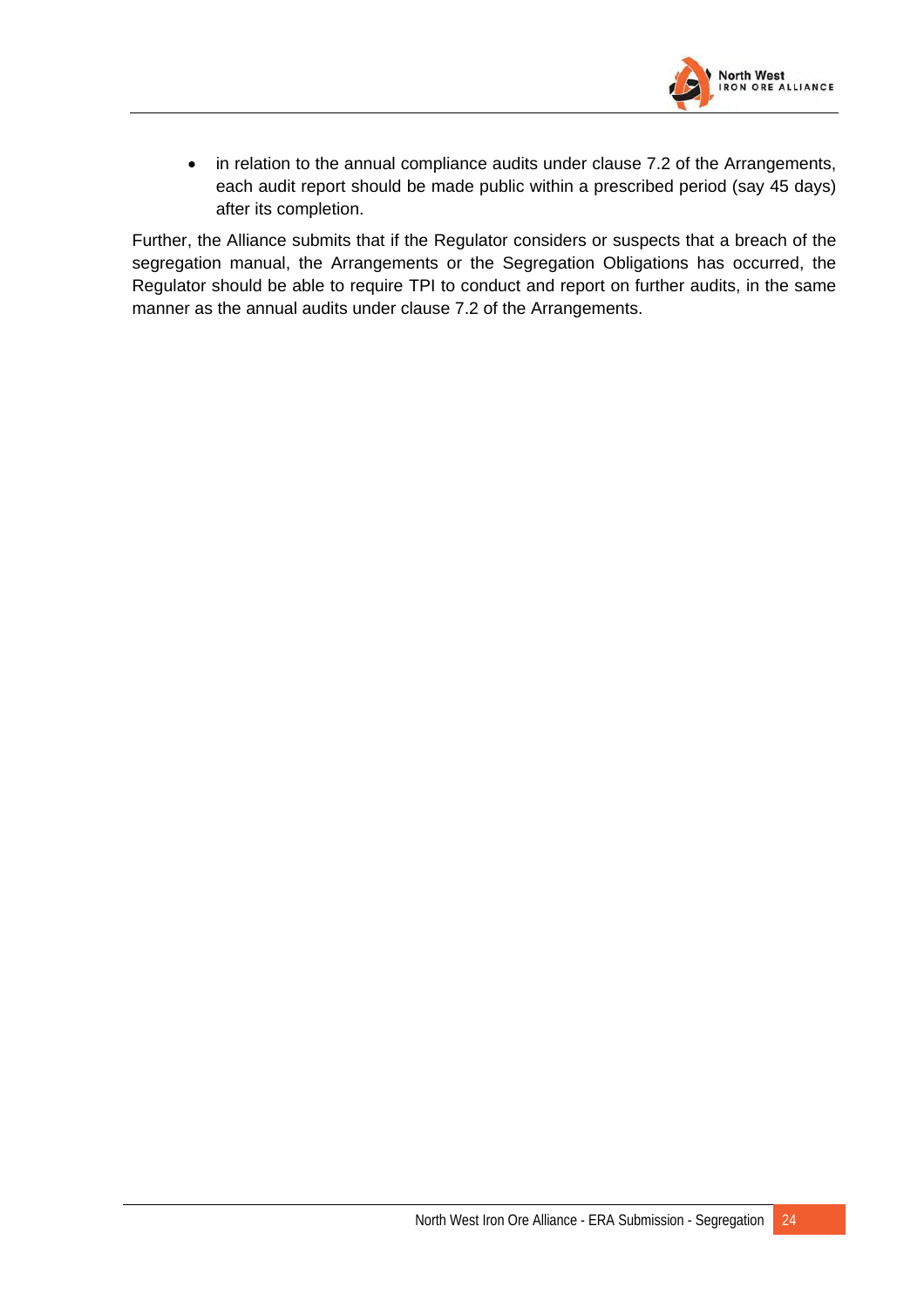

• in relation to the annual compliance audits under clause 7.2 of the Arrangements, each audit report should be made public within a prescribed period (say 45 days) after its completion.

Further, the Alliance submits that if the Regulator considers or suspects that a breach of the segregation manual, the Arrangements or the Segregation Obligations has occurred, the Regulator should be able to require TPI to conduct and report on further audits, in the same manner as the annual audits under clause 7.2 of the Arrangements.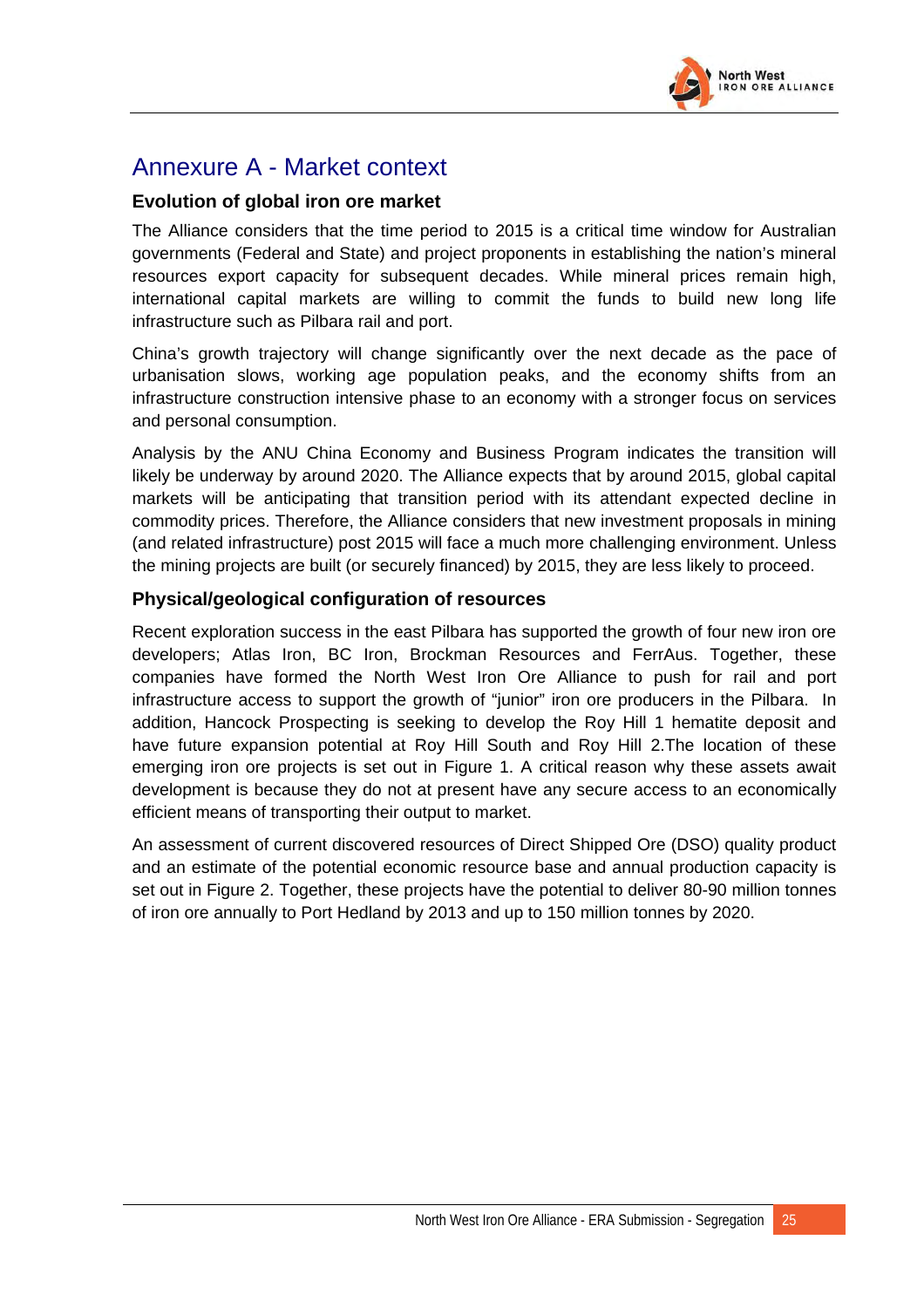

## Annexure A - Market context

### **Evolution of global iron ore market**

The Alliance considers that the time period to 2015 is a critical time window for Australian governments (Federal and State) and project proponents in establishing the nation's mineral resources export capacity for subsequent decades. While mineral prices remain high, international capital markets are willing to commit the funds to build new long life infrastructure such as Pilbara rail and port.

China's growth trajectory will change significantly over the next decade as the pace of urbanisation slows, working age population peaks, and the economy shifts from an infrastructure construction intensive phase to an economy with a stronger focus on services and personal consumption.

Analysis by the ANU China Economy and Business Program indicates the transition will likely be underway by around 2020. The Alliance expects that by around 2015, global capital markets will be anticipating that transition period with its attendant expected decline in commodity prices. Therefore, the Alliance considers that new investment proposals in mining (and related infrastructure) post 2015 will face a much more challenging environment. Unless the mining projects are built (or securely financed) by 2015, they are less likely to proceed.

### **Physical/geological configuration of resources**

Recent exploration success in the east Pilbara has supported the growth of four new iron ore developers; Atlas Iron, BC Iron, Brockman Resources and FerrAus. Together, these companies have formed the North West Iron Ore Alliance to push for rail and port infrastructure access to support the growth of "junior" iron ore producers in the Pilbara. In addition, Hancock Prospecting is seeking to develop the Roy Hill 1 hematite deposit and have future expansion potential at Roy Hill South and Roy Hill 2.The location of these emerging iron ore projects is set out in Figure 1. A critical reason why these assets await development is because they do not at present have any secure access to an economically efficient means of transporting their output to market.

An assessment of current discovered resources of Direct Shipped Ore (DSO) quality product and an estimate of the potential economic resource base and annual production capacity is set out in Figure 2. Together, these projects have the potential to deliver 80-90 million tonnes of iron ore annually to Port Hedland by 2013 and up to 150 million tonnes by 2020.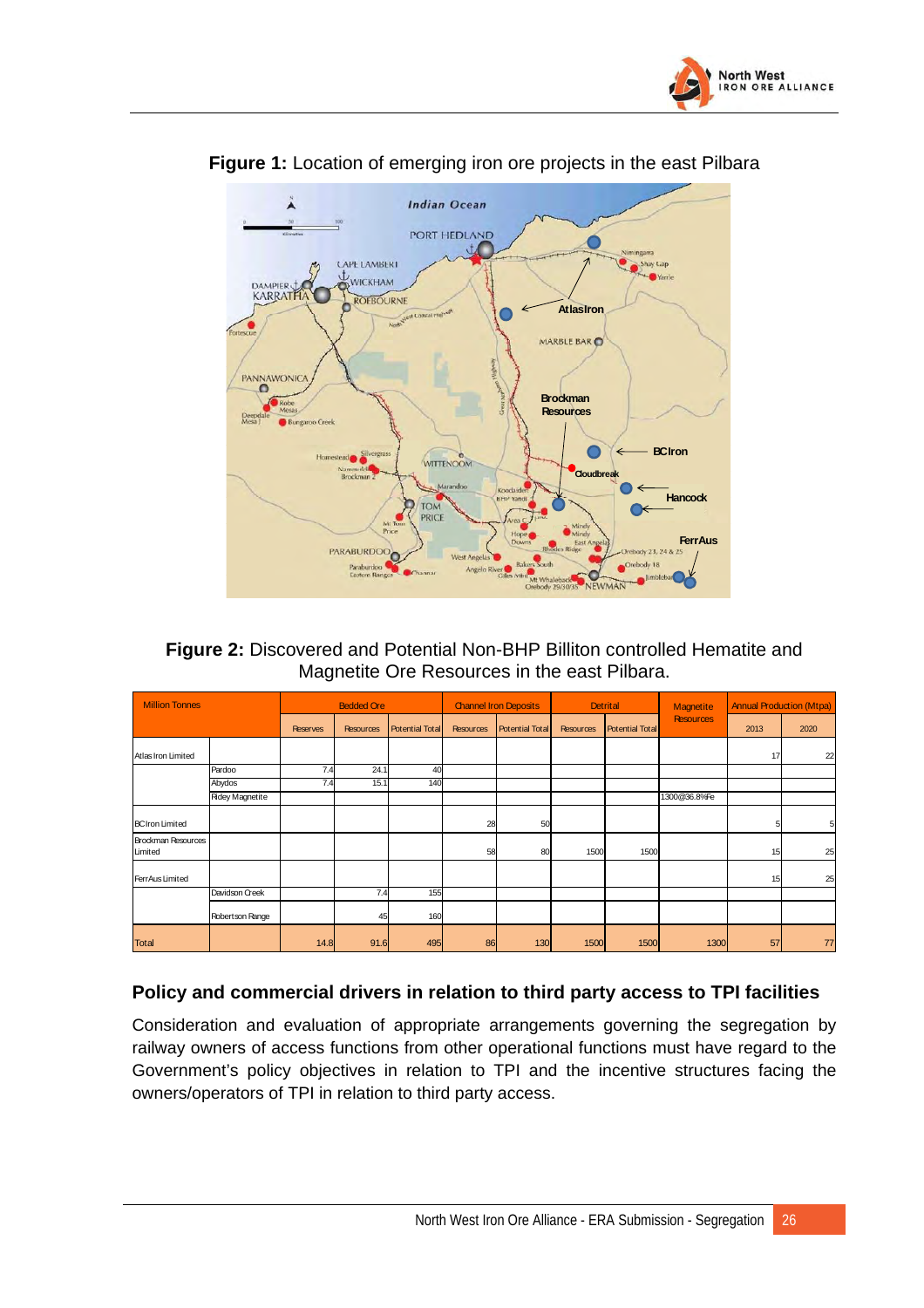



**Figure 1:** Location of emerging iron ore projects in the east Pilbara

**Figure 2:** Discovered and Potential Non-BHP Billiton controlled Hematite and Magnetite Ore Resources in the east Pilbara.

| <b>Million Tonnes</b>         |                        | <b>Bedded Ore</b> |                  |                        | <b>Channel Iron Deposits</b> |                        | <b>Detrital</b>  |                        | Magnetite        | <b>Annual Production (Mtpa)</b> |      |
|-------------------------------|------------------------|-------------------|------------------|------------------------|------------------------------|------------------------|------------------|------------------------|------------------|---------------------------------|------|
|                               |                        | <b>Reserves</b>   | <b>Resources</b> | <b>Potential Total</b> | <b>Resources</b>             | <b>Potential Total</b> | <b>Resources</b> | <b>Potential Total</b> | <b>Resources</b> | 2013                            | 2020 |
| Atlas Iron Limited            |                        |                   |                  |                        |                              |                        |                  |                        |                  | 17                              | 22   |
|                               | Pardoo                 | 7.4               | 24.1             | 40                     |                              |                        |                  |                        |                  |                                 |      |
|                               | Abydos                 | 7.4               | 15.1             | 140                    |                              |                        |                  |                        |                  |                                 |      |
|                               | <b>Ridey Magnetite</b> |                   |                  |                        |                              |                        |                  |                        | 1300@36.8%Fe     |                                 |      |
| <b>BCIron Limited</b>         |                        |                   |                  |                        | 28                           | 50                     |                  |                        |                  |                                 | 5    |
| Brockman Resources<br>Limited |                        |                   |                  |                        | 58                           | 80                     | 1500             | 1500                   |                  | 15                              | 25   |
| FerrAus Limited               |                        |                   |                  |                        |                              |                        |                  |                        |                  | 15                              | 25   |
|                               | Davidson Creek         |                   | 7.4              | 155                    |                              |                        |                  |                        |                  |                                 |      |
|                               | Robertson Range        |                   | 45               | 160                    |                              |                        |                  |                        |                  |                                 |      |
| <b>Total</b>                  |                        | 14.8              | 91.6             | 495                    | 86                           | 130                    | 1500             | 1500                   | 1300             | 57                              | 77   |

## **Policy and commercial drivers in relation to third party access to TPI facilities**

Consideration and evaluation of appropriate arrangements governing the segregation by railway owners of access functions from other operational functions must have regard to the Government's policy objectives in relation to TPI and the incentive structures facing the owners/operators of TPI in relation to third party access.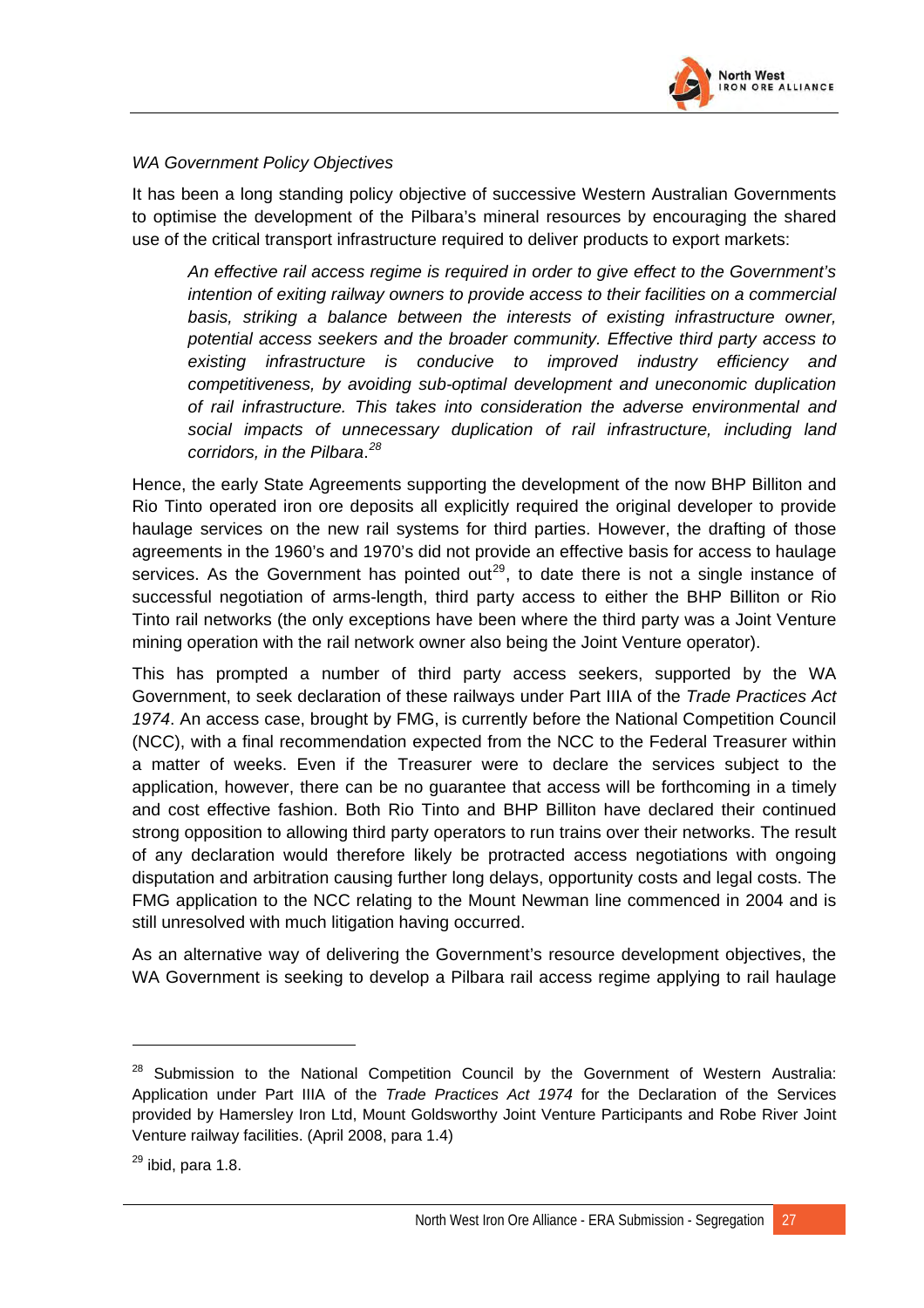

#### *WA Government Policy Objectives*

It has been a long standing policy objective of successive Western Australian Governments to optimise the development of the Pilbara's mineral resources by encouraging the shared use of the critical transport infrastructure required to deliver products to export markets:

*An effective rail access regime is required in order to give effect to the Government's intention of exiting railway owners to provide access to their facilities on a commercial basis, striking a balance between the interests of existing infrastructure owner, potential access seekers and the broader community. Effective third party access to existing infrastructure is conducive to improved industry efficiency and competitiveness, by avoiding sub-optimal development and uneconomic duplication of rail infrastructure. This takes into consideration the adverse environmental and social impacts of unnecessary duplication of rail infrastructure, including land corridors, in the Pilbara*. *[28](#page-58-0)*

Hence, the early State Agreements supporting the development of the now BHP Billiton and Rio Tinto operated iron ore deposits all explicitly required the original developer to provide haulage services on the new rail systems for third parties. However, the drafting of those agreements in the 1960's and 1970's did not provide an effective basis for access to haulage services. As the Government has pointed out<sup>[29](#page-58-1)</sup>, to date there is not a single instance of successful negotiation of arms-length, third party access to either the BHP Billiton or Rio Tinto rail networks (the only exceptions have been where the third party was a Joint Venture mining operation with the rail network owner also being the Joint Venture operator).

This has prompted a number of third party access seekers, supported by the WA Government, to seek declaration of these railways under Part IIIA of the *Trade Practices Act 1974*. An access case, brought by FMG, is currently before the National Competition Council (NCC), with a final recommendation expected from the NCC to the Federal Treasurer within a matter of weeks. Even if the Treasurer were to declare the services subject to the application, however, there can be no guarantee that access will be forthcoming in a timely and cost effective fashion. Both Rio Tinto and BHP Billiton have declared their continued strong opposition to allowing third party operators to run trains over their networks. The result of any declaration would therefore likely be protracted access negotiations with ongoing disputation and arbitration causing further long delays, opportunity costs and legal costs. The FMG application to the NCC relating to the Mount Newman line commenced in 2004 and is still unresolved with much litigation having occurred.

As an alternative way of delivering the Government's resource development objectives, the WA Government is seeking to develop a Pilbara rail access regime applying to rail haulage

<span id="page-58-0"></span><sup>&</sup>lt;sup>28</sup> Submission to the National Competition Council by the Government of Western Australia: Application under Part IIIA of the *Trade Practices Act 1974* for the Declaration of the Services provided by Hamersley Iron Ltd, Mount Goldsworthy Joint Venture Participants and Robe River Joint Venture railway facilities. (April 2008, para 1.4)

<span id="page-58-1"></span> $^{29}$  ibid, para 1.8.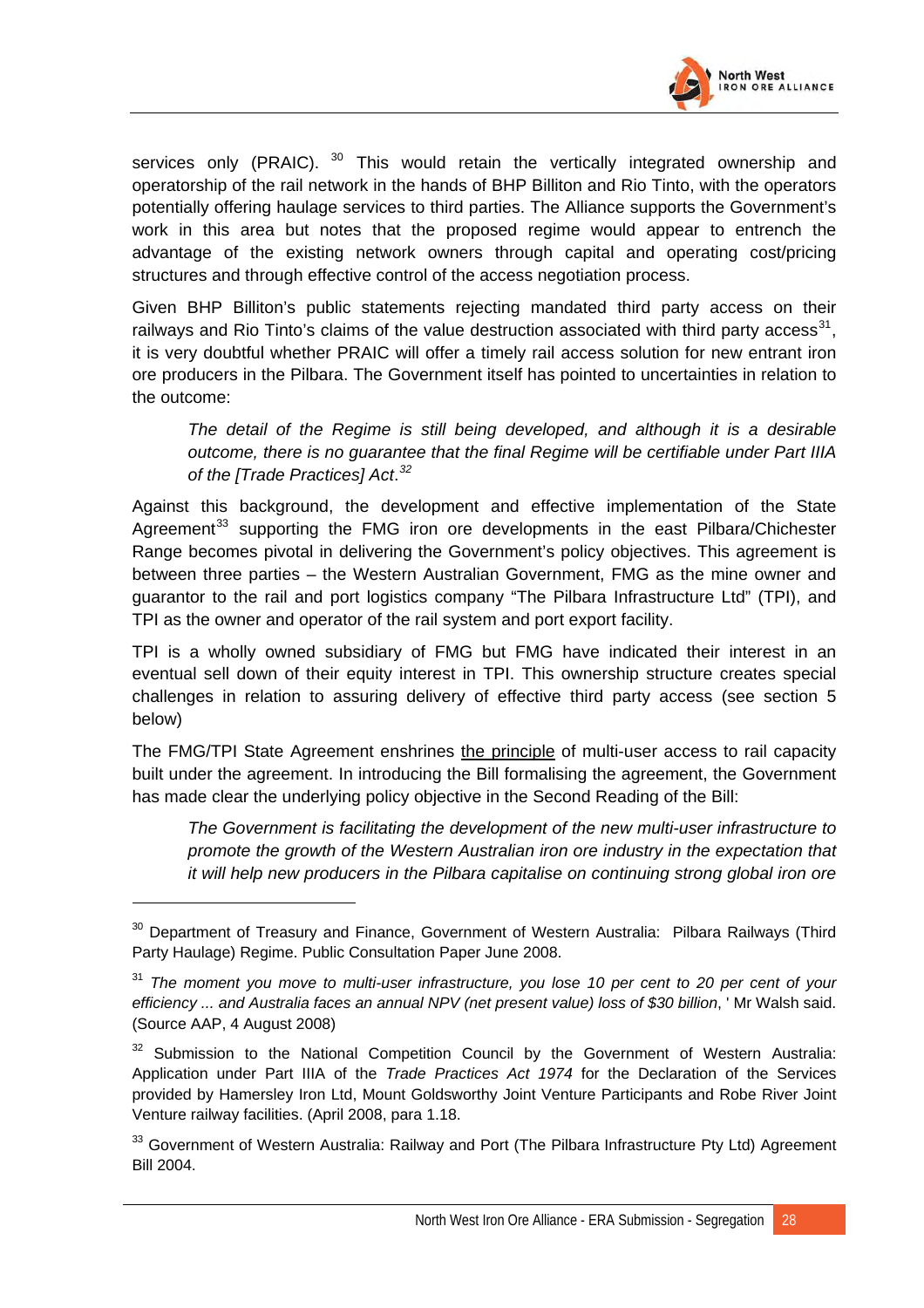

services only (PRAIC).  $30$  This would retain the vertically integrated ownership and operatorship of the rail network in the hands of BHP Billiton and Rio Tinto, with the operators potentially offering haulage services to third parties. The Alliance supports the Government's work in this area but notes that the proposed regime would appear to entrench the advantage of the existing network owners through capital and operating cost/pricing structures and through effective control of the access negotiation process.

Given BHP Billiton's public statements rejecting mandated third party access on their railways and Rio Tinto's claims of the value destruction associated with third party access<sup>[31](#page-59-1)</sup>, it is very doubtful whether PRAIC will offer a timely rail access solution for new entrant iron ore producers in the Pilbara. The Government itself has pointed to uncertainties in relation to the outcome:

*The detail of the Regime is still being developed, and although it is a desirable outcome, there is no guarantee that the final Regime will be certifiable under Part IIIA of the [Trade Practices] Act*. *[32](#page-59-2)*

Against this background, the development and effective implementation of the State Agreement<sup>[33](#page-59-3)</sup> supporting the FMG iron ore developments in the east Pilbara/Chichester Range becomes pivotal in delivering the Government's policy objectives. This agreement is between three parties – the Western Australian Government, FMG as the mine owner and guarantor to the rail and port logistics company "The Pilbara Infrastructure Ltd" (TPI), and TPI as the owner and operator of the rail system and port export facility.

TPI is a wholly owned subsidiary of FMG but FMG have indicated their interest in an eventual sell down of their equity interest in TPI. This ownership structure creates special challenges in relation to assuring delivery of effective third party access (see section 5 below)

The FMG/TPI State Agreement enshrines the principle of multi-user access to rail capacity built under the agreement. In introducing the Bill formalising the agreement, the Government has made clear the underlying policy objective in the Second Reading of the Bill:

*The Government is facilitating the development of the new multi-user infrastructure to promote the growth of the Western Australian iron ore industry in the expectation that it will help new producers in the Pilbara capitalise on continuing strong global iron ore* 

 $\overline{a}$ 

<span id="page-59-0"></span><sup>&</sup>lt;sup>30</sup> Department of Treasury and Finance, Government of Western Australia: Pilbara Railways (Third Party Haulage) Regime. Public Consultation Paper June 2008.

<span id="page-59-1"></span><sup>31</sup> *The moment you move to multi-user infrastructure, you lose 10 per cent to 20 per cent of your efficiency ... and Australia faces an annual NPV (net present value) loss of \$30 billion*, ' Mr Walsh said. (Source AAP, 4 August 2008)

<span id="page-59-2"></span> $32$  Submission to the National Competition Council by the Government of Western Australia: Application under Part IIIA of the *Trade Practices Act 1974* for the Declaration of the Services provided by Hamersley Iron Ltd, Mount Goldsworthy Joint Venture Participants and Robe River Joint Venture railway facilities. (April 2008, para 1.18.

<span id="page-59-3"></span><sup>&</sup>lt;sup>33</sup> Government of Western Australia: Railway and Port (The Pilbara Infrastructure Pty Ltd) Agreement Bill 2004.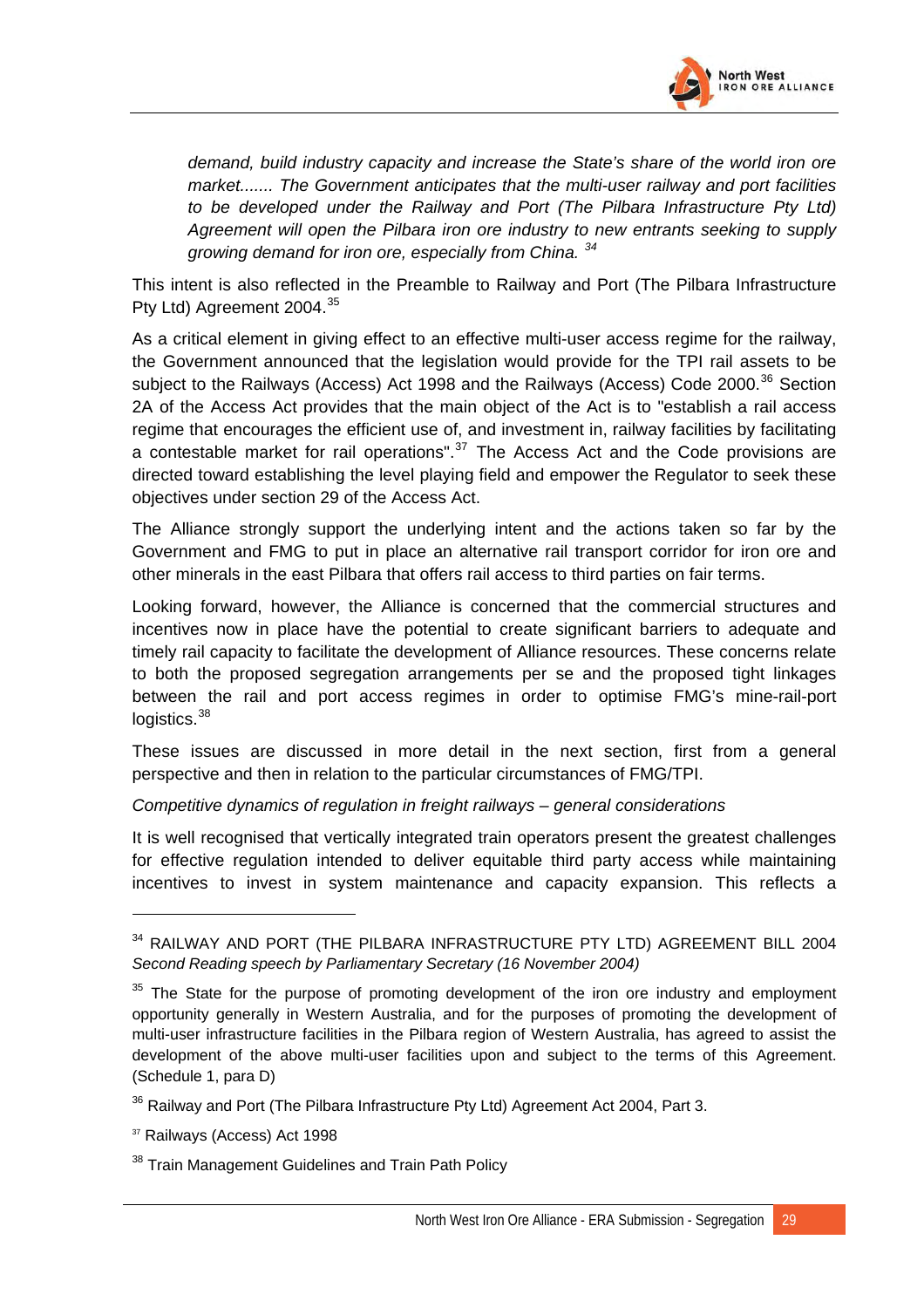

*demand, build industry capacity and increase the State's share of the world iron ore market....... The Government anticipates that the multi-user railway and port facilities to be developed under the Railway and Port (The Pilbara Infrastructure Pty Ltd) Agreement will open the Pilbara iron ore industry to new entrants seeking to supply growing demand for iron ore, especially from China. [34](#page-60-0)*

This intent is also reflected in the Preamble to Railway and Port (The Pilbara Infrastructure Pty Ltd) Agreement 2004.<sup>[35](#page-60-1)</sup>

As a critical element in giving effect to an effective multi-user access regime for the railway, the Government announced that the legislation would provide for the TPI rail assets to be subject to the Railways (Access) Act 1998 and the Railways (Access) Code 2000.<sup>[36](#page-60-2)</sup> Section 2A of the Access Act provides that the main object of the Act is to "establish a rail access regime that encourages the efficient use of, and investment in, railway facilities by facilitating a contestable market for rail operations".<sup>[37](#page-60-3)</sup> The Access Act and the Code provisions are directed toward establishing the level playing field and empower the Regulator to seek these objectives under section 29 of the Access Act.

The Alliance strongly support the underlying intent and the actions taken so far by the Government and FMG to put in place an alternative rail transport corridor for iron ore and other minerals in the east Pilbara that offers rail access to third parties on fair terms.

Looking forward, however, the Alliance is concerned that the commercial structures and incentives now in place have the potential to create significant barriers to adequate and timely rail capacity to facilitate the development of Alliance resources. These concerns relate to both the proposed segregation arrangements per se and the proposed tight linkages between the rail and port access regimes in order to optimise FMG's mine-rail-port logistics.<sup>38</sup>

These issues are discussed in more detail in the next section, first from a general perspective and then in relation to the particular circumstances of FMG/TPI.

#### *Competitive dynamics of regulation in freight railways – general considerations*

incentives to invest in system maintenance and capacity expansion. This reflects a It is well recognised that vertically integrated train operators present the greatest challenges for effective regulation intended to deliver equitable third party access while maintaining

<span id="page-60-0"></span><sup>34</sup> RAILWAY AND PORT (THE PILBARA INFRASTRUCTURE PTY LTD) AGREEMENT BILL 2004 *Second Reading speech by Parliamentary Secretary (16 November 2004)*

<span id="page-60-1"></span> $35$  The State for the purpose of promoting development of the iron ore industry and employment opportunity generally in Western Australia, and for the purposes of promoting the development of multi-user infrastructure facilities in the Pilbara region of Western Australia, has agreed to assist the development of the above multi-user facilities upon and subject to the terms of this Agreement. (Schedule 1, para D)

<span id="page-60-2"></span> $36$  Railway and Port (The Pilbara Infrastructure Pty Ltd) Agreement Act 2004, Part 3.

<span id="page-60-3"></span><sup>&</sup>lt;sup>37</sup> Railways (Access) Act 1998

<sup>&</sup>lt;sup>38</sup> Train Management Guidelines and Train Path Policy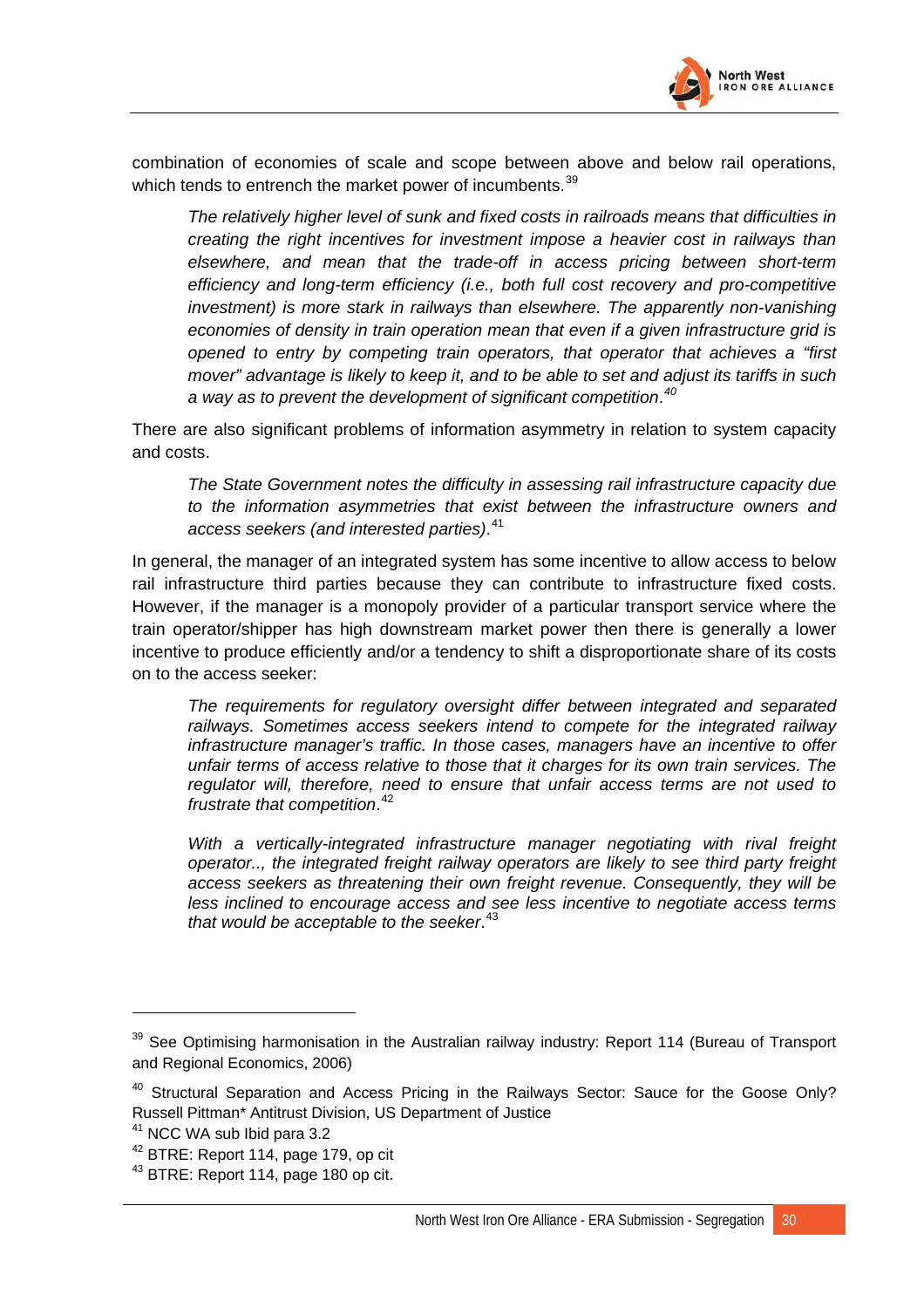

combination of economies of scale and scope between above and below rail operations, which tends to entrench the market power of incumbents.<sup>[39](#page-61-0)</sup>

*The relatively higher level of sunk and fixed costs in railroads means that difficulties in creating the right incentives for investment impose a heavier cost in railways than elsewhere, and mean that the trade-off in access pricing between short-term efficiency and long-term efficiency (i.e., both full cost recovery and pro-competitive investment) is more stark in railways than elsewhere. The apparently non-vanishing economies of density in train operation mean that even if a given infrastructure grid is opened to entry by competing train operators, that operator that achieves a "first mover" advantage is likely to keep it, and to be able to set and adjust its tariffs in such a way as to prevent the development of significant competition*. *[40](#page-61-1)*

There are also significant problems of information asymmetry in relation to system capacity and costs.

*The State Government notes the difficulty in assessing rail infrastructure capacity due to the information asymmetries that exist between the infrastructure owners and access seekers (and interested parties)*. [41](#page-61-2)

In general, the manager of an integrated system has some incentive to allow access to below rail infrastructure third parties because they can contribute to infrastructure fixed costs. However, if the manager is a monopoly provider of a particular transport service where the train operator/shipper has high downstream market power then there is generally a lower incentive to produce efficiently and/or a tendency to shift a disproportionate share of its costs on to the access seeker:

*The requirements for regulatory oversight differ between integrated and separated railways. Sometimes access seekers intend to compete for the integrated railway infrastructure manager's traffic. In those cases, managers have an incentive to offer unfair terms of access relative to those that it charges for its own train services. The regulator will, therefore, need to ensure that unfair access terms are not used to frustrate that competition*. [42](#page-61-3)

*With a vertically-integrated infrastructure manager negotiating with rival freight operator.., the integrated freight railway operators are likely to see third party freight access seekers as threatening their own freight revenue. Consequently, they will be less inclined to encourage access and see less incentive to negotiate access terms that would be acceptable to the seeker*. [43](#page-61-4)

<span id="page-61-0"></span><sup>&</sup>lt;sup>39</sup> See Optimising harmonisation in the Australian railway industry: Report 114 (Bureau of Transport and Regional Economics, 2006)

<span id="page-61-1"></span><sup>&</sup>lt;sup>40</sup> Structural Separation and Access Pricing in the Railways Sector: Sauce for the Goose Only? Russell Pittman\* Antitrust Division, US Department of Justice

<span id="page-61-2"></span><sup>41</sup> NCC WA sub Ibid para 3.2

<span id="page-61-3"></span><sup>&</sup>lt;sup>42</sup> BTRE: Report 114, page 179, op cit

<span id="page-61-4"></span> $43$  BTRE: Report 114, page 180 op cit.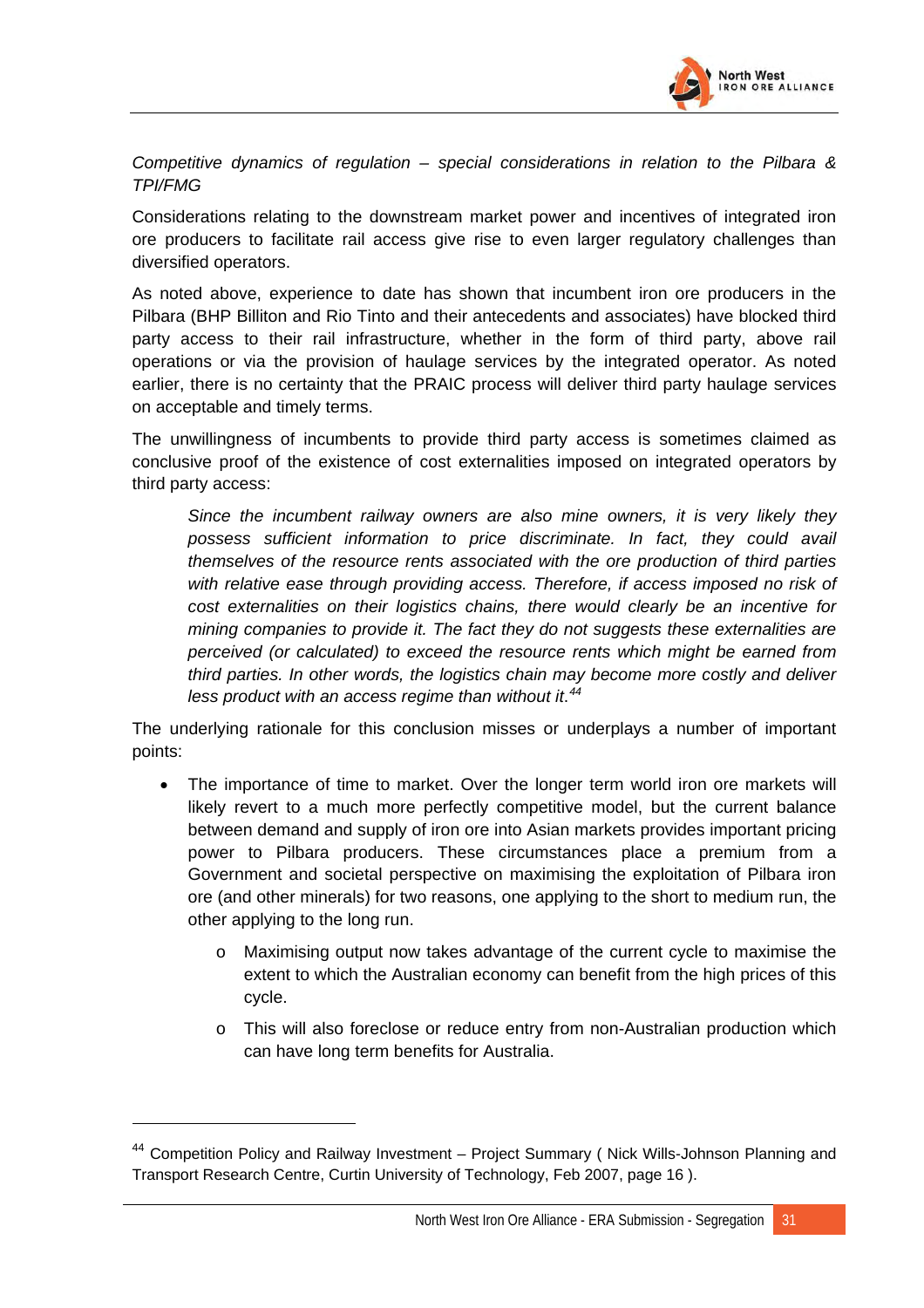

*Competitive dynamics of regulation – special considerations in relation to the Pilbara & TPI/FMG* 

Considerations relating to the downstream market power and incentives of integrated iron ore producers to facilitate rail access give rise to even larger regulatory challenges than diversified operators.

As noted above, experience to date has shown that incumbent iron ore producers in the Pilbara (BHP Billiton and Rio Tinto and their antecedents and associates) have blocked third party access to their rail infrastructure, whether in the form of third party, above rail operations or via the provision of haulage services by the integrated operator. As noted earlier, there is no certainty that the PRAIC process will deliver third party haulage services on acceptable and timely terms.

The unwillingness of incumbents to provide third party access is sometimes claimed as conclusive proof of the existence of cost externalities imposed on integrated operators by third party access:

*Since the incumbent railway owners are also mine owners, it is very likely they possess sufficient information to price discriminate. In fact, they could avail themselves of the resource rents associated with the ore production of third parties with relative ease through providing access. Therefore, if access imposed no risk of cost externalities on their logistics chains, there would clearly be an incentive for mining companies to provide it. The fact they do not suggests these externalities are perceived (or calculated) to exceed the resource rents which might be earned from third parties. In other words, the logistics chain may become more costly and deliver less product with an access regime than without it*. *[44](#page-62-0)*

The underlying rationale for this conclusion misses or underplays a number of important points:

- The importance of time to market. Over the longer term world iron ore markets will likely revert to a much more perfectly competitive model, but the current balance between demand and supply of iron ore into Asian markets provides important pricing power to Pilbara producers. These circumstances place a premium from a Government and societal perspective on maximising the exploitation of Pilbara iron ore (and other minerals) for two reasons, one applying to the short to medium run, the other applying to the long run.
	- o Maximising output now takes advantage of the current cycle to maximise the extent to which the Australian economy can benefit from the high prices of this cycle.
	- o This will also foreclose or reduce entry from non-Australian production which can have long term benefits for Australia.

<span id="page-62-0"></span><sup>&</sup>lt;sup>44</sup> Competition Policy and Railway Investment – Project Summary (Nick Wills-Johnson Planning and Transport Research Centre, Curtin University of Technology, Feb 2007, page 16 ).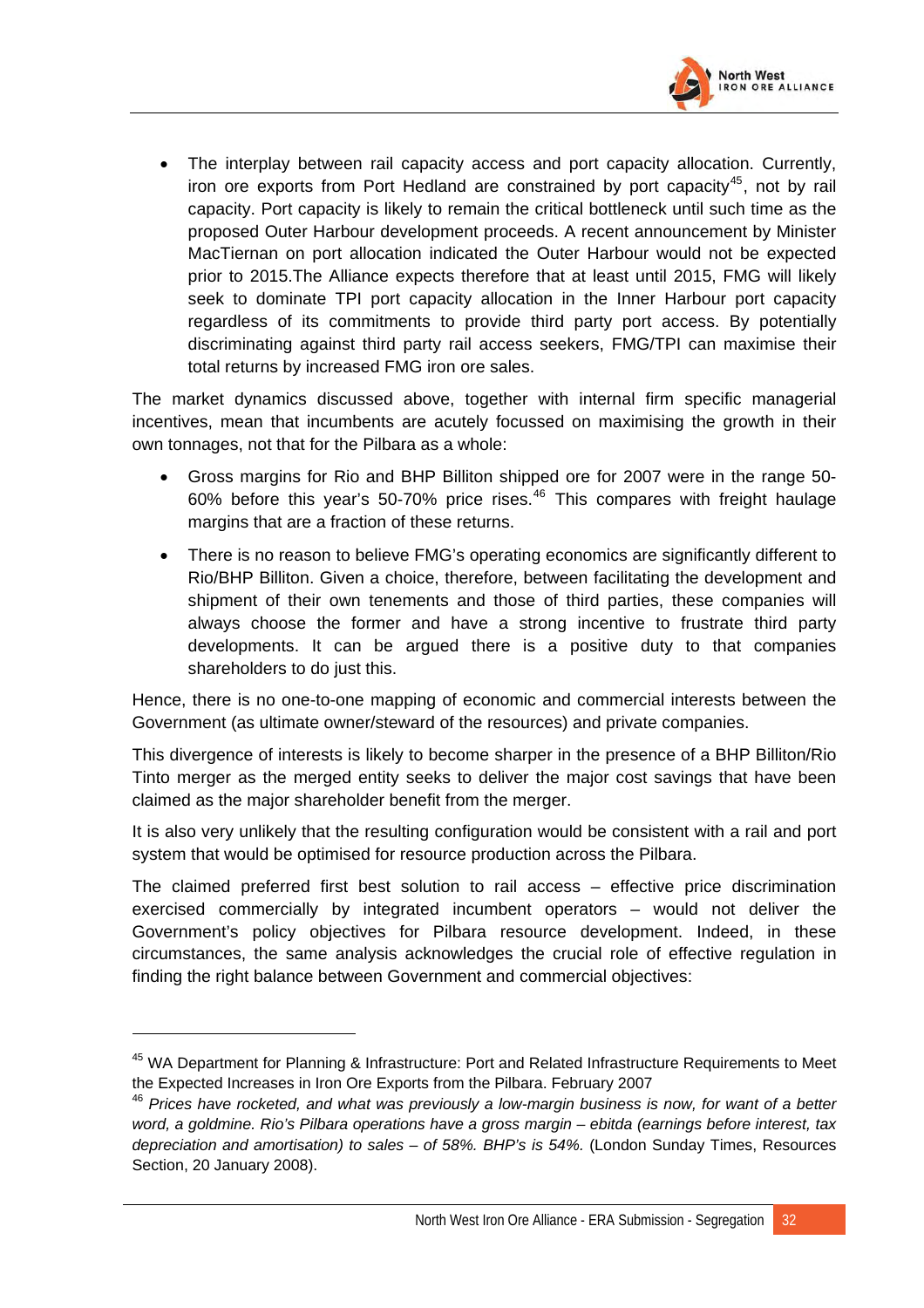

• The interplay between rail capacity access and port capacity allocation. Currently, iron ore exports from Port Hedland are constrained by port capacity<sup>[45](#page-63-0)</sup>, not by rail capacity. Port capacity is likely to remain the critical bottleneck until such time as the proposed Outer Harbour development proceeds. A recent announcement by Minister MacTiernan on port allocation indicated the Outer Harbour would not be expected prior to 2015.The Alliance expects therefore that at least until 2015, FMG will likely seek to dominate TPI port capacity allocation in the Inner Harbour port capacity regardless of its commitments to provide third party port access. By potentially discriminating against third party rail access seekers, FMG/TPI can maximise their total returns by increased FMG iron ore sales.

The market dynamics discussed above, together with internal firm specific managerial incentives, mean that incumbents are acutely focussed on maximising the growth in their own tonnages, not that for the Pilbara as a whole:

- Gross margins for Rio and BHP Billiton shipped ore for 2007 were in the range 50- 60% before this year's 50-70% price rises.<sup>[46](#page-63-1)</sup> This compares with freight haulage margins that are a fraction of these returns.
- There is no reason to believe FMG's operating economics are significantly different to Rio/BHP Billiton. Given a choice, therefore, between facilitating the development and shipment of their own tenements and those of third parties, these companies will always choose the former and have a strong incentive to frustrate third party developments. It can be argued there is a positive duty to that companies shareholders to do just this.

Hence, there is no one-to-one mapping of economic and commercial interests between the Government (as ultimate owner/steward of the resources) and private companies.

This divergence of interests is likely to become sharper in the presence of a BHP Billiton/Rio Tinto merger as the merged entity seeks to deliver the major cost savings that have been claimed as the major shareholder benefit from the merger.

It is also very unlikely that the resulting configuration would be consistent with a rail and port system that would be optimised for resource production across the Pilbara.

The claimed preferred first best solution to rail access – effective price discrimination exercised commercially by integrated incumbent operators – would not deliver the Government's policy objectives for Pilbara resource development. Indeed, in these circumstances, the same analysis acknowledges the crucial role of effective regulation in finding the right balance between Government and commercial objectives:

<span id="page-63-0"></span><sup>&</sup>lt;sup>45</sup> WA Department for Planning & Infrastructure: Port and Related Infrastructure Requirements to Meet the Expected Increases in Iron Ore Exports from the Pilbara. February 2007

<span id="page-63-1"></span><sup>46</sup> *Prices have rocketed, and what was previously a low-margin business is now, for want of a better word, a goldmine. Rio's Pilbara operations have a gross margin – ebitda (earnings before interest, tax depreciation and amortisation) to sales – of 58%. BHP's is 54%.* (London Sunday Times, Resources Section, 20 January 2008).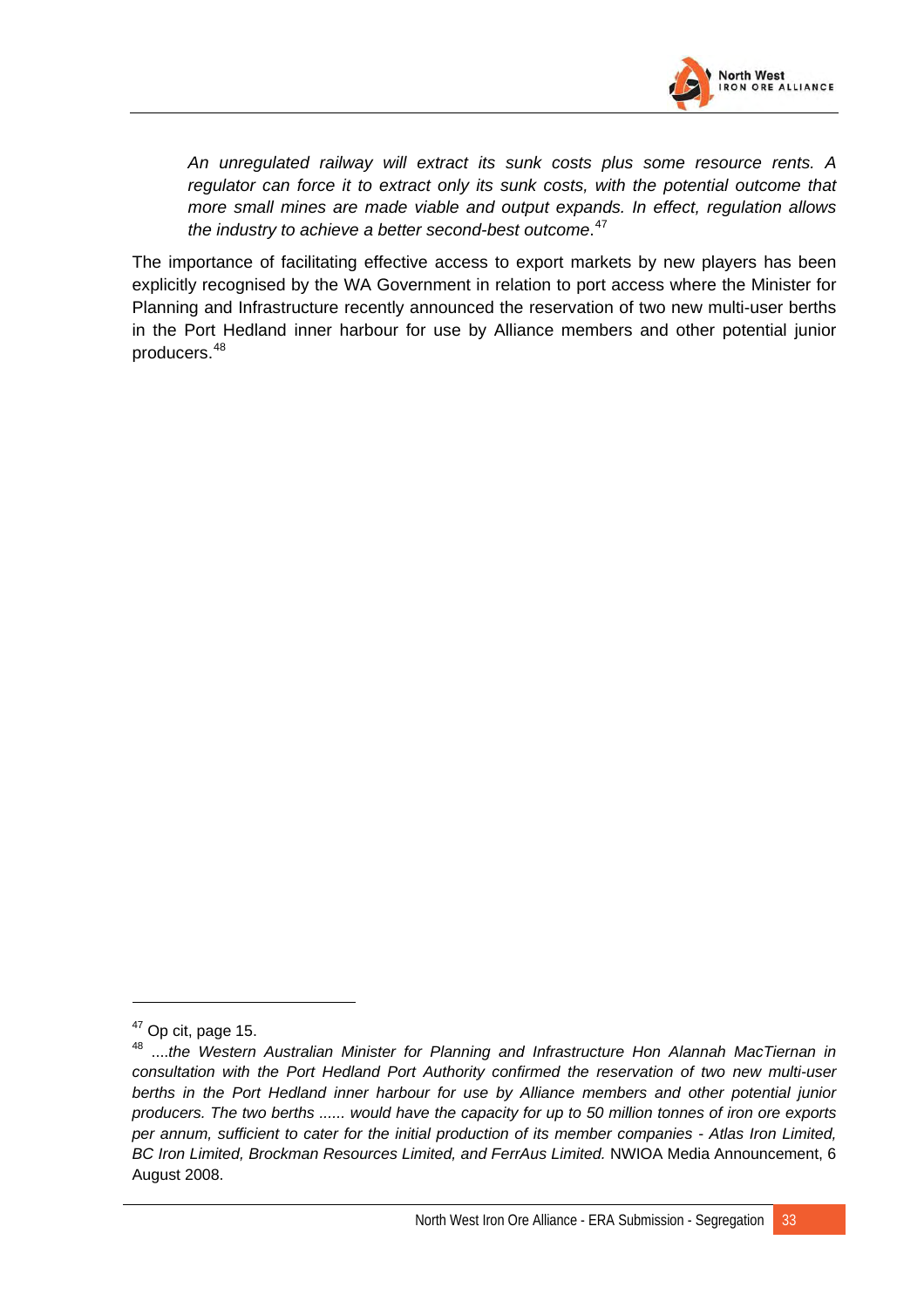

*An unregulated railway will extract its sunk costs plus some resource rents. A regulator can force it to extract only its sunk costs, with the potential outcome that more small mines are made viable and output expands. In effect, regulation allows the industry to achieve a better second-best outcome*. [47](#page-64-0)

The importance of facilitating effective access to export markets by new players has been explicitly recognised by the WA Government in relation to port access where the Minister for Planning and Infrastructure recently announced the reservation of two new multi-user berths in the Port Hedland inner harbour for use by Alliance members and other potential junior producers.[48](#page-64-1)

 $\overline{a}$ 

<span id="page-64-0"></span> $47$  Op cit, page 15.

<span id="page-64-1"></span><sup>48 ....</sup>*the Western Australian Minister for Planning and Infrastructure Hon Alannah MacTiernan in consultation with the Port Hedland Port Authority confirmed the reservation of two new multi-user*  berths in the Port Hedland inner harbour for use by Alliance members and other potential junior *producers. The two berths ...... would have the capacity for up to 50 million tonnes of iron ore exports per annum, sufficient to cater for the initial production of its member companies - Atlas Iron Limited, BC Iron Limited, Brockman Resources Limited, and FerrAus Limited.* NWIOA Media Announcement, 6 August 2008.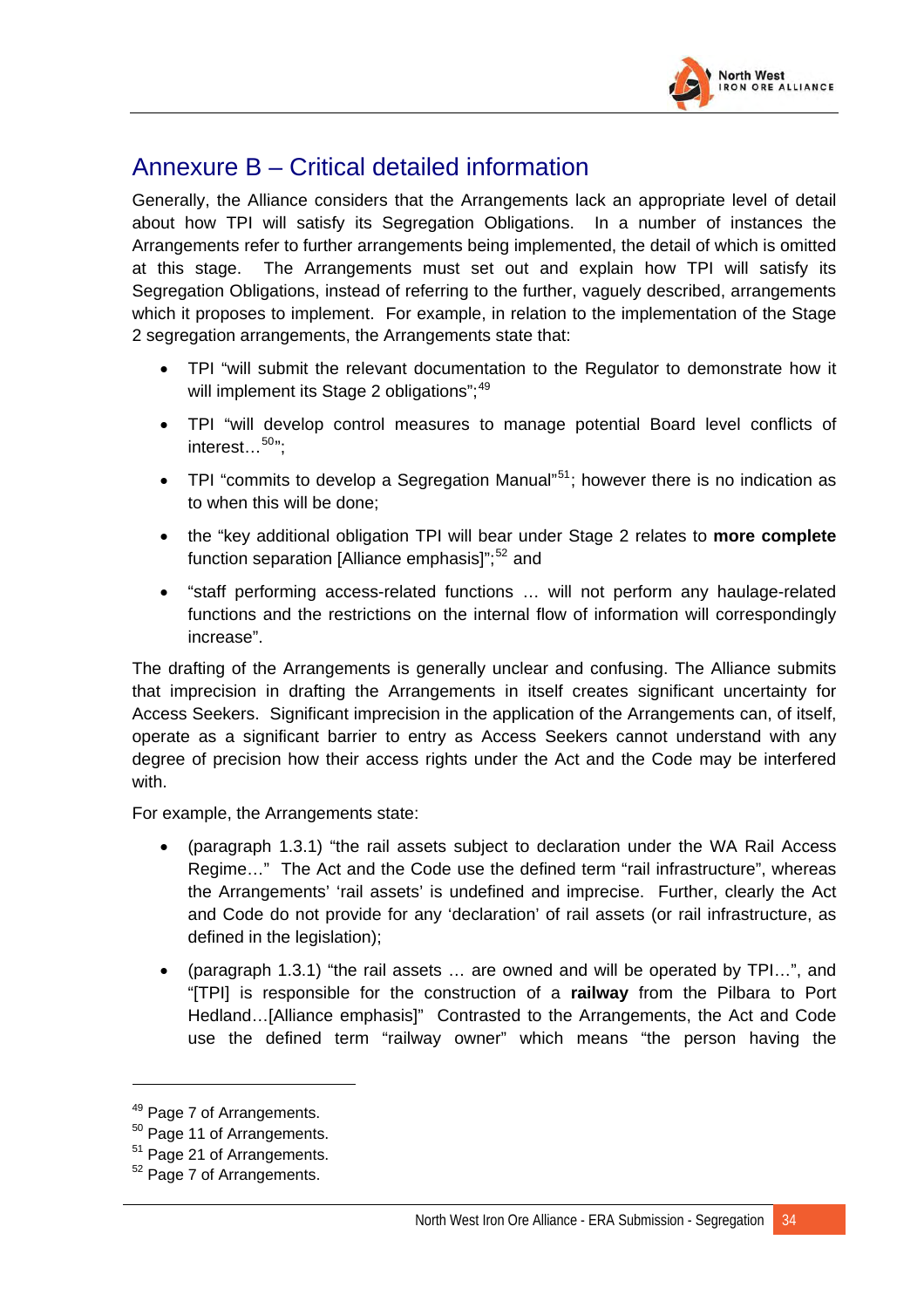

# Annexure B – Critical detailed information

Generally, the Alliance considers that the Arrangements lack an appropriate level of detail about how TPI will satisfy its Segregation Obligations. In a number of instances the Arrangements refer to further arrangements being implemented, the detail of which is omitted at this stage. The Arrangements must set out and explain how TPI will satisfy its Segregation Obligations, instead of referring to the further, vaguely described, arrangements which it proposes to implement. For example, in relation to the implementation of the Stage 2 segregation arrangements, the Arrangements state that:

- TPI "will submit the relevant documentation to the Regulator to demonstrate how it will implement its Stage 2 obligations"; $49$
- TPI "will develop control measures to manage potential Board level conflicts of interest...<sup>[50](#page-65-1)</sup>":
- TPI "commits to develop a Segregation Manual"<sup>[51](#page-65-2)</sup>; however there is no indication as to when this will be done;
- the "key additional obligation TPI will bear under Stage 2 relates to **more complete** function separation [Alliance emphasis]";<sup>[52](#page-65-3)</sup> and
- "staff performing access-related functions … will not perform any haulage-related functions and the restrictions on the internal flow of information will correspondingly increase".

The drafting of the Arrangements is generally unclear and confusing. The Alliance submits that imprecision in drafting the Arrangements in itself creates significant uncertainty for Access Seekers. Significant imprecision in the application of the Arrangements can, of itself, operate as a significant barrier to entry as Access Seekers cannot understand with any degree of precision how their access rights under the Act and the Code may be interfered with.

For example, the Arrangements state:

- (paragraph 1.3.1) "the rail assets subject to declaration under the WA Rail Access Regime…" The Act and the Code use the defined term "rail infrastructure", whereas the Arrangements' 'rail assets' is undefined and imprecise. Further, clearly the Act and Code do not provide for any 'declaration' of rail assets (or rail infrastructure, as defined in the legislation);
- (paragraph 1.3.1) "the rail assets … are owned and will be operated by TPI…", and "[TPI] is responsible for the construction of a **railway** from the Pilbara to Port Hedland…[Alliance emphasis]" Contrasted to the Arrangements, the Act and Code use the defined term "railway owner" which means "the person having the

 $\overline{a}$ 

<span id="page-65-0"></span><sup>&</sup>lt;sup>49</sup> Page 7 of Arrangements.

<span id="page-65-1"></span><sup>&</sup>lt;sup>50</sup> Page 11 of Arrangements.

<span id="page-65-2"></span><sup>51</sup> Page 21 of Arrangements.

<span id="page-65-3"></span> $52$  Page 7 of Arrangements.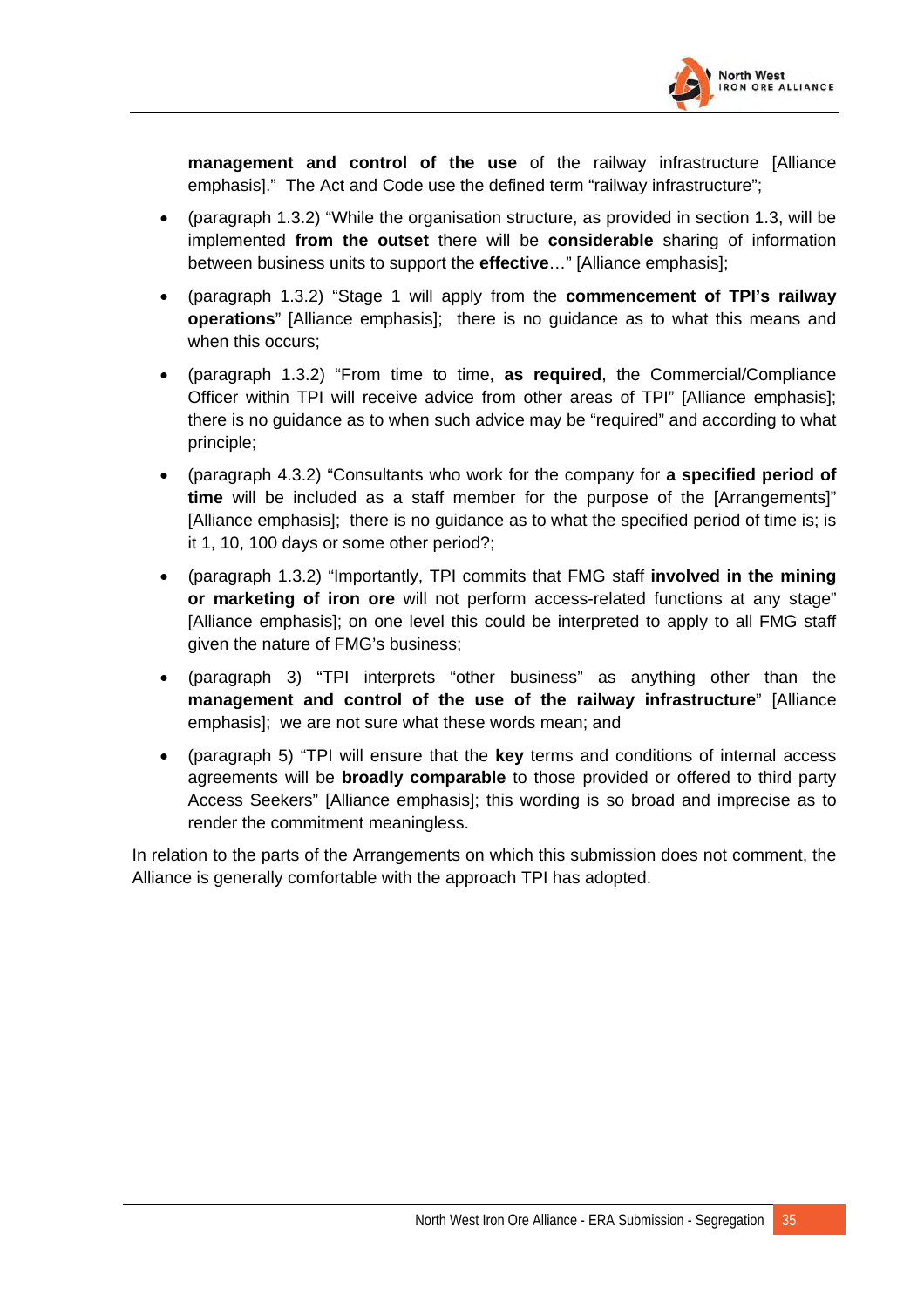

**management and control of the use** of the railway infrastructure [Alliance emphasis]." The Act and Code use the defined term "railway infrastructure";

- (paragraph 1.3.2) "While the organisation structure, as provided in section 1.3, will be implemented **from the outset** there will be **considerable** sharing of information between business units to support the **effective**…" [Alliance emphasis];
- (paragraph 1.3.2) "Stage 1 will apply from the **commencement of TPI's railway operations**" [Alliance emphasis]; there is no guidance as to what this means and when this occurs;
- (paragraph 1.3.2) "From time to time, **as required**, the Commercial/Compliance Officer within TPI will receive advice from other areas of TPI" [Alliance emphasis]; there is no guidance as to when such advice may be "required" and according to what principle;
- (paragraph 4.3.2) "Consultants who work for the company for **a specified period of time** will be included as a staff member for the purpose of the [Arrangements]" [Alliance emphasis]; there is no guidance as to what the specified period of time is; is it 1, 10, 100 days or some other period?;
- (paragraph 1.3.2) "Importantly, TPI commits that FMG staff **involved in the mining or marketing of iron ore** will not perform access-related functions at any stage" [Alliance emphasis]; on one level this could be interpreted to apply to all FMG staff given the nature of FMG's business;
- (paragraph 3) "TPI interprets "other business" as anything other than the **management and control of the use of the railway infrastructure**" [Alliance emphasis]; we are not sure what these words mean; and
- (paragraph 5) "TPI will ensure that the **key** terms and conditions of internal access agreements will be **broadly comparable** to those provided or offered to third party Access Seekers" [Alliance emphasis]; this wording is so broad and imprecise as to render the commitment meaningless.

In relation to the parts of the Arrangements on which this submission does not comment, the Alliance is generally comfortable with the approach TPI has adopted.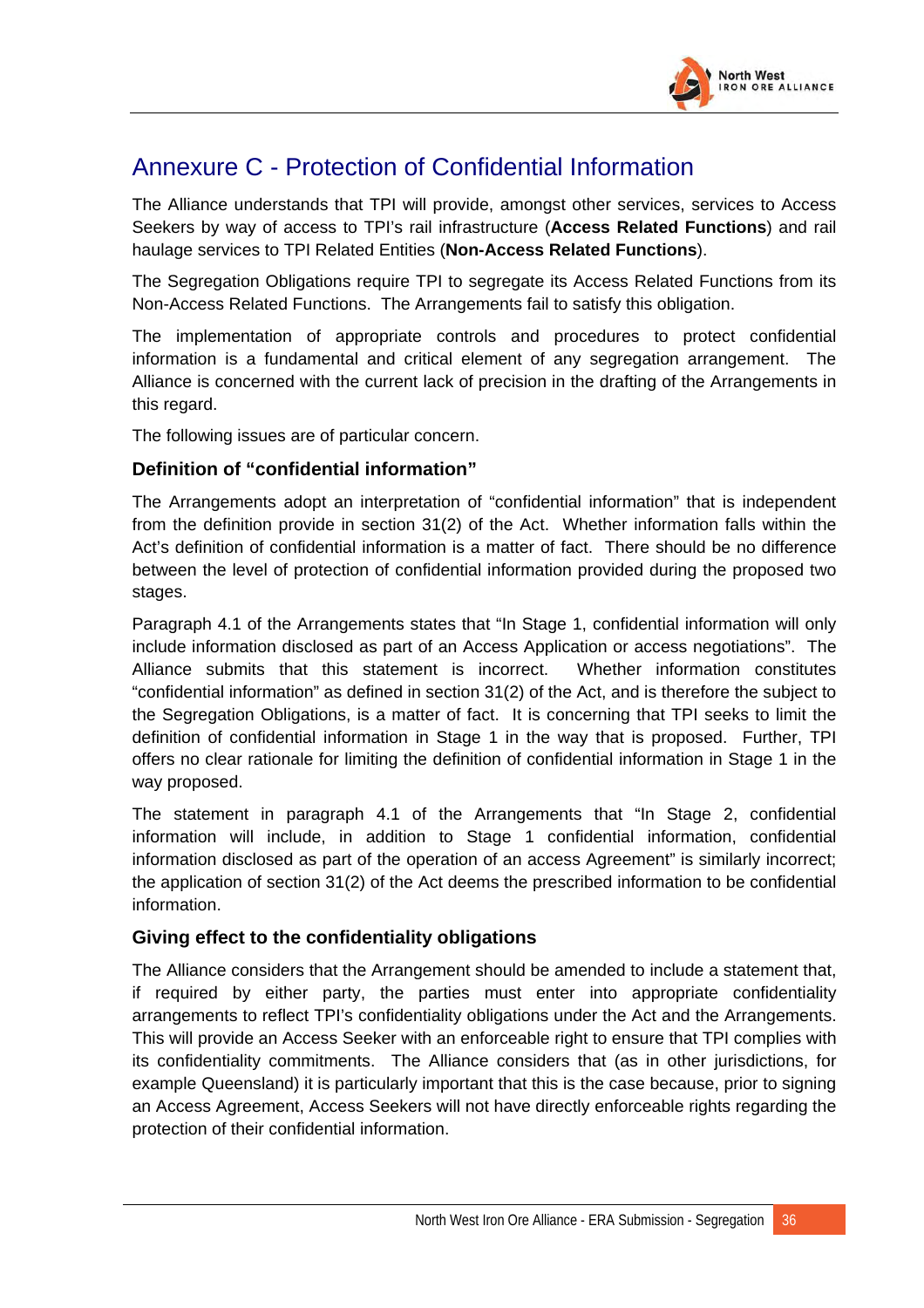

# Annexure C - Protection of Confidential Information

The Alliance understands that TPI will provide, amongst other services, services to Access Seekers by way of access to TPI's rail infrastructure (**Access Related Functions**) and rail haulage services to TPI Related Entities (**Non-Access Related Functions**).

The Segregation Obligations require TPI to segregate its Access Related Functions from its Non-Access Related Functions. The Arrangements fail to satisfy this obligation.

The implementation of appropriate controls and procedures to protect confidential information is a fundamental and critical element of any segregation arrangement. The Alliance is concerned with the current lack of precision in the drafting of the Arrangements in this regard.

The following issues are of particular concern.

### **Definition of "confidential information"**

The Arrangements adopt an interpretation of "confidential information" that is independent from the definition provide in section 31(2) of the Act. Whether information falls within the Act's definition of confidential information is a matter of fact. There should be no difference between the level of protection of confidential information provided during the proposed two stages.

Paragraph 4.1 of the Arrangements states that "In Stage 1, confidential information will only include information disclosed as part of an Access Application or access negotiations". The Alliance submits that this statement is incorrect. Whether information constitutes "confidential information" as defined in section 31(2) of the Act, and is therefore the subject to the Segregation Obligations, is a matter of fact. It is concerning that TPI seeks to limit the definition of confidential information in Stage 1 in the way that is proposed. Further, TPI offers no clear rationale for limiting the definition of confidential information in Stage 1 in the way proposed.

The statement in paragraph 4.1 of the Arrangements that "In Stage 2, confidential information will include, in addition to Stage 1 confidential information, confidential information disclosed as part of the operation of an access Agreement" is similarly incorrect; the application of section 31(2) of the Act deems the prescribed information to be confidential information.

### **Giving effect to the confidentiality obligations**

The Alliance considers that the Arrangement should be amended to include a statement that, if required by either party, the parties must enter into appropriate confidentiality arrangements to reflect TPI's confidentiality obligations under the Act and the Arrangements. This will provide an Access Seeker with an enforceable right to ensure that TPI complies with its confidentiality commitments. The Alliance considers that (as in other jurisdictions, for example Queensland) it is particularly important that this is the case because, prior to signing an Access Agreement, Access Seekers will not have directly enforceable rights regarding the protection of their confidential information.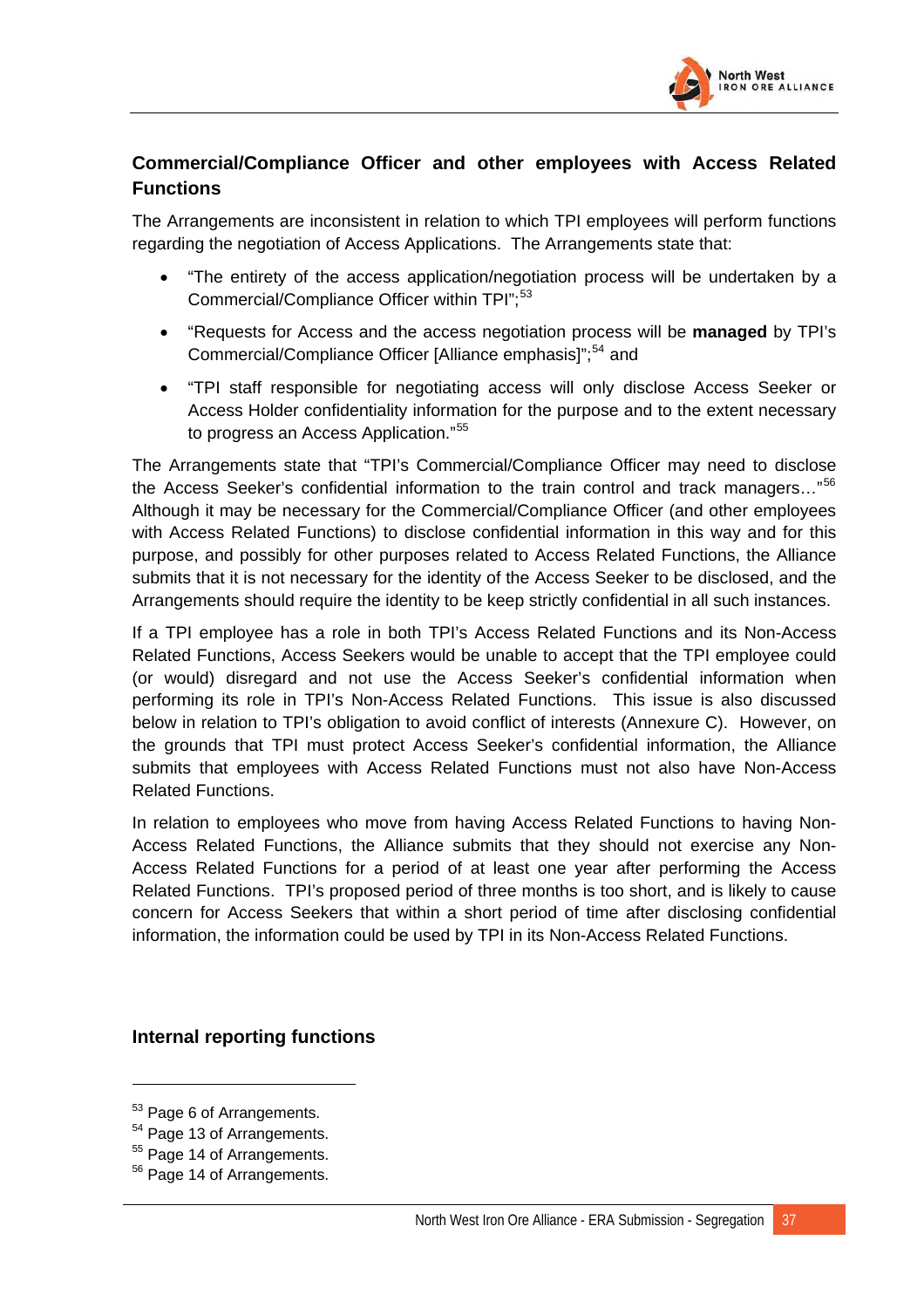

## **Commercial/Compliance Officer and other employees with Access Related Functions**

The Arrangements are inconsistent in relation to which TPI employees will perform functions regarding the negotiation of Access Applications. The Arrangements state that:

- "The entirety of the access application/negotiation process will be undertaken by a Commercial/Compliance Officer within TPI":<sup>[53](#page-68-0)</sup>
- "Requests for Access and the access negotiation process will be **managed** by TPI's Commercial/Compliance Officer [Alliance emphasis]":<sup>[54](#page-68-1)</sup> and
- "TPI staff responsible for negotiating access will only disclose Access Seeker or Access Holder confidentiality information for the purpose and to the extent necessary to progress an Access Application."[55](#page-68-2)

The Arrangements state that "TPI's Commercial/Compliance Officer may need to disclose the Access Seeker's confidential information to the train control and track managers..."<sup>[56](#page-68-3)</sup> Although it may be necessary for the Commercial/Compliance Officer (and other employees with Access Related Functions) to disclose confidential information in this way and for this purpose, and possibly for other purposes related to Access Related Functions, the Alliance submits that it is not necessary for the identity of the Access Seeker to be disclosed, and the Arrangements should require the identity to be keep strictly confidential in all such instances.

If a TPI employee has a role in both TPI's Access Related Functions and its Non-Access Related Functions, Access Seekers would be unable to accept that the TPI employee could (or would) disregard and not use the Access Seeker's confidential information when performing its role in TPI's Non-Access Related Functions. This issue is also discussed below in relation to TPI's obligation to avoid conflict of interests (Annexure C). However, on the grounds that TPI must protect Access Seeker's confidential information, the Alliance submits that employees with Access Related Functions must not also have Non-Access Related Functions.

In relation to employees who move from having Access Related Functions to having Non-Access Related Functions, the Alliance submits that they should not exercise any Non-Access Related Functions for a period of at least one year after performing the Access Related Functions. TPI's proposed period of three months is too short, and is likely to cause concern for Access Seekers that within a short period of time after disclosing confidential information, the information could be used by TPI in its Non-Access Related Functions.

### **Internal reporting functions**

 $\overline{a}$ 

<span id="page-68-0"></span><sup>&</sup>lt;sup>53</sup> Page 6 of Arrangements.

<span id="page-68-1"></span><sup>&</sup>lt;sup>54</sup> Page 13 of Arrangements.

<span id="page-68-2"></span><sup>&</sup>lt;sup>55</sup> Page 14 of Arrangements.

<span id="page-68-3"></span><sup>&</sup>lt;sup>56</sup> Page 14 of Arrangements.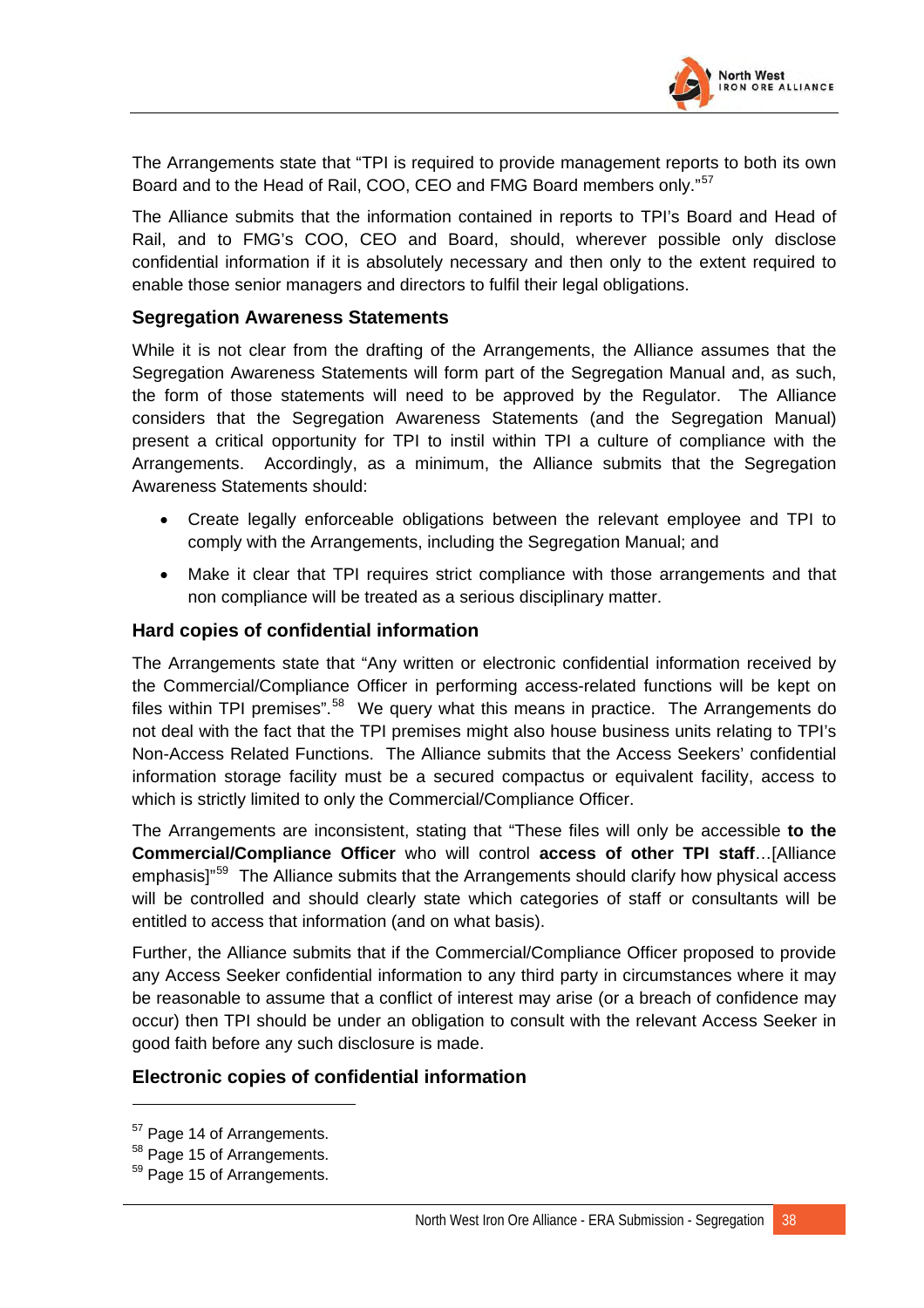

The Arrangements state that "TPI is required to provide management reports to both its own Board and to the Head of Rail, COO, CEO and FMG Board members only."<sup>[57](#page-69-0)</sup>

The Alliance submits that the information contained in reports to TPI's Board and Head of Rail, and to FMG's COO, CEO and Board, should, wherever possible only disclose confidential information if it is absolutely necessary and then only to the extent required to enable those senior managers and directors to fulfil their legal obligations.

#### **Segregation Awareness Statements**

While it is not clear from the drafting of the Arrangements, the Alliance assumes that the Segregation Awareness Statements will form part of the Segregation Manual and, as such, the form of those statements will need to be approved by the Regulator. The Alliance considers that the Segregation Awareness Statements (and the Segregation Manual) present a critical opportunity for TPI to instil within TPI a culture of compliance with the Arrangements. Accordingly, as a minimum, the Alliance submits that the Segregation Awareness Statements should:

- Create legally enforceable obligations between the relevant employee and TPI to comply with the Arrangements, including the Segregation Manual; and
- Make it clear that TPI requires strict compliance with those arrangements and that non compliance will be treated as a serious disciplinary matter.

#### **Hard copies of confidential information**

The Arrangements state that "Any written or electronic confidential information received by the Commercial/Compliance Officer in performing access-related functions will be kept on files within TPI premises".<sup>[58](#page-69-1)</sup> We query what this means in practice. The Arrangements do not deal with the fact that the TPI premises might also house business units relating to TPI's Non-Access Related Functions. The Alliance submits that the Access Seekers' confidential information storage facility must be a secured compactus or equivalent facility, access to which is strictly limited to only the Commercial/Compliance Officer.

The Arrangements are inconsistent, stating that "These files will only be accessible **to the Commercial/Compliance Officer** who will control **access of other TPI staff**…[Alliance emphasis]"<sup>[59](#page-69-2)</sup> The Alliance submits that the Arrangements should clarify how physical access will be controlled and should clearly state which categories of staff or consultants will be entitled to access that information (and on what basis).

Further, the Alliance submits that if the Commercial/Compliance Officer proposed to provide any Access Seeker confidential information to any third party in circumstances where it may be reasonable to assume that a conflict of interest may arise (or a breach of confidence may occur) then TPI should be under an obligation to consult with the relevant Access Seeker in good faith before any such disclosure is made.

### **Electronic copies of confidential information**

<sup>&</sup>lt;sup>57</sup> Page 14 of Arrangements.

<span id="page-69-1"></span><span id="page-69-0"></span><sup>&</sup>lt;sup>58</sup> Page 15 of Arrangements.

<span id="page-69-2"></span><sup>&</sup>lt;sup>59</sup> Page 15 of Arrangements.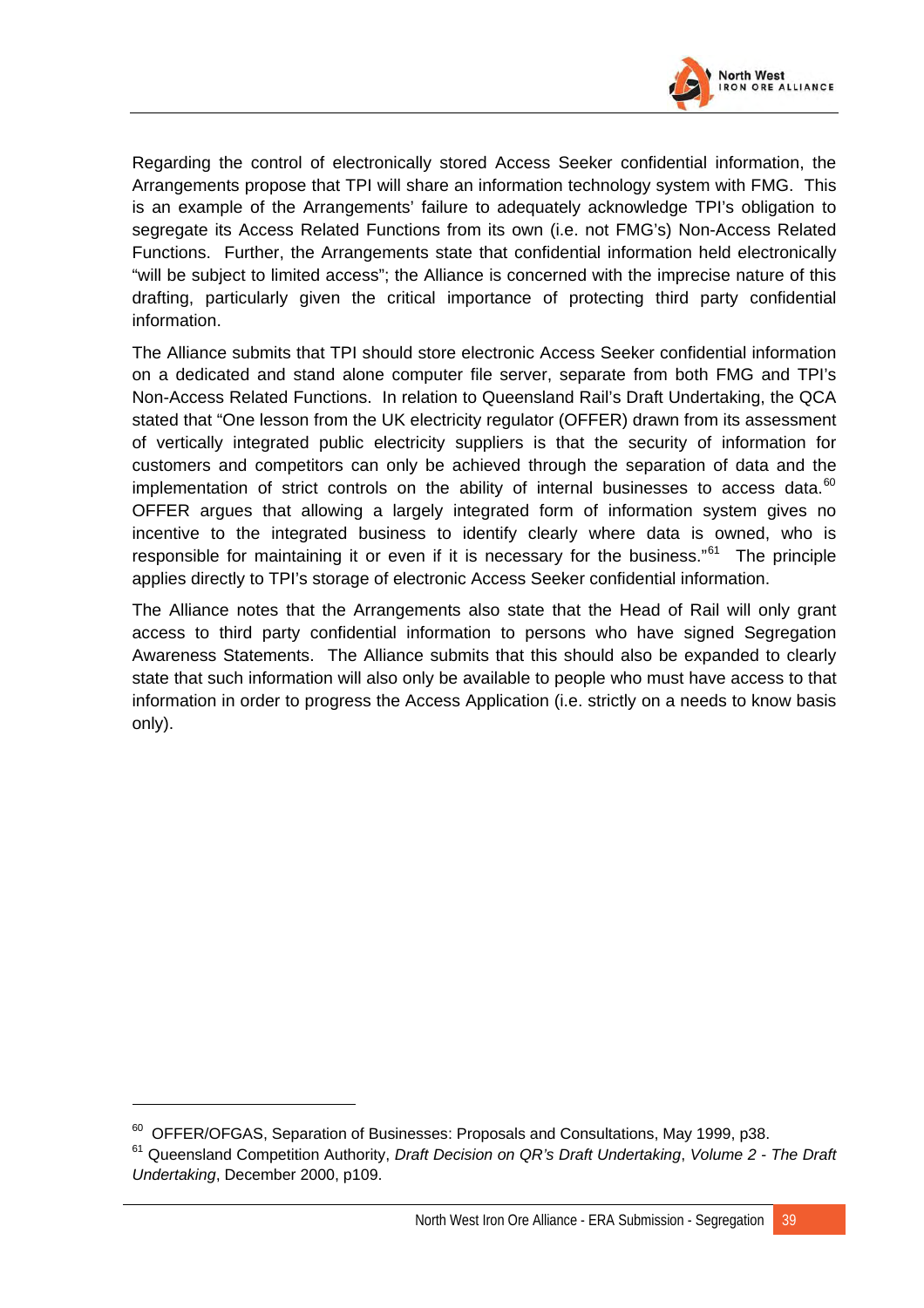

Regarding the control of electronically stored Access Seeker confidential information, the Arrangements propose that TPI will share an information technology system with FMG. This is an example of the Arrangements' failure to adequately acknowledge TPI's obligation to segregate its Access Related Functions from its own (i.e. not FMG's) Non-Access Related Functions. Further, the Arrangements state that confidential information held electronically "will be subject to limited access"; the Alliance is concerned with the imprecise nature of this drafting, particularly given the critical importance of protecting third party confidential information.

The Alliance submits that TPI should store electronic Access Seeker confidential information on a dedicated and stand alone computer file server, separate from both FMG and TPI's Non-Access Related Functions. In relation to Queensland Rail's Draft Undertaking, the QCA stated that "One lesson from the UK electricity regulator (OFFER) drawn from its assessment of vertically integrated public electricity suppliers is that the security of information for customers and competitors can only be achieved through the separation of data and the implementation of strict controls on the ability of internal businesses to access data. $^{60}$  $^{60}$  $^{60}$ OFFER argues that allowing a largely integrated form of information system gives no incentive to the integrated business to identify clearly where data is owned, who is responsible for maintaining it or even if it is necessary for the business."<sup>[61](#page-70-1)</sup> The principle applies directly to TPI's storage of electronic Access Seeker confidential information.

The Alliance notes that the Arrangements also state that the Head of Rail will only grant access to third party confidential information to persons who have signed Segregation Awareness Statements. The Alliance submits that this should also be expanded to clearly state that such information will also only be available to people who must have access to that information in order to progress the Access Application (i.e. strictly on a needs to know basis only).

 $60$  OFFER/OFGAS, Separation of Businesses: Proposals and Consultations, May 1999, p38.

<span id="page-70-1"></span><span id="page-70-0"></span><sup>61</sup> Queensland Competition Authority, *Draft Decision on QR's Draft Undertaking*, *Volume 2 - The Draft Undertaking*, December 2000, p109.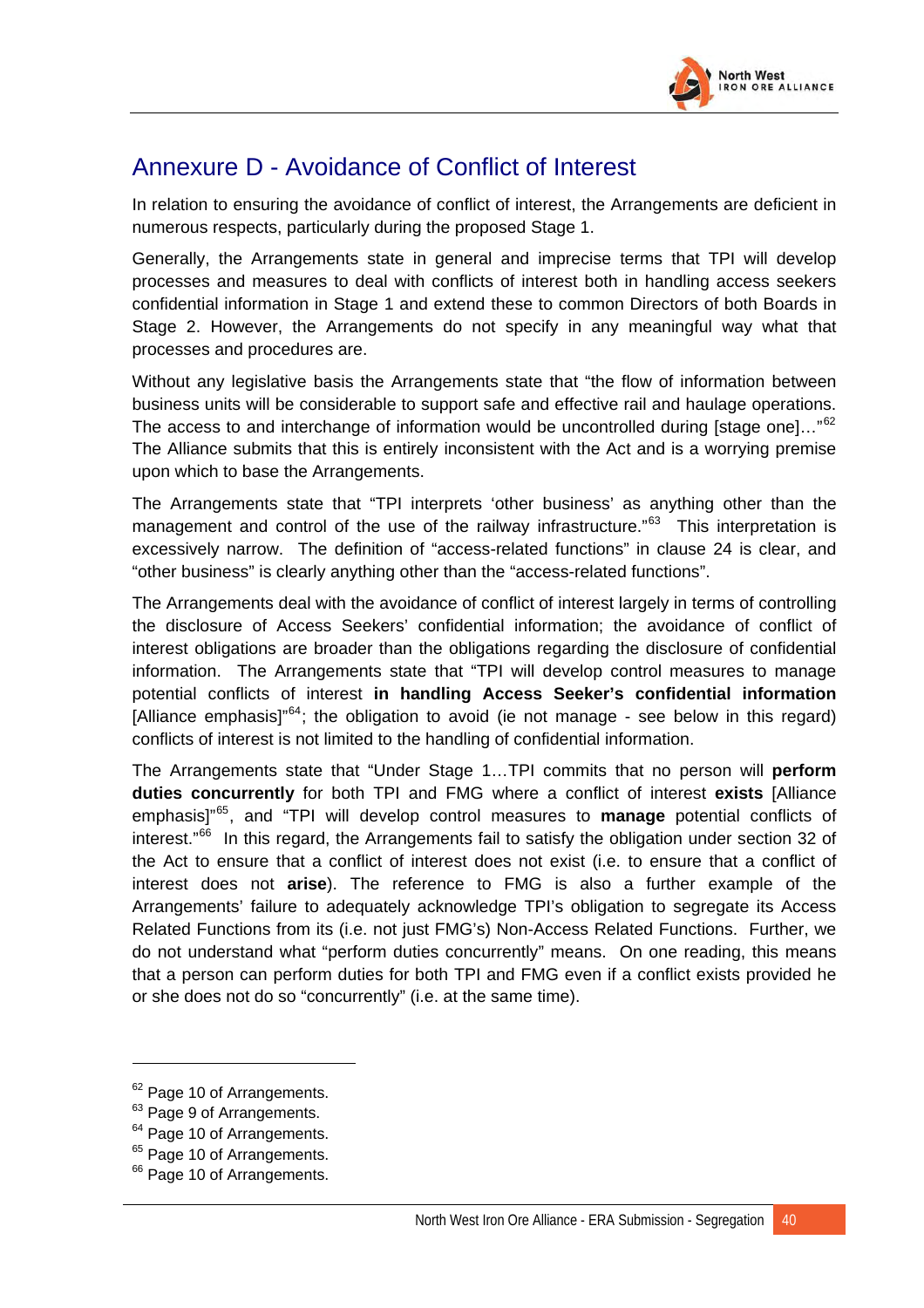

# Annexure D - Avoidance of Conflict of Interest

In relation to ensuring the avoidance of conflict of interest, the Arrangements are deficient in numerous respects, particularly during the proposed Stage 1.

Generally, the Arrangements state in general and imprecise terms that TPI will develop processes and measures to deal with conflicts of interest both in handling access seekers confidential information in Stage 1 and extend these to common Directors of both Boards in Stage 2. However, the Arrangements do not specify in any meaningful way what that processes and procedures are.

Without any legislative basis the Arrangements state that "the flow of information between business units will be considerable to support safe and effective rail and haulage operations. The access to and interchange of information would be uncontrolled during [stage one]..."<sup>[62](#page-71-0)</sup> The Alliance submits that this is entirely inconsistent with the Act and is a worrying premise upon which to base the Arrangements.

The Arrangements state that "TPI interprets 'other business' as anything other than the management and control of the use of the railway infrastructure."<sup>[63](#page-71-1)</sup> This interpretation is excessively narrow. The definition of "access-related functions" in clause 24 is clear, and "other business" is clearly anything other than the "access-related functions".

The Arrangements deal with the avoidance of conflict of interest largely in terms of controlling the disclosure of Access Seekers' confidential information; the avoidance of conflict of interest obligations are broader than the obligations regarding the disclosure of confidential information. The Arrangements state that "TPI will develop control measures to manage potential conflicts of interest **in handling Access Seeker's confidential information** [Alliance emphasis]<sup>"[64](#page-71-2)</sup>; the obligation to avoid (ie not manage - see below in this regard) conflicts of interest is not limited to the handling of confidential information.

The Arrangements state that "Under Stage 1…TPI commits that no person will **perform duties concurrently** for both TPI and FMG where a conflict of interest **exists** [Alliance emphasis]"[65](#page-71-3), and "TPI will develop control measures to **manage** potential conflicts of interest."<sup>[66](#page-71-4)</sup> In this regard, the Arrangements fail to satisfy the obligation under section 32 of the Act to ensure that a conflict of interest does not exist (i.e. to ensure that a conflict of interest does not **arise**). The reference to FMG is also a further example of the Arrangements' failure to adequately acknowledge TPI's obligation to segregate its Access Related Functions from its (i.e. not just FMG's) Non-Access Related Functions. Further, we do not understand what "perform duties concurrently" means. On one reading, this means that a person can perform duties for both TPI and FMG even if a conflict exists provided he or she does not do so "concurrently" (i.e. at the same time).

<span id="page-71-0"></span> $62$  Page 10 of Arrangements.

<span id="page-71-1"></span><sup>&</sup>lt;sup>63</sup> Page 9 of Arrangements.

<span id="page-71-2"></span><sup>&</sup>lt;sup>64</sup> Page 10 of Arrangements.

<span id="page-71-3"></span><sup>&</sup>lt;sup>65</sup> Page 10 of Arrangements.

<span id="page-71-4"></span><sup>&</sup>lt;sup>66</sup> Page 10 of Arrangements.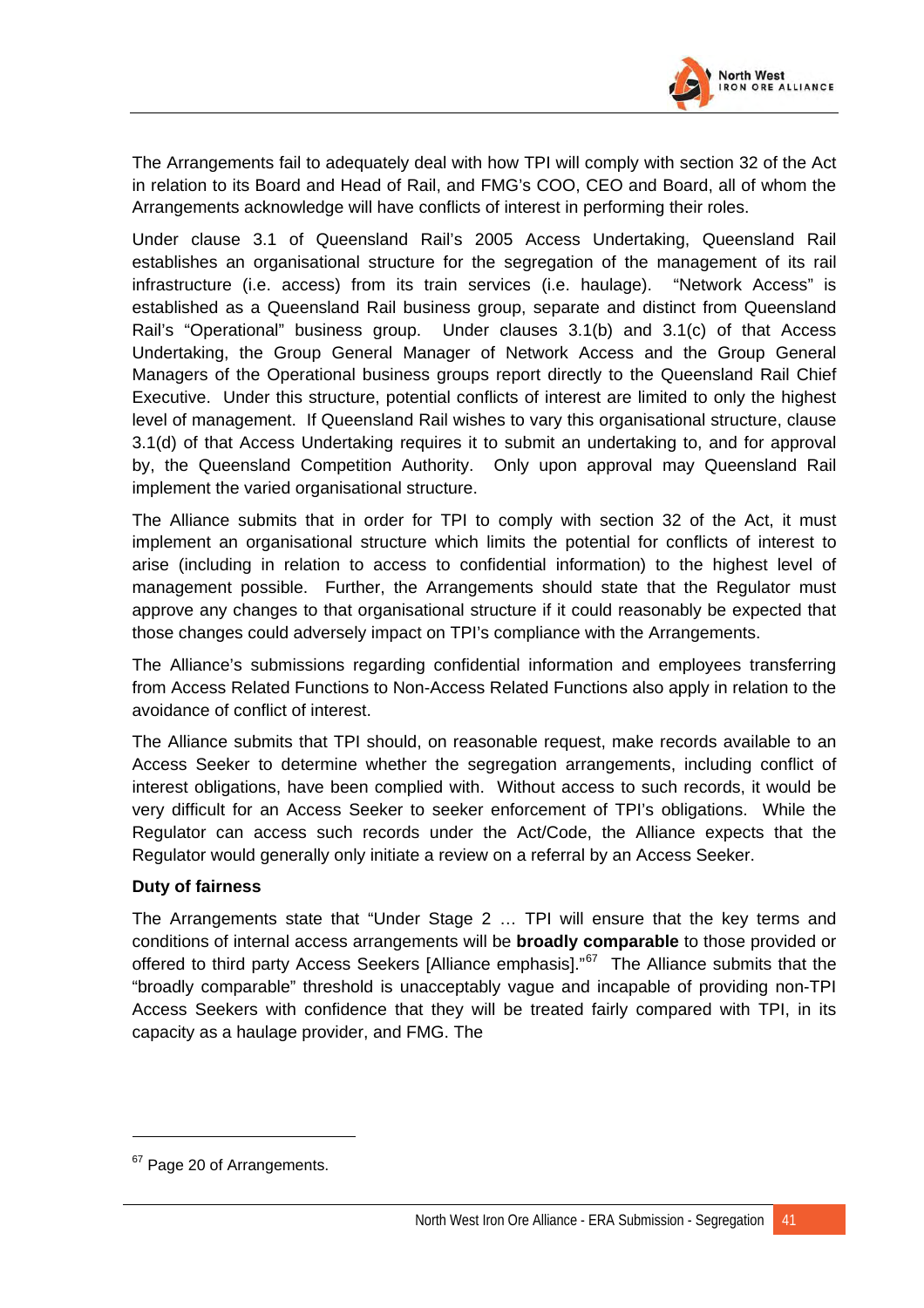

The Arrangements fail to adequately deal with how TPI will comply with section 32 of the Act in relation to its Board and Head of Rail, and FMG's COO, CEO and Board, all of whom the Arrangements acknowledge will have conflicts of interest in performing their roles.

Under clause 3.1 of Queensland Rail's 2005 Access Undertaking, Queensland Rail establishes an organisational structure for the segregation of the management of its rail infrastructure (i.e. access) from its train services (i.e. haulage). "Network Access" is established as a Queensland Rail business group, separate and distinct from Queensland Rail's "Operational" business group. Under clauses 3.1(b) and 3.1(c) of that Access Undertaking, the Group General Manager of Network Access and the Group General Managers of the Operational business groups report directly to the Queensland Rail Chief Executive. Under this structure, potential conflicts of interest are limited to only the highest level of management. If Queensland Rail wishes to vary this organisational structure, clause 3.1(d) of that Access Undertaking requires it to submit an undertaking to, and for approval by, the Queensland Competition Authority. Only upon approval may Queensland Rail implement the varied organisational structure.

The Alliance submits that in order for TPI to comply with section 32 of the Act, it must implement an organisational structure which limits the potential for conflicts of interest to arise (including in relation to access to confidential information) to the highest level of management possible. Further, the Arrangements should state that the Regulator must approve any changes to that organisational structure if it could reasonably be expected that those changes could adversely impact on TPI's compliance with the Arrangements.

The Alliance's submissions regarding confidential information and employees transferring from Access Related Functions to Non-Access Related Functions also apply in relation to the avoidance of conflict of interest.

The Alliance submits that TPI should, on reasonable request, make records available to an Access Seeker to determine whether the segregation arrangements, including conflict of interest obligations, have been complied with. Without access to such records, it would be very difficult for an Access Seeker to seeker enforcement of TPI's obligations. While the Regulator can access such records under the Act/Code, the Alliance expects that the Regulator would generally only initiate a review on a referral by an Access Seeker.

## **Duty of fairness**

The Arrangements state that "Under Stage 2 … TPI will ensure that the key terms and conditions of internal access arrangements will be **broadly comparable** to those provided or offered to third party Access Seekers [Alliance emphasis]."<sup>[67](#page-72-0)</sup> The Alliance submits that the "broadly comparable" threshold is unacceptably vague and incapable of providing non-TPI Access Seekers with confidence that they will be treated fairly compared with TPI, in its capacity as a haulage provider, and FMG. The

 $\overline{a}$ 

<span id="page-72-0"></span><sup>&</sup>lt;sup>67</sup> Page 20 of Arrangements.